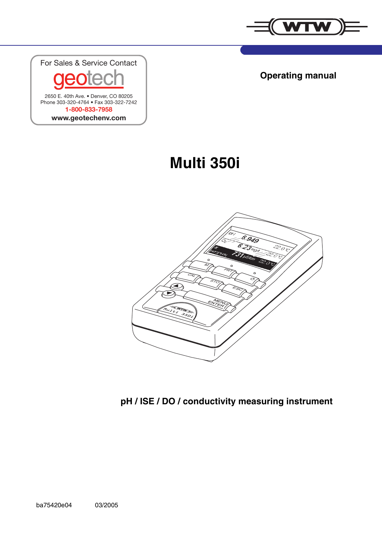

**Operating manual**

For Sales & Service Contact 2650 E. 40th Ave. • Denver, CO 80205 Phone 303-320-4764 • Fax 303-322-7242 **1-800-833-7958 www.geotechenv.com**

**Multi 350i**



**pH / ISE / DO / conductivity measuring instrument**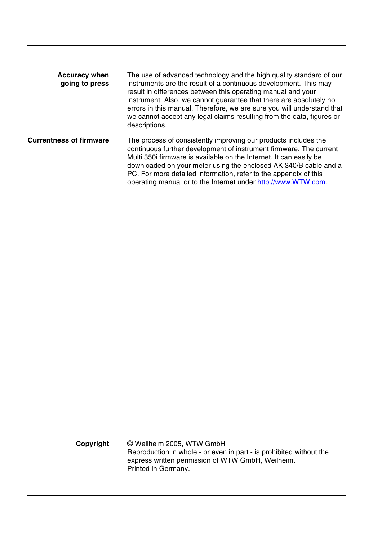| <b>Accuracy when</b><br>going to press | The use of advanced technology and the high quality standard of our<br>instruments are the result of a continuous development. This may<br>result in differences between this operating manual and your<br>instrument. Also, we cannot guarantee that there are absolutely no<br>errors in this manual. Therefore, we are sure you will understand that<br>we cannot accept any legal claims resulting from the data, figures or<br>descriptions. |
|----------------------------------------|---------------------------------------------------------------------------------------------------------------------------------------------------------------------------------------------------------------------------------------------------------------------------------------------------------------------------------------------------------------------------------------------------------------------------------------------------|
| <b>Currentness of firmware</b>         | The process of consistently improving our products includes the<br>continuous further development of instrument firmware. The current<br>Multi 350i firmware is available on the Internet. It can easily be<br>downloaded on your meter using the enclosed AK 340/B cable and a<br>PC. For more detailed information, refer to the appendix of this<br>operating manual or to the Internet under http://www.WTW.com.                              |

**Copyright** © Weilheim 2005, WTW GmbH Reproduction in whole - or even in part - is prohibited without the express written permission of WTW GmbH, Weilheim. Printed in Germany.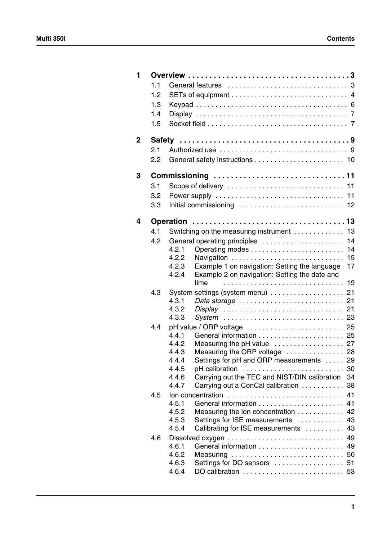| 1 |     |                                                                |          |
|---|-----|----------------------------------------------------------------|----------|
|   | 1.1 |                                                                |          |
|   | 1.2 |                                                                |          |
|   | 1.3 |                                                                |          |
|   | 1.4 |                                                                |          |
|   | 1.5 |                                                                |          |
|   |     |                                                                |          |
| 2 |     |                                                                |          |
|   | 2.1 |                                                                |          |
|   | 2.2 |                                                                |          |
| 3 |     | Commissioning 11                                               |          |
|   | 3.1 |                                                                |          |
|   | 3.2 |                                                                |          |
|   | 3.3 |                                                                |          |
|   |     |                                                                |          |
| 4 |     |                                                                |          |
|   | 4.1 | Switching on the measuring instrument  13                      |          |
|   | 4.2 | General operating principles  14                               |          |
|   |     | 4.2.1                                                          |          |
|   |     | 4.2.2<br>Navigation  15                                        |          |
|   |     | Example 1 on navigation: Setting the language<br>4.2.3         | 17       |
|   |     | Example 2 on navigation: Setting the date and<br>4.2.4<br>time |          |
|   |     |                                                                |          |
|   | 4.3 | System settings (system menu)  21<br>4.3.1                     |          |
|   |     | 4.3.2                                                          |          |
|   |     | 4.3.3                                                          |          |
|   | 4.4 |                                                                |          |
|   |     | 4.4.1                                                          |          |
|   |     | 4.4.2<br>Measuring the pH value  27                            |          |
|   |     | 4.4.3<br>Measuring the ORP voltage  28                         |          |
|   |     | Settings for pH and ORP measurements  29<br>4.4.4              |          |
|   |     | 4.4.5<br>pH calibration                                        |          |
|   |     | Carrying out the TEC and NIST/DIN calibration 34<br>4.4.6      |          |
|   |     | 4.4.7<br>Carrying out a ConCal calibration 38                  |          |
|   | 4.5 | Ion concentration<br>4.5.1                                     | 41<br>41 |
|   |     | 4.5.2<br>Measuring the ion concentration                       | 42       |
|   |     | 4.5.3<br>Settings for ISE measurements                         | 43       |
|   |     | 4.5.4<br>Calibrating for ISE measurements                      | 43       |
|   | 4.6 |                                                                | 49       |
|   |     | 4.6.1                                                          |          |
|   |     | 4.6.2<br>Measuring  50                                         |          |
|   |     | 4.6.3<br>Settings for DO sensors  51                           |          |
|   |     | 4.6.4                                                          |          |
|   |     |                                                                |          |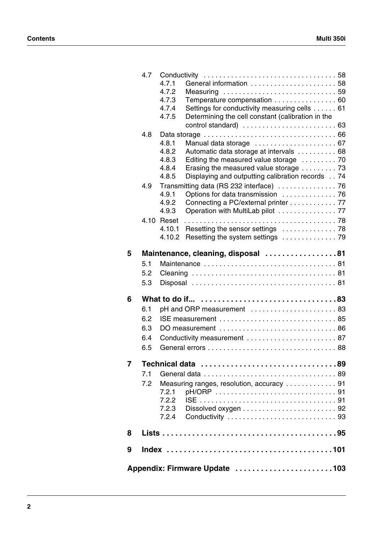|                     |     | 4.7.4            | Settings for conductivity measuring cells 61      |  |
|---------------------|-----|------------------|---------------------------------------------------|--|
|                     |     | 4.7.5            | Determining the cell constant (calibration in the |  |
|                     | 4.8 |                  |                                                   |  |
|                     |     | 4.8.1            | Manual data storage  67                           |  |
|                     |     | 4.8.2            | Automatic data storage at intervals  68           |  |
|                     |     | 4.8.3            | Editing the measured value storage  70            |  |
|                     |     | 4.8.4            | Erasing the measured value storage  73            |  |
|                     |     | 4.8.5            | Displaying and outputting calibration records 74  |  |
|                     | 4.9 |                  |                                                   |  |
|                     |     | 4.9.1            | Options for data transmission  76                 |  |
|                     |     | 4.9.2            | Connecting a PC/external printer 77               |  |
|                     |     | 4.9.3            | Operation with MultiLab pilot  77                 |  |
|                     |     | 4.10 Reset       |                                                   |  |
|                     |     | 4.10.1<br>4.10.2 | Resetting the sensor settings  78                 |  |
|                     |     |                  |                                                   |  |
| 5                   |     |                  | Maintenance, cleaning, disposal 81                |  |
|                     | 5.1 |                  |                                                   |  |
|                     | 5.2 |                  |                                                   |  |
|                     | 5.3 |                  |                                                   |  |
|                     |     |                  |                                                   |  |
|                     |     |                  |                                                   |  |
|                     |     |                  |                                                   |  |
|                     | 6.1 |                  | pH and ORP measurement 83                         |  |
|                     | 6.2 |                  |                                                   |  |
|                     | 6.3 |                  |                                                   |  |
|                     | 6.4 |                  | Conductivity measurement  87                      |  |
|                     | 6.5 |                  |                                                   |  |
|                     |     |                  | Technical data 89                                 |  |
|                     | 7.1 |                  |                                                   |  |
|                     | 7.2 |                  | Measuring ranges, resolution, accuracy  91        |  |
|                     |     | 7.2.1            |                                                   |  |
|                     |     | 7.2.2            |                                                   |  |
|                     |     | 7.2.3            |                                                   |  |
| 6<br>$\overline{7}$ |     |                  |                                                   |  |
| 8                   |     |                  |                                                   |  |
|                     |     |                  |                                                   |  |
| 9                   |     |                  |                                                   |  |
|                     |     |                  | Appendix: Firmware Update 103                     |  |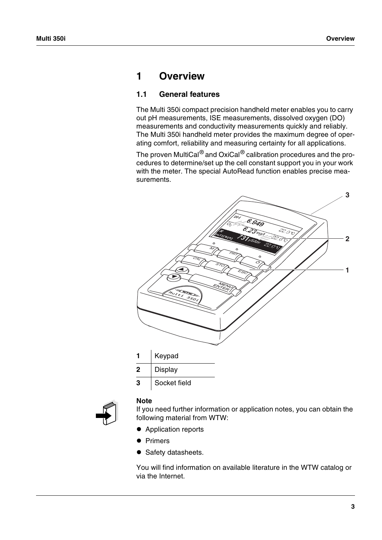# <span id="page-4-0"></span>**1 Overview**

# <span id="page-4-1"></span>**1.1 General features**

The Multi 350i compact precision handheld meter enables you to carry out pH measurements, ISE measurements, dissolved oxygen (DO) measurements and conductivity measurements quickly and reliably. The Multi 350i handheld meter provides the maximum degree of operating comfort, reliability and measuring certainty for all applications.

The proven MultiCal<sup>®</sup> and OxiCal<sup>®</sup> calibration procedures and the procedures to determine/set up the cell constant support you in your work with the meter. The special AutoRead function enables precise measurements.





#### **Note**

If you need further information or application notes, you can obtain the following material from WTW:

- Application reports
- **•** Primers
- **•** Safety datasheets.

You will find information on available literature in the WTW catalog or via the Internet.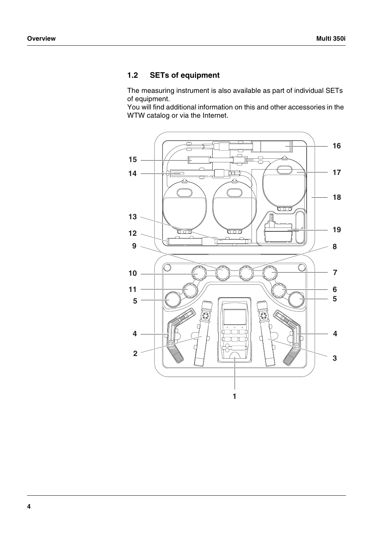# <span id="page-5-0"></span>**1.2 SETs of equipment**

The measuring instrument is also available as part of individual SETs of equipment.

You will find additional information on this and other accessories in the WTW catalog or via the Internet.

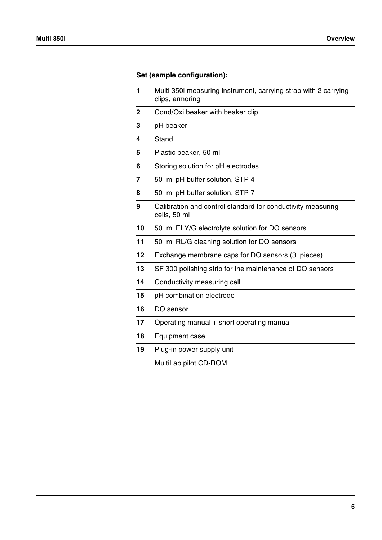# **Set (sample configuration):**

| 1            | Multi 350i measuring instrument, carrying strap with 2 carrying<br>clips, armoring |
|--------------|------------------------------------------------------------------------------------|
| $\mathbf{2}$ | Cond/Oxi beaker with beaker clip                                                   |
| 3            | pH beaker                                                                          |
| 4            | <b>Stand</b>                                                                       |
| 5            | Plastic beaker, 50 ml                                                              |
| 6            | Storing solution for pH electrodes                                                 |
| 7            | 50 ml pH buffer solution, STP 4                                                    |
| 8            | 50 ml pH buffer solution, STP 7                                                    |
| 9            | Calibration and control standard for conductivity measuring<br>cells, 50 ml        |
| 10           | 50 ml ELY/G electrolyte solution for DO sensors                                    |
| 11           | 50 ml RL/G cleaning solution for DO sensors                                        |
| 12           | Exchange membrane caps for DO sensors (3 pieces)                                   |
| 13           | SF 300 polishing strip for the maintenance of DO sensors                           |
| 14           | Conductivity measuring cell                                                        |
| 15           | pH combination electrode                                                           |
| 16           | DO sensor                                                                          |
| 17           | Operating manual + short operating manual                                          |
| 18           | Equipment case                                                                     |
| 19           | Plug-in power supply unit                                                          |
|              | MultiLab pilot CD-ROM                                                              |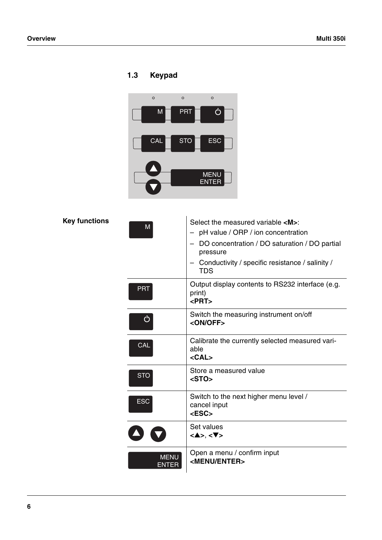# <span id="page-7-1"></span><span id="page-7-0"></span>**1.3 Keypad**



**Key functions**

| M                    | Select the measured variable <m>:<br/>pH value / ORP / ion concentration<br/>DO concentration / DO saturation / DO partial<br/>pressure<br/>Conductivity / specific resistance / salinity /<br/><b>TDS</b></m> |
|----------------------|----------------------------------------------------------------------------------------------------------------------------------------------------------------------------------------------------------------|
| <b>PRT</b>           | Output display contents to RS232 interface (e.g.<br>print)<br>$<$ PRT $>$                                                                                                                                      |
| ඵ                    | Switch the measuring instrument on/off<br><on off=""></on>                                                                                                                                                     |
| <b>CAL</b>           | Calibrate the currently selected measured vari-<br>able<br>$<$ CAL $>$                                                                                                                                         |
| <b>STO</b>           | Store a measured value<br>$<$ STO $>$                                                                                                                                                                          |
| <b>ESC</b>           | Switch to the next higher menu level /<br>cancel input<br><esc></esc>                                                                                                                                          |
|                      | Set values<br>$<\blacktriangle >, <\blacktriangledown >$                                                                                                                                                       |
| <b>MENU</b><br>ENTER | Open a menu / confirm input<br><menu enter=""></menu>                                                                                                                                                          |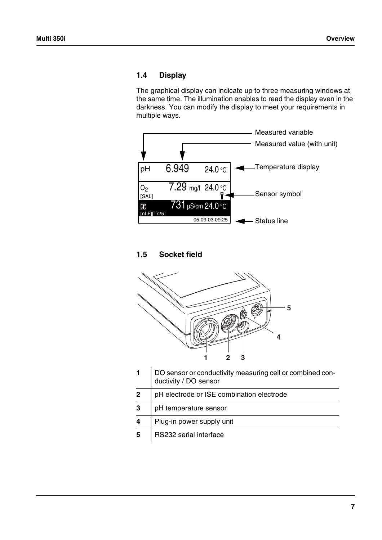# <span id="page-8-2"></span><span id="page-8-0"></span>**1.4 Display**

The graphical display can indicate up to three measuring windows at the same time. The illumination enables to read the display even in the darkness. You can modify the display to meet your requirements in multiple ways.



# <span id="page-8-1"></span>**1.5 Socket field**



|              | DO sensor or conductivity measuring cell or combined con-<br>ductivity / DO sensor |
|--------------|------------------------------------------------------------------------------------|
| $\mathbf{2}$ | pH electrode or ISE combination electrode                                          |
| 3            | pH temperature sensor                                                              |
| 4            | Plug-in power supply unit                                                          |
| 5            | RS232 serial interface                                                             |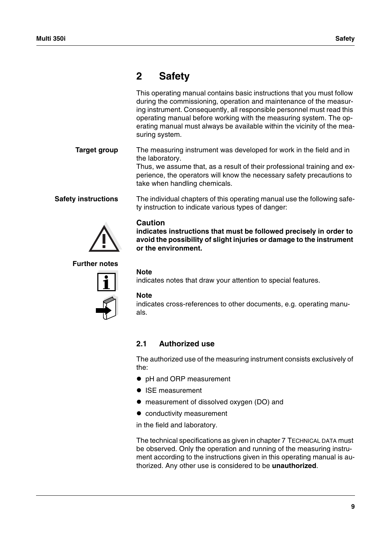# <span id="page-10-0"></span>**2 Safety**

This operating manual contains basic instructions that you must follow during the commissioning, operation and maintenance of the measuring instrument. Consequently, all responsible personnel must read this operating manual before working with the measuring system. The operating manual must always be available within the vicinity of the measuring system.

**Target group** The measuring instrument was developed for work in the field and in the laboratory.

Thus, we assume that, as a result of their professional training and experience, the operators will know the necessary safety precautions to take when handling chemicals.

**Safety instructions** The individual chapters of this operating manual use the following safety instruction to indicate various types of danger:

# **Caution**

**indicates instructions that must be followed precisely in order to avoid the possibility of slight injuries or damage to the instrument or the environment.**

### **Further notes**



### **Note**

indicates notes that draw your attention to special features.

#### **Note**

indicates cross-references to other documents, e.g. operating manuals.

## <span id="page-10-1"></span>**2.1 Authorized use**

The authorized use of the measuring instrument consists exclusively of the:

- pH and ORP measurement
- ISE measurement
- measurement of dissolved oxygen (DO) and
- $\bullet$  conductivity measurement

in the field and laboratory.

The technical specifications as given in [chapter 7 TECHNICAL](#page-90-2) DATA must be observed. Only the operation and running of the measuring instrument according to the instructions given in this operating manual is authorized. Any other use is considered to be **unauthorized**.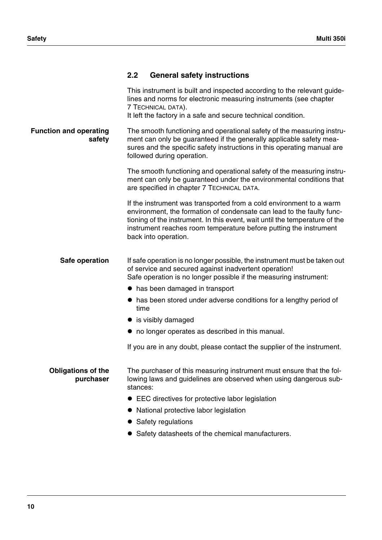<span id="page-11-0"></span>

| 2.2 |  |  | <b>General safety instructions</b> |
|-----|--|--|------------------------------------|
|-----|--|--|------------------------------------|

|                                         | This instrument is built and inspected according to the relevant guide-<br>lines and norms for electronic measuring instruments (see chapter<br>7 TECHNICAL DATA).<br>It left the factory in a safe and secure technical condition.                                                                                      |
|-----------------------------------------|--------------------------------------------------------------------------------------------------------------------------------------------------------------------------------------------------------------------------------------------------------------------------------------------------------------------------|
| <b>Function and operating</b><br>safety | The smooth functioning and operational safety of the measuring instru-<br>ment can only be guaranteed if the generally applicable safety mea-<br>sures and the specific safety instructions in this operating manual are<br>followed during operation.                                                                   |
|                                         | The smooth functioning and operational safety of the measuring instru-<br>ment can only be guaranteed under the environmental conditions that<br>are specified in chapter 7 TECHNICAL DATA.                                                                                                                              |
|                                         | If the instrument was transported from a cold environment to a warm<br>environment, the formation of condensate can lead to the faulty func-<br>tioning of the instrument. In this event, wait until the temperature of the<br>instrument reaches room temperature before putting the instrument<br>back into operation. |
| Safe operation                          | If safe operation is no longer possible, the instrument must be taken out<br>of service and secured against inadvertent operation!<br>Safe operation is no longer possible if the measuring instrument:                                                                                                                  |
|                                         | • has been damaged in transport                                                                                                                                                                                                                                                                                          |
|                                         | has been stored under adverse conditions for a lengthy period of<br>time                                                                                                                                                                                                                                                 |
|                                         | • is visibly damaged                                                                                                                                                                                                                                                                                                     |
|                                         | • no longer operates as described in this manual.                                                                                                                                                                                                                                                                        |
|                                         | If you are in any doubt, please contact the supplier of the instrument.                                                                                                                                                                                                                                                  |
| <b>Obligations of the</b><br>purchaser  | The purchaser of this measuring instrument must ensure that the fol-<br>lowing laws and guidelines are observed when using dangerous sub-<br>stances:                                                                                                                                                                    |
|                                         | • EEC directives for protective labor legislation                                                                                                                                                                                                                                                                        |
|                                         | National protective labor legislation                                                                                                                                                                                                                                                                                    |
|                                         | Safety regulations                                                                                                                                                                                                                                                                                                       |
|                                         | Safety datasheets of the chemical manufacturers.                                                                                                                                                                                                                                                                         |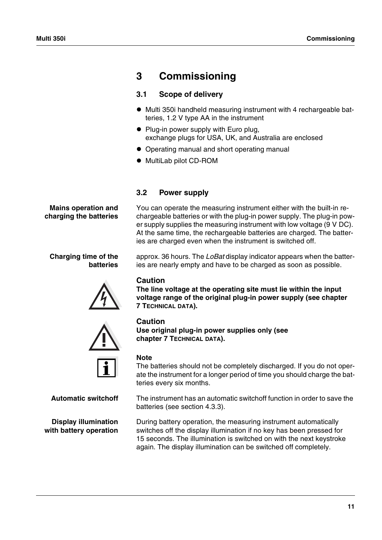# <span id="page-12-0"></span>**3 Commissioning**

# <span id="page-12-1"></span>**3.1 Scope of delivery**

- $\bullet$  Multi 350i handheld measuring instrument with 4 rechargeable batteries, 1.2 V type AA in the instrument
- Plug-in power supply with Euro plug, exchange plugs for USA, UK, and Australia are enclosed
- Operating manual and short operating manual
- $\bullet$  MultiLab pilot CD-ROM

# <span id="page-12-2"></span>**3.2 Power supply**

You can operate the measuring instrument either with the built-in rechargeable batteries or with the plug-in power supply. The plug-in power supply supplies the measuring instrument with low voltage (9 V DC). At the same time, the rechargeable batteries are charged. The batteries are charged even when the instrument is switched off.

approx. 36 hours. The *LoBat* display indicator appears when the batteries are nearly empty and have to be charged as soon as possible.

# **Caution**

**The line voltage at the operating site must lie within the input voltage range of the original plug-in power supply (see [chapter](#page-90-2)  [7 TECHNICAL](#page-90-2) DATA).**

# **Caution**

**Use original plug-in power supplies only (see [chapter 7 TECHNICAL](#page-90-2) DATA).**

# **Note**

The batteries should not be completely discharged. If you do not operate the instrument for a longer period of time you should charge the batteries every six months.

**Automatic switchoff** The instrument has an automatic switchoff function in order to save the batteries (see [section 4.3.3](#page-24-1)).

> During battery operation, the measuring instrument automatically switches off the display illumination if no key has been pressed for 15 seconds. The illumination is switched on with the next keystroke again. The display illumination can be switched off completely.

**Mains operation and charging the batteries**

### **Charging time of the batteries**





**Display illumination with battery operation**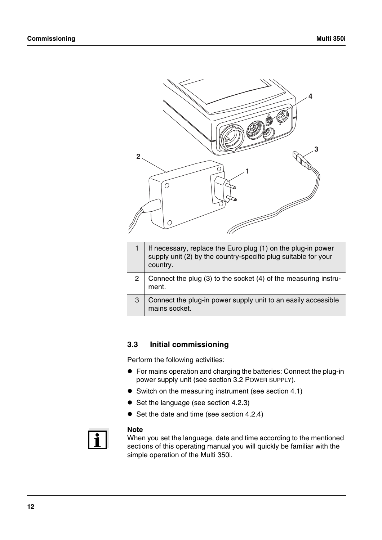

- 1 If necessary, replace the Euro plug  $(1)$  on the plug-in power supply unit (2) by the country-specific plug suitable for your country.
- 2 Connect the plug (3) to the socket (4) of the measuring instrument.
- 3 Connect the plug-in power supply unit to an easily accessible mains socket.

## <span id="page-13-0"></span>**3.3 Initial commissioning**

Perform the following activities:

- ! For mains operation and charging the batteries: Connect the plug-in power supply unit (see [section 3.2 POWER](#page-12-2) SUPPLY).
- Switch on the measuring instrument (see [section 4.1\)](#page-14-2)
- Set the language (see [section 4.2.3](#page-18-1))
- Set the date and time (see [section 4.2.4\)](#page-20-1)



#### **Note**

When you set the language, date and time according to the mentioned sections of this operating manual you will quickly be familiar with the simple operation of the Multi 350i.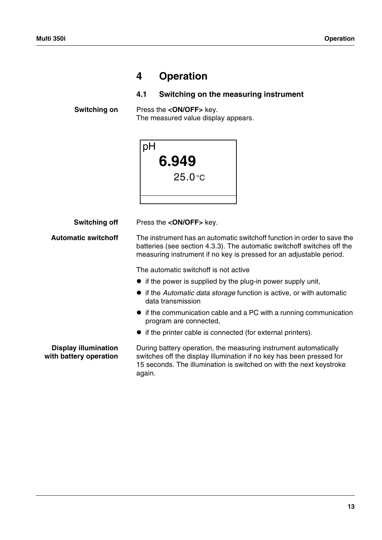# <span id="page-14-0"></span>**4 Operation**

# <span id="page-14-2"></span><span id="page-14-1"></span>**4.1 Switching on the measuring instrument**

**Switching on** Press the **<ON/OFF>** key. The measured value display appears.

| pH |           |
|----|-----------|
|    | 6.949     |
|    | $25.0$ °C |
|    |           |
|    |           |

**Switching off** Press the **<ON/OFF**> key.

**Automatic switchoff** The instrument has an automatic switchoff function in order to save the batteries (see [section 4.3.3](#page-24-0)). The automatic switchoff switches off the measuring instrument if no key is pressed for an adjustable period.

The automatic switchoff is not active

- $\bullet$  if the power is supplied by the plug-in power supply unit,
- ! if the *Automatic data storage* function is active, or with automatic data transmission
- $\bullet$  if the communication cable and a PC with a running communication program are connected,
- $\bullet$  if the printer cable is connected (for external printers).

**Display illumination with battery operation** During battery operation, the measuring instrument automatically switches off the display illumination if no key has been pressed for 15 seconds. The illumination is switched on with the next keystroke again.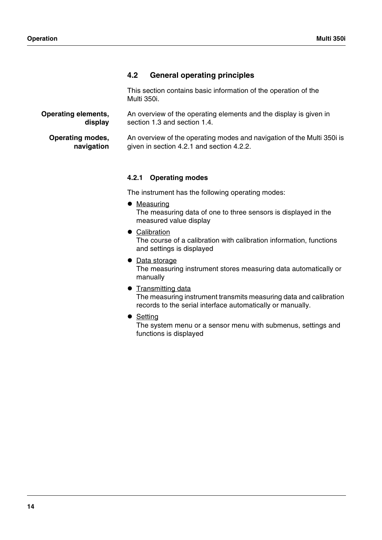# <span id="page-15-0"></span>**4.2 General operating principles**

This section contains basic information of the operation of the Multi 350i.

**Operating elements, display** An overview of the operating elements and the display is given in [section 1.3](#page-7-1) and [section 1.4.](#page-8-2)

**Operating modes, navigation** An overview of the operating modes and navigation of the Multi 350i is given in [section 4.2.1](#page-15-1) and [section 4.2.2](#page-16-0).

## <span id="page-15-1"></span>**4.2.1 Operating modes**

The instrument has the following operating modes:

- Measuring The measuring data of one to three sensors is displayed in the measured value display
- Calibration The course of a calibration with calibration information, functions and settings is displayed
- Data storage The measuring instrument stores measuring data automatically or manually
- **Transmitting data** The measuring instrument transmits measuring data and calibration records to the serial interface automatically or manually.
- Setting

The system menu or a sensor menu with submenus, settings and functions is displayed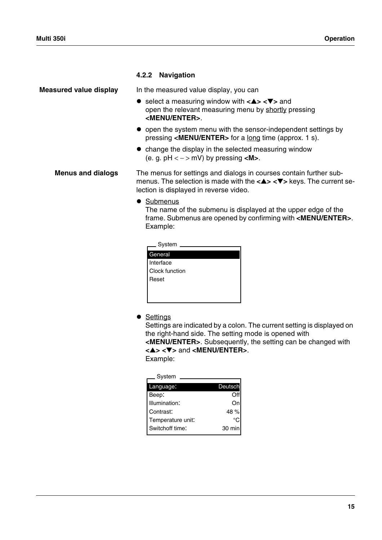### <span id="page-16-0"></span>**4.2.2 Navigation**

**Measured value display** In the measured value display, you can

- ! select a measuring window with **<**▲**> <**▼**>** and open the relevant measuring menu by shortly pressing **<MENU/ENTER>**.
- open the system menu with the sensor-independent settings by pressing **<MENU/ENTER>** for a long time (approx. 1 s).
- change the display in the selected measuring window (e. g. pH < − > mV) by pressing **<M>**.

**Menus and dialogs** The menus for settings and dialogs in courses contain further submenus. The selection is made with the **<**▲**> <**▼**>** keys. The current selection is displayed in reverse video.

• Submenus

The name of the submenu is displayed at the upper edge of the frame. Submenus are opened by confirming with **<MENU/ENTER>**. Example:

| System         |  |
|----------------|--|
|                |  |
| General        |  |
| Interface      |  |
| Clock function |  |
| Reset          |  |
|                |  |
|                |  |
|                |  |

• Settings

Settings are indicated by a colon. The current setting is displayed on the right-hand side. The setting mode is opened with **<MENU/ENTER>**. Subsequently, the setting can be changed with

**<**▲**> <**▼**>** and **<MENU/ENTER>**.

Example:

| System            |         |
|-------------------|---------|
| Language:         | Deutsch |
| Beep:             |         |
| Illumination:     | On      |
| Contrast:         | 48 %    |
| Temperature unit: |         |
| Switchoff time:   | 30 min  |
|                   |         |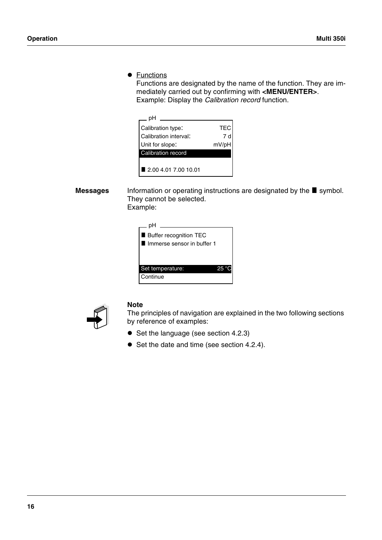**•** Functions

Functions are designated by the name of the function. They are immediately carried out by confirming with **<MENU/ENTER>**. Example: Display the *Calibration record* function.



Messages Information or operating instructions are designated by the **s**ymbol. They cannot be selected. Example:

| __ pH                                                    |  |
|----------------------------------------------------------|--|
| ■ Buffer recognition TEC<br>I Immerse sensor in buffer 1 |  |
| Set temperature:                                         |  |
| Continue                                                 |  |



### **Note**

The principles of navigation are explained in the two following sections by reference of examples:

- Set the language (see [section 4.2.3](#page-18-0))
- Set the date and time (see [section 4.2.4\)](#page-20-0).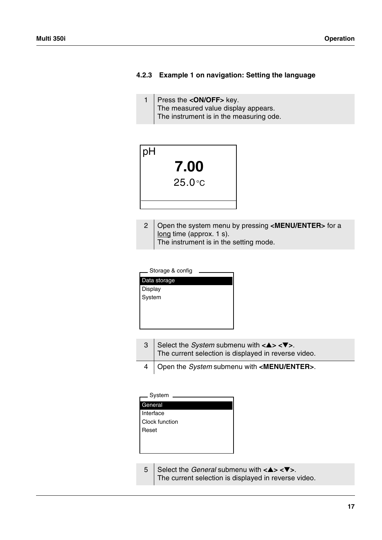### <span id="page-18-0"></span>**4.2.3 Example 1 on navigation: Setting the language**

<span id="page-18-1"></span>1 Press the **<ON/OFF>** key. The measured value display appears. The instrument is in the measuring ode.



2 Open the system menu by pressing **<MENU/ENTER>** for a long time (approx. 1 s). The instrument is in the setting mode.

| Storage & config |  |
|------------------|--|
| Data storage     |  |
| Display          |  |
| System           |  |
|                  |  |
|                  |  |
|                  |  |
|                  |  |

3 Select the *System* submenu with **<**▲**> <**▼**>**. The current selection is displayed in reverse video. 4 Open the *System* submenu with **<MENU/ENTER>**.

5 Select the *General* submenu with **<**▲**> <**▼**>**. The current selection is displayed in reverse video.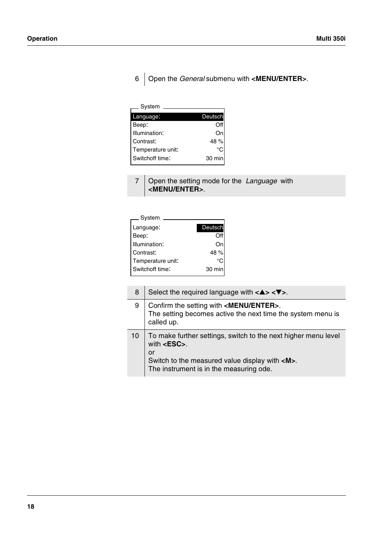# 6 Open the *General* submenu with **<MENU/ENTER>**.

| System            |         |
|-------------------|---------|
| Language:         | Deutsch |
| Beep:             |         |
| Illumination:     | Or      |
| Contrast:         | 48 %    |
| Temperature unit: | ∘∩      |
| Switchoff time:   | 30 min  |

| 7   Open the setting mode for the Language with |  |
|-------------------------------------------------|--|
| <b>CMENU/ENTER&gt;.</b>                         |  |

| System            |         |
|-------------------|---------|
| Language:         | Deutsch |
| Beep:             |         |
| Illumination:     | On      |
| Contrast:         | 48 %    |
| Temperature unit: | °C      |
| Switchoff time:   | 30 min  |
|                   |         |

| 8  | Select the required language with $\langle 4 \rangle \langle 7 \rangle$ .                                                                                                                           |
|----|-----------------------------------------------------------------------------------------------------------------------------------------------------------------------------------------------------|
| 9  | Confirm the setting with <menu enter="">.<br/>The setting becomes active the next time the system menu is<br/>called up.</menu>                                                                     |
| 10 | To make further settings, switch to the next higher menu level<br>with $<$ <b>ESC</b> $>$ .<br>or<br>Switch to the measured value display with <m>.<br/>The instrument is in the measuring ode.</m> |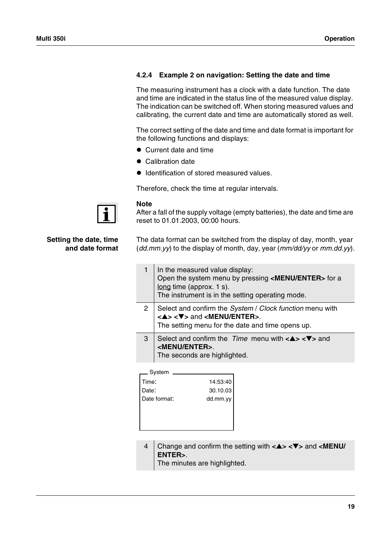# <span id="page-20-1"></span><span id="page-20-0"></span>**4.2.4 Example 2 on navigation: Setting the date and time**

The measuring instrument has a clock with a date function. The date and time are indicated in the status line of the measured value display. The indication can be switched off. When storing measured values and calibrating, the current date and time are automatically stored as well.

The correct setting of the date and time and date format is important for the following functions and displays:

- Current date and time
- Calibration date
- **.** Identification of stored measured values.

Therefore, check the time at regular intervals.



### **Note**

After a fall of the supply voltage (empty batteries), the date and time are reset to 01.01.2003, 00:00 hours.

**Setting the date, time and date format** The data format can be switched from the display of day, month, year (*dd.mm.yy*) to the display of month, day, year (*mm/dd/yy* or *mm.dd.yy*).

|   | In the measured value display:<br>Open the system menu by pressing <menu enter=""> for a<br/>long time (approx. <math>1</math> s).<br/>The instrument is in the setting operating mode.</menu>                                        |
|---|---------------------------------------------------------------------------------------------------------------------------------------------------------------------------------------------------------------------------------------|
| 2 | Select and confirm the System / Clock function menu with<br>$\langle \blacktriangle \rangle \langle \blacktriangledown \rangle$ and $\langle \blacktriangle \rangle$ MENU/ENTER>.<br>The setting menu for the date and time opens up. |
| 3 | Select and confirm the Time menu with $\langle 4 \rangle \langle 7 \rangle$ and<br><menu enter="">.<br/>The seconds are highlighted.</menu>                                                                                           |

| Svstem |  |
|--------|--|
|--------|--|

| Time:        | 14:53:40 |
|--------------|----------|
| Date:        | 30.10.03 |
| Date format: | dd.mm.yy |
|              |          |
|              |          |
|              |          |

4 Change and confirm the setting with **<**▲**> <**▼**>** and **<MENU/ ENTER>**.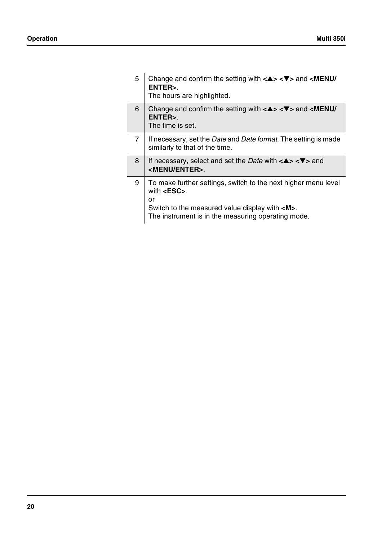Ī

 $\overline{\phantom{a}}$ 

| 5 | Change and confirm the setting with $\langle \blacktriangle \rangle \langle \blacktriangledown \rangle$ and $\langle \text{MEMV} \rangle$<br>ENTER>.<br>The hours are highlighted.                      |
|---|---------------------------------------------------------------------------------------------------------------------------------------------------------------------------------------------------------|
| 6 | Change and confirm the setting with $\langle 4 \rangle \langle 7 \rangle$ and $\langle 1$ ENU/<br>ENTER>.<br>The time is set.                                                                           |
| 7 | If necessary, set the <i>Date</i> and <i>Date format</i> . The setting is made<br>similarly to that of the time.                                                                                        |
| 8 | If necessary, select and set the <i>Date</i> with $\langle 2 \rangle \langle 2 \rangle$ and<br><menu enter="">.</menu>                                                                                  |
| 9 | To make further settings, switch to the next higher menu level<br>with $<$ ESC $>$ .<br>or<br>Switch to the measured value display with <m>.<br/>The instrument is in the measuring operating mode.</m> |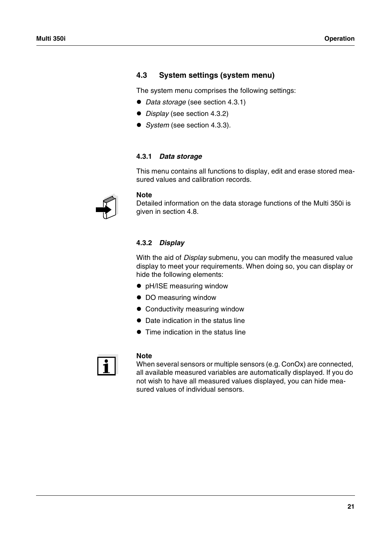# <span id="page-22-0"></span>**4.3 System settings (system menu)**

The system menu comprises the following settings:

- ! *Data storage* (see [section 4.3.1](#page-22-1))
- ! *Display* (see [section 4.3.2](#page-22-2))
- ! *System* (see [section 4.3.3](#page-24-0)).

### <span id="page-22-1"></span>**4.3.1** *Data storage*

This menu contains all functions to display, edit and erase stored measured values and calibration records.



### **Note**

Detailed information on the data storage functions of the Multi 350i is given in [section 4.8](#page-67-0).

### <span id="page-22-2"></span>**4.3.2** *Display*

With the aid of *Display* submenu, you can modify the measured value display to meet your requirements. When doing so, you can display or hide the following elements:

- pH/ISE measuring window
- $\bullet$  DO measuring window
- Conductivity measuring window
- Date indication in the status line
- Time indication in the status line



### **Note**

When several sensors or multiple sensors (e.g. ConOx) are connected, all available measured variables are automatically displayed. If you do not wish to have all measured values displayed, you can hide measured values of individual sensors.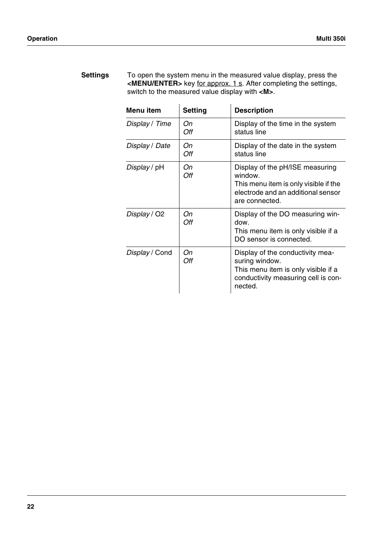| <b>Settings</b> | To open the system menu in the measured value display, press the       |
|-----------------|------------------------------------------------------------------------|
|                 | $\leq$ MENU/ENTER> key for approx. 1 s. After completing the settings, |
|                 | switch to the measured value display with <m>.</m>                     |

| Menu item      | <b>Setting</b> | <b>Description</b>                                                                                                                          |
|----------------|----------------|---------------------------------------------------------------------------------------------------------------------------------------------|
| Display / Time | On<br>Off      | Display of the time in the system<br>status line                                                                                            |
| Display / Date | Оn<br>Off      | Display of the date in the system<br>status line                                                                                            |
| Display / pH   | On<br>Off      | Display of the pH/ISE measuring<br>window.<br>This menu item is only visible if the<br>electrode and an additional sensor<br>are connected. |
| Display / O2   | Оn<br>Off      | Display of the DO measuring win-<br>dow.<br>This menu item is only visible if a<br>DO sensor is connected.                                  |
| Display / Cond | Оn<br>Off      | Display of the conductivity mea-<br>suring window.<br>This menu item is only visible if a<br>conductivity measuring cell is con-<br>nected. |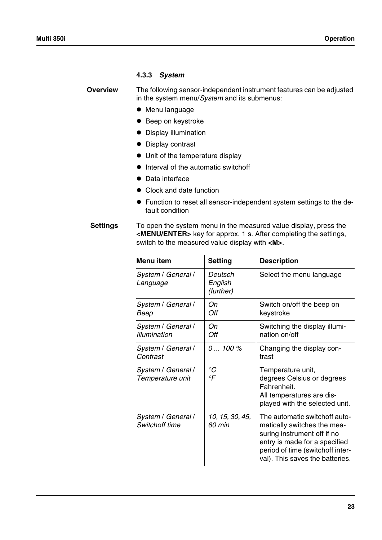### <span id="page-24-1"></span><span id="page-24-0"></span>**4.3.3** *System*

**Overview** The following sensor-independent instrument features can be adjusted in the system menu/*System* and its submenus:

- $\bullet$  Menu language
- Beep on keystroke
- $\bullet$  Display illumination
- Display contrast
- $\bullet$  Unit of the temperature display
- $\bullet$  Interval of the automatic switchoff
- Data interface
- Clock and date function
- ! Function to reset all sensor-independent system settings to the default condition

**Settings** To open the system menu in the measured value display, press the **<MENU/ENTER>** key for approx. 1 s. After completing the settings, switch to the measured value display with **<M>**.

| <b>Menu</b> item                            | <b>Setting</b>                  | <b>Description</b>                                                                                                                                                                                  |
|---------------------------------------------|---------------------------------|-----------------------------------------------------------------------------------------------------------------------------------------------------------------------------------------------------|
| System / General /<br>Language              | Deutsch<br>English<br>(further) | Select the menu language                                                                                                                                                                            |
| System / General /<br>Beep                  | Оn<br>Off                       | Switch on/off the beep on<br>keystroke                                                                                                                                                              |
| System / General /<br><b>Illumination</b>   | Оn<br>Off                       | Switching the display illumi-<br>nation on/off                                                                                                                                                      |
| System / General /<br>Contrast              | $0100\%$                        | Changing the display con-<br>trast                                                                                                                                                                  |
| System / General /<br>Temperature unit      | ${}^{\circ}C$<br>°F             | Temperature unit,<br>degrees Celsius or degrees<br>Fahrenheit.<br>All temperatures are dis-<br>played with the selected unit.                                                                       |
| System / General /<br><b>Switchoff time</b> | 10, 15, 30, 45,<br>60 min       | The automatic switchoff auto-<br>matically switches the mea-<br>suring instrument off if no<br>entry is made for a specified<br>period of time (switchoff inter-<br>val). This saves the batteries. |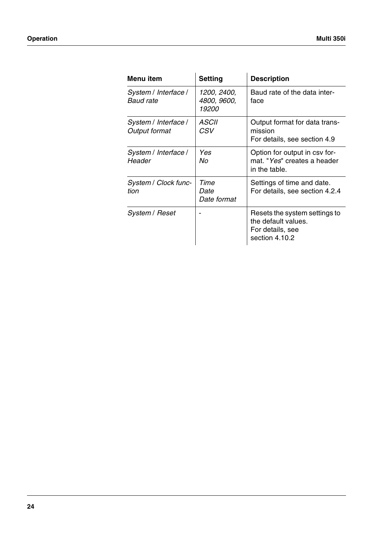| Menu item                             | <b>Setting</b>                      | <b>Description</b>                                                                         |
|---------------------------------------|-------------------------------------|--------------------------------------------------------------------------------------------|
| System / Interface /<br>Baud rate     | 1200, 2400,<br>4800, 9600,<br>19200 | Baud rate of the data inter-<br>face                                                       |
| System / Interface /<br>Output format | <i>ASCII</i><br>CSV                 | Output format for data trans-<br>mission<br>For details, see section 4.9                   |
| System / Interface /<br>Header        | Yes<br>Nο                           | Option for output in csy for-<br>mat. "Yes" creates a header<br>in the table.              |
| System / Clock func-<br>tion          | Time<br>Date<br>Date format         | Settings of time and date.<br>For details, see section 4.2.4                               |
| System / Reset                        |                                     | Resets the system settings to<br>the default values.<br>For details, see<br>section 4.10.2 |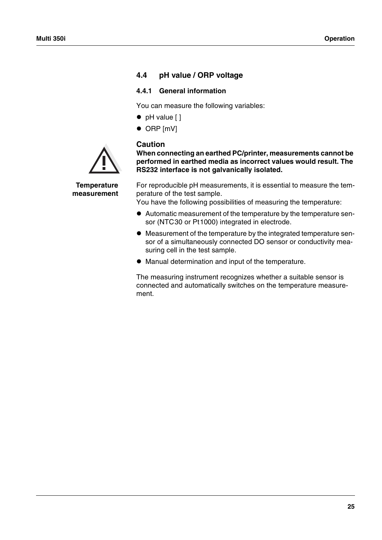# <span id="page-26-0"></span>**4.4 pH value / ORP voltage**

### <span id="page-26-1"></span>**4.4.1 General information**

You can measure the following variables:

- $\bullet$  pH value  $[ ]$
- $\bullet$  ORP  $[mV]$

## **Caution**



**When connecting an earthed PC/printer, measurements cannot be performed in earthed media as incorrect values would result. The RS232 interface is not galvanically isolated.**

**Temperature measurement** For reproducible pH measurements, it is essential to measure the temperature of the test sample.

You have the following possibilities of measuring the temperature:

- ! Automatic measurement of the temperature by the temperature sensor (NTC30 or Pt1000) integrated in electrode.
- ! Measurement of the temperature by the integrated temperature sensor of a simultaneously connected DO sensor or conductivity measuring cell in the test sample.
- $\bullet$  Manual determination and input of the temperature.

The measuring instrument recognizes whether a suitable sensor is connected and automatically switches on the temperature measurement.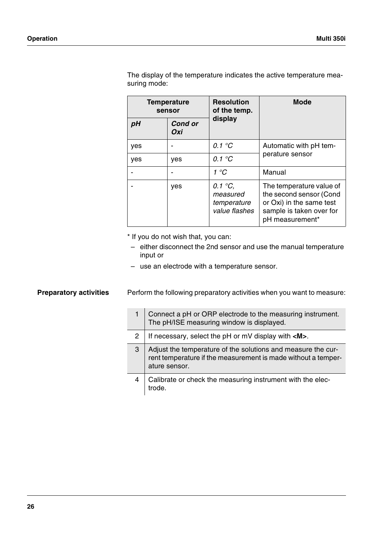| <b>Temperature</b><br>sensor |                       | <b>Resolution</b><br>of the temp.                            | <b>Mode</b>                                                                                                                    |  |
|------------------------------|-----------------------|--------------------------------------------------------------|--------------------------------------------------------------------------------------------------------------------------------|--|
| рH                           | <b>Cond or</b><br>Oxi | display                                                      |                                                                                                                                |  |
| yes                          |                       | 0.1 $\mathrm{C}$                                             | Automatic with pH tem-<br>perature sensor                                                                                      |  |
| yes                          | yes                   | 0.1 $\mathrm{C}$                                             |                                                                                                                                |  |
|                              |                       | 1 °C                                                         | Manual                                                                                                                         |  |
|                              | yes                   | 0.1 $\degree$ C,<br>measured<br>temperature<br>value flashes | The temperature value of<br>the second sensor (Cond<br>or Oxi) in the same test<br>sample is taken over for<br>pH measurement* |  |

The display of the temperature indicates the active temperature measuring mode:

\* If you do not wish that, you can:

- either disconnect the 2nd sensor and use the manual temperature input or
- use an electrode with a temperature sensor.

**Preparatory activities** Perform the following preparatory activities when you want to measure:

|   | Connect a pH or ORP electrode to the measuring instrument.<br>The pH/ISE measuring window is displayed.                                        |
|---|------------------------------------------------------------------------------------------------------------------------------------------------|
| 2 | If necessary, select the $pH$ or $mV$ display with $\langle M \rangle$ .                                                                       |
| 3 | Adjust the temperature of the solutions and measure the cur-<br>rent temperature if the measurement is made without a temper-<br>ature sensor. |
| 4 | Calibrate or check the measuring instrument with the elec-<br>trode                                                                            |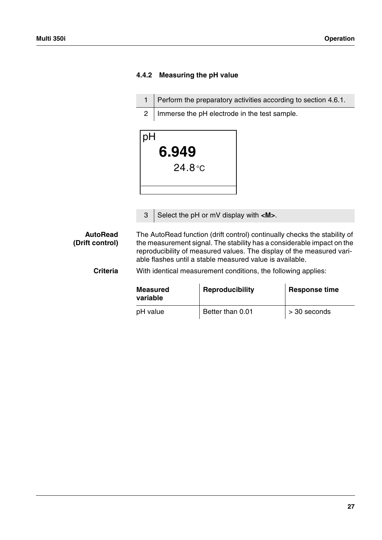# <span id="page-28-0"></span>**4.4.2 Measuring the pH value**

1 | Perform the preparatory activities according to [section 4.6.1](#page-50-1). 2 | Immerse the pH electrode in the test sample.



3 Select the pH or mV display with **<M>**.

**AutoRead (Drift control)** The AutoRead function (drift control) continually checks the stability of the measurement signal. The stability has a considerable impact on the reproducibility of measured values. The display of the measured variable flashes until a stable measured value is available.

**Criteria** With identical measurement conditions, the following applies:

| <b>Measured</b><br>variable | Reproducibility  | <b>Response time</b> |
|-----------------------------|------------------|----------------------|
| pH value                    | Better than 0.01 | > 30 seconds         |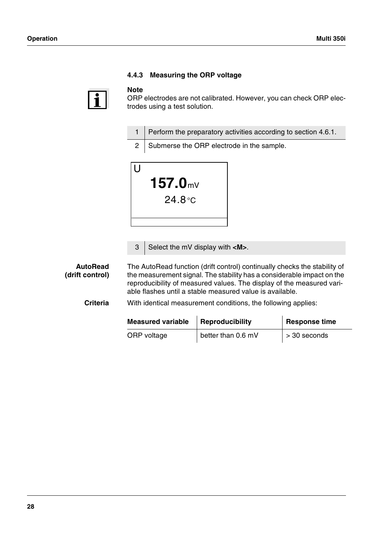<span id="page-29-0"></span>

### **Note**

ORP electrodes are not calibrated. However, you can check ORP electrodes using a test solution.

- 1 Perform the preparatory activities according to [section 4.6.1](#page-50-1).
- 2 Submerse the ORP electrode in the sample.



3 Select the mV display with **<M>**.

**AutoRead (drift control)** The AutoRead function (drift control) continually checks the stability of the measurement signal. The stability has a considerable impact on the reproducibility of measured values. The display of the measured variable flashes until a stable measured value is available.

**Criteria** With identical measurement conditions, the following applies:

| <b>Measured variable</b> | Reproducibility    |                      |
|--------------------------|--------------------|----------------------|
| ORP voltage              | better than 0.6 mV | $\vert$ > 30 seconds |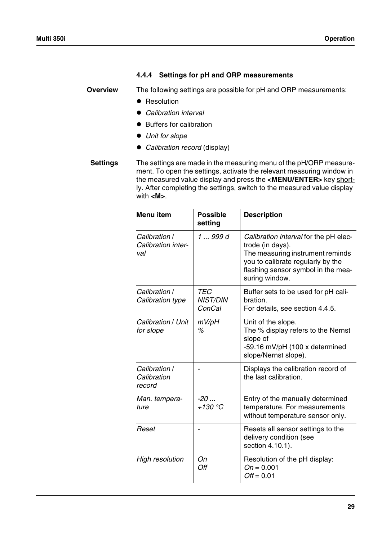# <span id="page-30-0"></span>**4.4.4 Settings for pH and ORP measurements**

**Overview** The following settings are possible for pH and ORP measurements:

- Resolution
- ! *Calibration interval*
- Buffers for calibration
- $\bullet$  Unit for slope
- ! *Calibration record* (display)

**Settings** The settings are made in the measuring menu of the pH/ORP measurement. To open the settings, activate the relevant measuring window in the measured value display and press the **<MENU/ENTER>** key short- $l$ . After completing the settings, switch to the measured value display</u> with **<M>**.

| Menu item                                  | <b>Possible</b><br>setting              | <b>Description</b>                                                                                                                                                                         |
|--------------------------------------------|-----------------------------------------|--------------------------------------------------------------------------------------------------------------------------------------------------------------------------------------------|
| Calibration /<br>Calibration inter-<br>val | 1  999 d                                | Calibration interval for the pH elec-<br>trode (in days).<br>The measuring instrument reminds<br>you to calibrate regularly by the<br>flashing sensor symbol in the mea-<br>suring window. |
| Calibration /<br>Calibration type          | <b>TEC</b><br><b>NIST/DIN</b><br>ConCal | Buffer sets to be used for pH cali-<br>bration.<br>For details, see section 4.4.5.                                                                                                         |
| Calibration / Unit<br>for slope            | mV/pH<br>℅                              | Unit of the slope.<br>The % display refers to the Nernst<br>slope of<br>-59.16 mV/pH (100 x determined<br>slope/Nernst slope).                                                             |
| Calibration /<br>Calibration<br>record     |                                         | Displays the calibration record of<br>the last calibration.                                                                                                                                |
| Man. tempera-<br>ture                      | $-20$<br>$+130 °C$                      | Entry of the manually determined<br>temperature. For measurements<br>without temperature sensor only.                                                                                      |
| Reset                                      |                                         | Resets all sensor settings to the<br>delivery condition (see<br>section 4.10.1).                                                                                                           |
| <b>High resolution</b>                     | On<br>Off                               | Resolution of the pH display:<br>$On = 0.001$<br>$Off = 0.01$                                                                                                                              |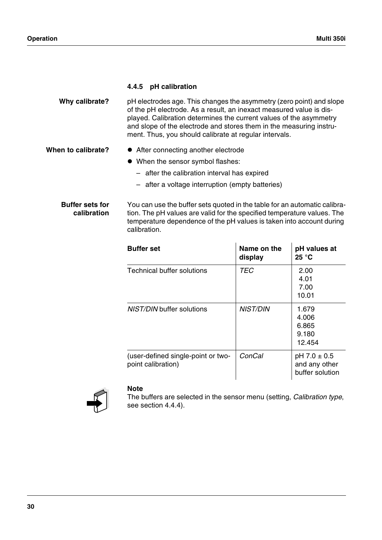### <span id="page-31-0"></span>**4.4.5 pH calibration**

| pH electrodes age. This changes the asymmetry (zero point) and slope |
|----------------------------------------------------------------------|
| of the pH electrode. As a result, an inexact measured value is dis-  |
| played. Calibration determines the current values of the asymmetry   |
| and slope of the electrode and stores them in the measuring instru-  |
| ment. Thus, you should calibrate at regular intervals.               |
|                                                                      |

- When to calibrate?  $\bullet$  After connecting another electrode
	- ! When the sensor symbol flashes:
		- after the calibration interval has expired
		- after a voltage interruption (empty batteries)

**Buffer sets for calibration** You can use the buffer sets quoted in the table for an automatic calibration. The pH values are valid for the specified temperature values. The temperature dependence of the pH values is taken into account during calibration.

| <b>Buffer</b> set                                        | Name on the<br>display | pH values at<br>25 °C                                  |
|----------------------------------------------------------|------------------------|--------------------------------------------------------|
| Technical buffer solutions                               | TEC                    | 2.00<br>4.01<br>7.00<br>10.01                          |
| <i>NIST/DIN</i> buffer solutions                         | <i>NIST/DIN</i>        | 1.679<br>4.006<br>6.865<br>9.180<br>12.454             |
| (user-defined single-point or two-<br>point calibration) | ConCal                 | $pH$ 7.0 $\pm$ 0.5<br>and any other<br>buffer solution |



### **Note**

The buffers are selected in the sensor menu (setting, *Calibration type*, see [section 4.4.4](#page-30-0)).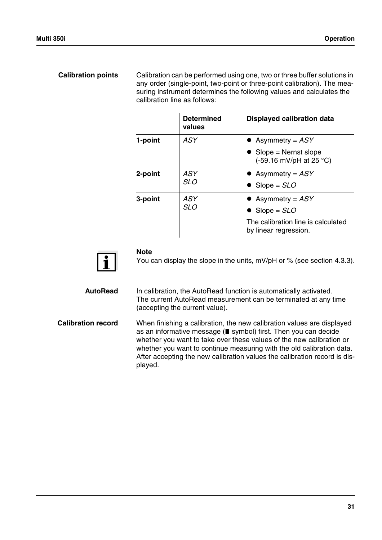# **Calibration points** Calibration can be performed using one, two or three buffer solutions in any order (single-point, two-point or three-point calibration). The measuring instrument determines the following values and calculates the calibration line as follows:

|         | <b>Determined</b><br>values | <b>Displayed calibration data</b>                                                                           |
|---------|-----------------------------|-------------------------------------------------------------------------------------------------------------|
| 1-point | ASY                         | • Asymmetry = $ASY$<br>$Slope = Nernst slope$<br>$(-59.16 \text{ mV/pH at } 25 \text{ °C})$                 |
| 2-point | ASY<br><b>SLO</b>           | • Asymmetry = $ASY$<br>$\bullet$ Slope = SLO                                                                |
| 3-point | ASY<br><b>SLO</b>           | • Asymmetry = $ASY$<br>$\bullet$ Slope = SLO<br>The calibration line is calculated<br>by linear regression. |



### **Note**

You can display the slope in the units, mV/pH or % (see [section 4.3.3\)](#page-24-0).

**AutoRead** In calibration, the AutoRead function is automatically activated. The current AutoRead measurement can be terminated at any time (accepting the current value).

**Calibration record** When finishing a calibration, the new calibration values are displayed as an informative message ( $\blacksquare$  symbol) first. Then you can decide whether you want to take over these values of the new calibration or whether you want to continue measuring with the old calibration data. After accepting the new calibration values the calibration record is displayed.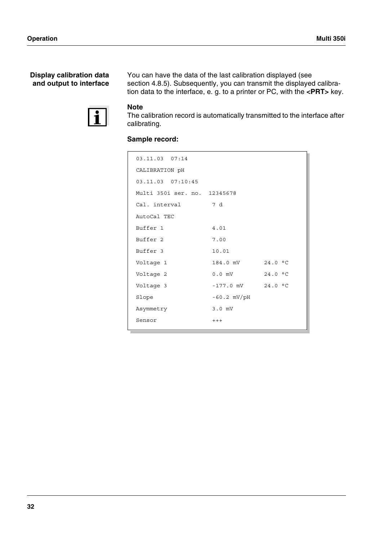## **Display calibration data and output to interface**

You can have the data of the last calibration displayed (see [section 4.8.5\)](#page-75-0). Subsequently, you can transmit the displayed calibration data to the interface, e. g. to a printer or PC, with the **<PRT>** key.



# **Note**

The calibration record is automatically transmitted to the interface after calibrating.

# **Sample record:**

| 03.11.03 07:14               |                       |         |
|------------------------------|-----------------------|---------|
| CALIBRATION pH               |                       |         |
| 03.11.03 07:10:45            |                       |         |
| Multi 350i ser. no. 12345678 |                       |         |
| Cal. interval                | 7 d                   |         |
| AutoCal TEC                  |                       |         |
| Buffer 1                     | 4.01                  |         |
| Buffer 2                     | 7.00                  |         |
| Buffer 3                     | 10.01                 |         |
| Voltage 1                    | 184.0 mV              | 24.0 °C |
| Voltage 2                    | $0.0$ mV              | 24.0 °C |
| Voltage 3                    | $-177.0$ mV $24.0$ °C |         |
| Slope                        | $-60.2$ mV/pH         |         |
| Asymmetry                    | $3.0$ mV              |         |
| Sensor                       | $++++$                |         |
|                              |                       |         |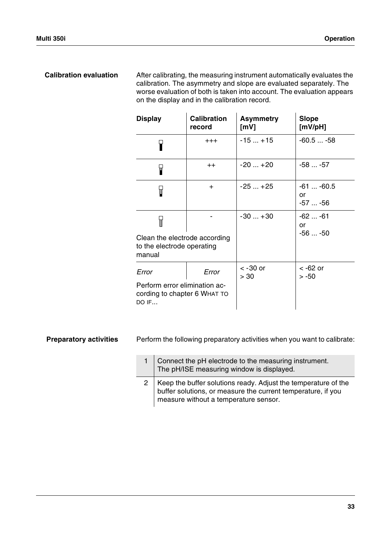**Calibration evaluation** After calibrating, the measuring instrument automatically evaluates the calibration. The asymmetry and slope are evaluated separately. The worse evaluation of both is taken into account. The evaluation appears on the display and in the calibration record.

| <b>Display</b>                                                                | <b>Calibration</b><br>record | <b>Asymmetry</b><br>[mV] | <b>Slope</b><br>[mV/pH]         |
|-------------------------------------------------------------------------------|------------------------------|--------------------------|---------------------------------|
| 7                                                                             | $^{+++}$                     | $-15+15$                 | $-60.5 -58$                     |
| Я                                                                             | $++$                         | $-20+20$                 | $-58$ -57                       |
| 7                                                                             | $\pm$                        | $-25+25$                 | $-61$ $-60.5$<br>or<br>$-57-56$ |
| Я                                                                             |                              | $-30+30$                 | -62  -61<br>or<br>$-56 -50$     |
| Clean the electrode according<br>to the electrode operating<br>manual         |                              |                          |                                 |
| Error                                                                         | Error                        | $<$ -30 or<br>> 30       | < -62 or<br>$> -50$             |
| Perform error elimination ac-<br>cording to chapter 6 WHAT TO<br><b>DO IF</b> |                              |                          |                                 |

**Preparatory activities** Perform the following preparatory activities when you want to calibrate:

| Connect the pH electrode to the measuring instrument.<br>The pH/ISE measuring window is displayed.                                                                          |
|-----------------------------------------------------------------------------------------------------------------------------------------------------------------------------|
| 2   Keep the buffer solutions ready. Adjust the temperature of the<br>buffer solutions, or measure the current temperature, if you<br>measure without a temperature sensor. |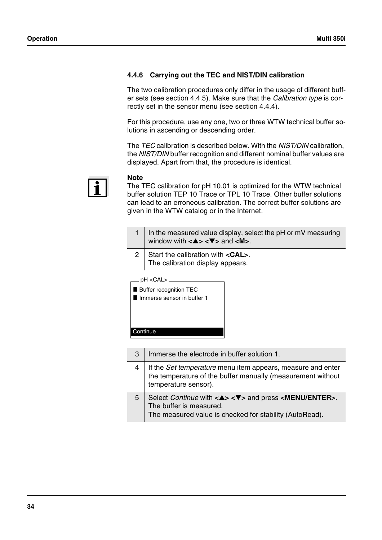# <span id="page-35-0"></span>**4.4.6 Carrying out the TEC and NIST/DIN calibration**

The two calibration procedures only differ in the usage of different buffer sets (see [section 4.4.5\)](#page-31-0). Make sure that the *Calibration type* is correctly set in the sensor menu (see [section 4.4.4\)](#page-30-0).

For this procedure, use any one, two or three WTW technical buffer solutions in ascending or descending order.

The *TEC* calibration is described below. With the *NIST/DIN* calibration, the *NIST/DIN* buffer recognition and different nominal buffer values are displayed. Apart from that, the procedure is identical.



### **Note**

The TEC calibration for pH 10.01 is optimized for the WTW technical buffer solution TEP 10 Trace or TPL 10 Trace. Other buffer solutions can lead to an erroneous calibration. The correct buffer solutions are given in the WTW catalog or in the Internet.

- 1 | In the measured value display, select the pH or mV measuring window with **<**▲**> <**▼**>** and **<M>**.
- 2 Start the calibration with **<CAL>**. The calibration display appears.

| Buffer recognition TEC<br>Immerse sensor in buffer 1 |
|------------------------------------------------------|
| Continue                                             |
|                                                      |

3 Immerse the electrode in buffer solution 1. 4 If the *Set temperature* menu item appears, measure and enter the temperature of the buffer manually (measurement without temperature sensor). 5 Select *Continue* with **<**▲**> <**▼**>** and press **<MENU/ENTER>**. The buffer is measured. The measured value is checked for stability (AutoRead).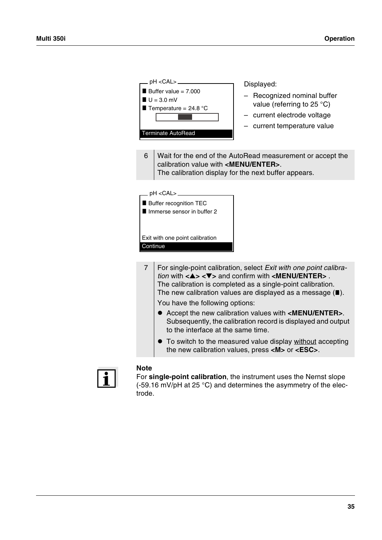| pH < CAL ><br>Buffer value = $7.000$<br>$U = 3.0$ mV<br>Temperature = $24.8$ °C<br><b>Terminate AutoRead</b>                                                                                                                                                                                                                                                                                                                                                                                                                                                                                                              | Displayed:<br>Recognized nominal buffer<br>value (referring to 25 °C)<br>- current electrode voltage<br>- current temperature value |  |
|---------------------------------------------------------------------------------------------------------------------------------------------------------------------------------------------------------------------------------------------------------------------------------------------------------------------------------------------------------------------------------------------------------------------------------------------------------------------------------------------------------------------------------------------------------------------------------------------------------------------------|-------------------------------------------------------------------------------------------------------------------------------------|--|
| 6<br>Wait for the end of the AutoRead measurement or accept the<br>calibration value with <menu enter="">.<br/>The calibration display for the next buffer appears.</menu>                                                                                                                                                                                                                                                                                                                                                                                                                                                |                                                                                                                                     |  |
| .pH <cal> ________<br/>Buffer recognition TEC<br/>Immerse sensor in buffer 2<br/>Exit with one point calibration<br/>Continue</cal>                                                                                                                                                                                                                                                                                                                                                                                                                                                                                       |                                                                                                                                     |  |
| $\overline{7}$<br>For single-point calibration, select Exit with one point calibra-<br><i>tion</i> with $\langle 4 \rangle \langle 7 \rangle$ and confirm with $\langle 2 \rangle$ MENU/ENTER>.<br>The calibration is completed as a single-point calibration.<br>The new calibration values are displayed as a message $(\blacksquare)$ .<br>You have the following options:<br>• Accept the new calibration values with <menu enter="">.<br/>Subsequently, the calibration record is displayed and output<br/>to the interface at the same time.<br/>• To switch to the measured value display without accepting</menu> |                                                                                                                                     |  |
|                                                                                                                                                                                                                                                                                                                                                                                                                                                                                                                                                                                                                           | the new calibration values, press <m> or <esc>.</esc></m>                                                                           |  |



### **Note**

For **single-point calibration**, the instrument uses the Nernst slope (-59.16 mV/pH at 25 °C) and determines the asymmetry of the electrode.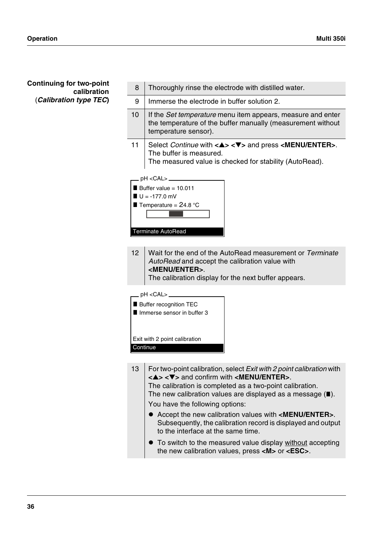# **Continuing for two-point calibration** (*Calibration type TEC***)**

| 8   | Thoroughly rinse the electrode with distilled water.                                                                                                                                                                                                                                                                                                                                                                                                                                                                                                                                                |  |
|-----|-----------------------------------------------------------------------------------------------------------------------------------------------------------------------------------------------------------------------------------------------------------------------------------------------------------------------------------------------------------------------------------------------------------------------------------------------------------------------------------------------------------------------------------------------------------------------------------------------------|--|
| 9   | Immerse the electrode in buffer solution 2.                                                                                                                                                                                                                                                                                                                                                                                                                                                                                                                                                         |  |
| 10  | If the Set temperature menu item appears, measure and enter<br>the temperature of the buffer manually (measurement without<br>temperature sensor).                                                                                                                                                                                                                                                                                                                                                                                                                                                  |  |
| 11  | Select <i>Continue</i> with $\langle 4 \rangle \langle 7 \rangle$ and press $\langle 2 \rangle$ MENU/ENTER>.<br>The buffer is measured.<br>The measured value is checked for stability (AutoRead).                                                                                                                                                                                                                                                                                                                                                                                                  |  |
|     | pH < CAL ><br>Buffer value = $10.011$<br>$U = -177.0$ mV<br>Temperature = $24.8$ °C<br>Terminate AutoRead                                                                                                                                                                                                                                                                                                                                                                                                                                                                                           |  |
| 12  | Wait for the end of the AutoRead measurement or Terminate<br>AutoRead and accept the calibration value with<br><menu enter="">.<br/>The calibration display for the next buffer appears.</menu>                                                                                                                                                                                                                                                                                                                                                                                                     |  |
|     | pH < CAL ><br>Buffer recognition TEC<br>Immerse sensor in buffer 3<br>Exit with 2 point calibration<br>Continue                                                                                                                                                                                                                                                                                                                                                                                                                                                                                     |  |
| 13. | For two-point calibration, select Exit with 2 point calibration with<br>The calibration is completed as a two-point calibration.<br>The new calibration values are displayed as a message $(\blacksquare)$ .<br>You have the following options:<br>Accept the new calibration values with <menu enter="">.<br/>Subsequently, the calibration record is displayed and output<br/>to the interface at the same time.<br/>• To switch to the measured value display without accepting<br/>the new calibration values, press <math>\langle M \rangle</math> or <math>\langle ESC \rangle</math>.</menu> |  |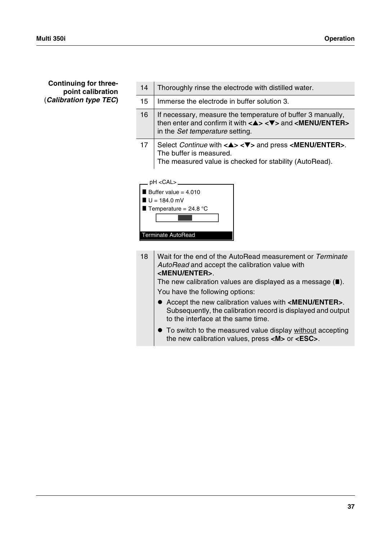# **Continuing for threepoint calibration** (*Calibration type TEC***)**

| 14 | Thoroughly rinse the electrode with distilled water.                                                                                                                                                                                                                                                                                                                                                                                                                                                                                                                                                                   |  |
|----|------------------------------------------------------------------------------------------------------------------------------------------------------------------------------------------------------------------------------------------------------------------------------------------------------------------------------------------------------------------------------------------------------------------------------------------------------------------------------------------------------------------------------------------------------------------------------------------------------------------------|--|
| 15 | Immerse the electrode in buffer solution 3.                                                                                                                                                                                                                                                                                                                                                                                                                                                                                                                                                                            |  |
| 16 | If necessary, measure the temperature of buffer 3 manually,<br>then enter and confirm it with $\langle 4 \rangle \langle 7 \rangle$ and $\langle 1$ MENU/ENTER<br>in the Set temperature setting.                                                                                                                                                                                                                                                                                                                                                                                                                      |  |
| 17 | Select Continue with < $\blacktriangle$ > < $\nabla$ > and press <menu enter="">.<br/>The buffer is measured.<br/>The measured value is checked for stability (AutoRead).</menu>                                                                                                                                                                                                                                                                                                                                                                                                                                       |  |
|    | pH < CAL ><br>Buffer value = $4.010$<br>$U = 184.0$ mV<br>Temperature = $24.8$ °C<br><b>Terminate AutoRead</b>                                                                                                                                                                                                                                                                                                                                                                                                                                                                                                         |  |
| 18 | Wait for the end of the AutoRead measurement or Terminate<br>AutoRead and accept the calibration value with<br><menu enter="">.<br/>The new calibration values are displayed as a message <math>(\blacksquare)</math>.<br/>You have the following options:<br/>● Accept the new calibration values with <menu enter="">.<br/>Subsequently, the calibration record is displayed and output<br/>to the interface at the same time.<br/>To switch to the measured value display without accepting<br/>the new calibration values, press <math>\langle M \rangle</math> or <math>\langle ESC \rangle</math>.</menu></menu> |  |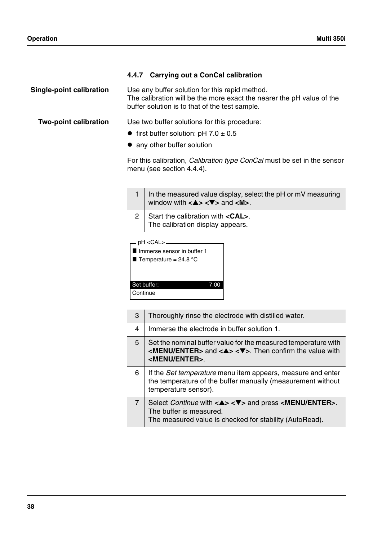# **4.4.7 Carrying out a ConCal calibration**

**Single-point calibration** Use any buffer solution for this rapid method. The calibration will be the more exact the nearer the pH value of the buffer solution is to that of the test sample.

**Two-point calibration** Use two buffer solutions for this procedure:

- first buffer solution:  $pH$  7.0  $\pm$  0.5
- any other buffer solution

For this calibration, *Calibration type ConCal* must be set in the sensor menu (see [section 4.4.4](#page-30-0)).

- 1 | In the measured value display, select the pH or mV measuring window with **<**▲**> <**▼**>** and **<M>**.
- 2 Start the calibration with **<CAL>**. The calibration display appears.

| pH <cal>-</cal>                |  |
|--------------------------------|--|
| Inmerse sensor in buffer 1     |  |
| <b>T</b> Temperature = 24.8 °C |  |
|                                |  |
|                                |  |
| Set buffer:                    |  |
| <b>Continue</b>                |  |
|                                |  |

| 3 | Thoroughly rinse the electrode with distilled water.                                                                                                                                                              |  |
|---|-------------------------------------------------------------------------------------------------------------------------------------------------------------------------------------------------------------------|--|
| 4 | Immerse the electrode in buffer solution 1.                                                                                                                                                                       |  |
| 5 | Set the nominal buffer value for the measured temperature with<br>$\leq$ MENU/ENTER> and $\leq$ A> $\leq$ V>. Then confirm the value with<br><menu enter="">.</menu>                                              |  |
| 6 | If the Set temperature menu item appears, measure and enter<br>the temperature of the buffer manually (measurement without<br>temperature sensor).                                                                |  |
| 7 | Select Continue with $\langle \blacktriangle \rangle \langle \nabla \rangle$ and press $\langle \text{MEM/ENTER} \rangle$ .<br>The buffer is measured.<br>The measured value is checked for stability (AutoRead). |  |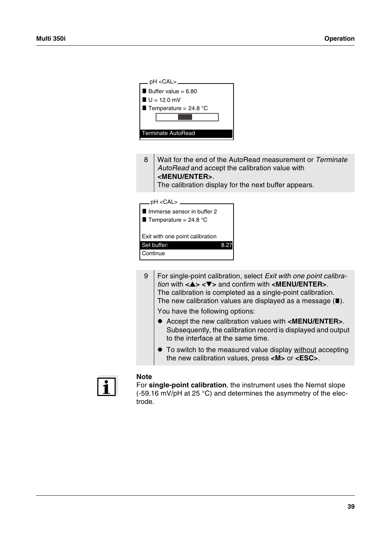| _ pH <cal> _</cal>           |  |  |
|------------------------------|--|--|
| <b>Buffer value = 6.80</b>   |  |  |
| $U = 12.0$ mV                |  |  |
| <b>Temperature = 24.8 °C</b> |  |  |
|                              |  |  |
|                              |  |  |
| Terminate AutoRead           |  |  |
|                              |  |  |

8 Wait for the end of the AutoRead measurement or *Terminate AutoRead* and accept the calibration value with **<MENU/ENTER>**. The calibration display for the next buffer appears.

| _pH <cal> _</cal>               |  |
|---------------------------------|--|
| Immerse sensor in buffer 2      |  |
| Temperature = $24.8$ °C         |  |
|                                 |  |
| Exit with one point calibration |  |
| Set buffer:                     |  |
| Continue                        |  |
|                                 |  |

9 For single-point calibration, select *Exit with one point calibration* with **<**▲**> <**▼**>** and confirm with **<MENU/ENTER>**. The calibration is completed as a single-point calibration. The new calibration values are displayed as a message  $(\blacksquare)$ .

You have the following options:

- ! Accept the new calibration values with **<MENU/ENTER>**. Subsequently, the calibration record is displayed and output to the interface at the same time.
- $\bullet$  To switch to the measured value display without accepting the new calibration values, press **<M>** or **<ESC>**.



#### **Note**

For **single-point calibration**, the instrument uses the Nernst slope (-59.16 mV/pH at 25 °C) and determines the asymmetry of the electrode.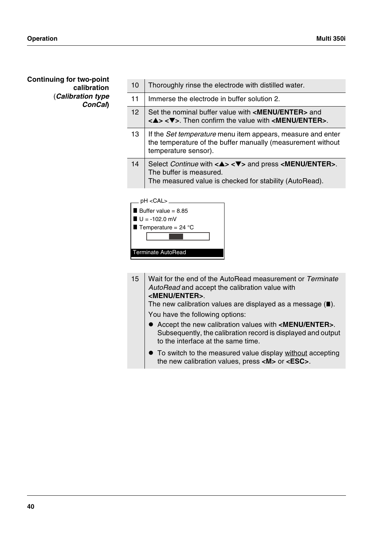# **Continuing for two-point calibration** (*Calibration type ConCal***)**

| 10              | Thoroughly rinse the electrode with distilled water.                                                                                                                                                       |
|-----------------|------------------------------------------------------------------------------------------------------------------------------------------------------------------------------------------------------------|
| 11              | Immerse the electrode in buffer solution 2.                                                                                                                                                                |
| 12 <sup>2</sup> | Set the nominal buffer value with <menu enter=""> and<br/><math>\langle 4 \rangle \langle 7 \rangle</math>. Then confirm the value with <math>\langle 2 \rangle</math> MENU/ENTER<math>&gt;</math>.</menu> |
| 13              | If the Set temperature menu item appears, measure and enter<br>the temperature of the buffer manually (measurement without<br>temperature sensor).                                                         |
| 14              | Select <i>Continue</i> with $\langle 4 \rangle \langle 7 \rangle$ and press $\langle 2 \rangle$ MENU/ENTER>.<br>The buffer is measured.<br>The measured value is checked for stability (AutoRead).         |
|                 |                                                                                                                                                                                                            |



15 Wait for the end of the AutoRead measurement or *Terminate AutoRead* and accept the calibration value with **<MENU/ENTER>**.

The new calibration values are displayed as a message  $(\blacksquare)$ .

You have the following options:

- ! Accept the new calibration values with **<MENU/ENTER>**. Subsequently, the calibration record is displayed and output to the interface at the same time.
- $\bullet$  To switch to the measured value display without accepting the new calibration values, press **<M>** or **<ESC>**.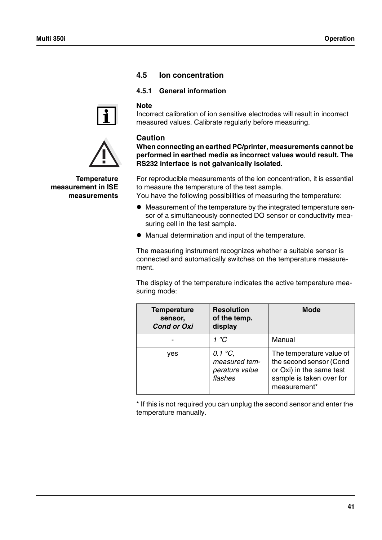# **4.5 Ion concentration**

# <span id="page-42-0"></span>**4.5.1 General information**



**Temperature measurement in ISE measurements** **Note** Incorrect calibration of ion sensitive electrodes will result in incorrect measured values. Calibrate regularly before measuring.

# **Caution**

**When connecting an earthed PC/printer, measurements cannot be performed in earthed media as incorrect values would result. The RS232 interface is not galvanically isolated.**

For reproducible measurements of the ion concentration, it is essential to measure the temperature of the test sample.

You have the following possibilities of measuring the temperature:

- ! Measurement of the temperature by the integrated temperature sensor of a simultaneously connected DO sensor or conductivity measuring cell in the test sample.
- $\bullet$  Manual determination and input of the temperature.

The measuring instrument recognizes whether a suitable sensor is connected and automatically switches on the temperature measurement.

The display of the temperature indicates the active temperature measuring mode:

| <b>Temperature</b><br>sensor,<br><b>Cond or Oxi</b> | <b>Resolution</b><br>of the temp.<br>display                   | <b>Mode</b>                                                                                                                 |
|-----------------------------------------------------|----------------------------------------------------------------|-----------------------------------------------------------------------------------------------------------------------------|
|                                                     | 1 °C                                                           | Manual                                                                                                                      |
| yes                                                 | 0.1 $\degree$ C,<br>measured tem-<br>perature value<br>flashes | The temperature value of<br>the second sensor (Cond<br>or Oxi) in the same test<br>sample is taken over for<br>measurement* |

\* If this is not required you can unplug the second sensor and enter the temperature manually.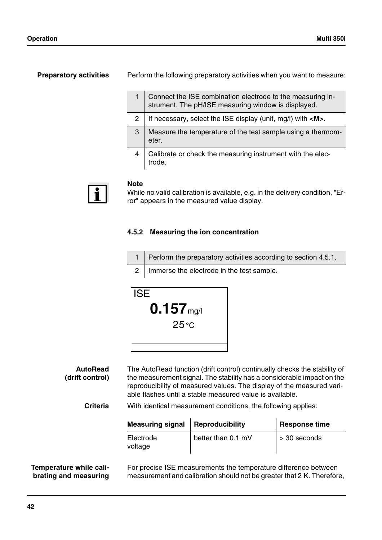**Preparatory activities** Perform the following preparatory activities when you want to measure:

|   | Connect the ISE combination electrode to the measuring instrument. The pH/ISE measuring window is displayed. |
|---|--------------------------------------------------------------------------------------------------------------|
|   | If necessary, select the ISE display (unit, mg/l) with <m>.</m>                                              |
| 3 | Measure the temperature of the test sample using a thermom-<br>eter.                                         |
|   | Calibrate or check the measuring instrument with the elec-<br>trode.                                         |



### **Note**

While no valid calibration is available, e.g. in the delivery condition, "Error" appears in the measured value display.

# **4.5.2 Measuring the ion concentration**

|  | 1   Perform the preparatory activities according to section 4.5.1. |
|--|--------------------------------------------------------------------|
|--|--------------------------------------------------------------------|

2 | Immerse the electrode in the test sample.



**AutoRead (drift control)** The AutoRead function (drift control) continually checks the stability of the measurement signal. The stability has a considerable impact on the reproducibility of measured values. The display of the measured variable flashes until a stable measured value is available.

**Criteria** With identical measurement conditions, the following applies:

| <b>Measuring signal</b> | <b>Reproducibility</b> | Response time |
|-------------------------|------------------------|---------------|
| Electrode<br>voltage    | better than 0.1 mV     | > 30 seconds  |

#### **Temperature while calibrating and measuring**

For precise ISE measurements the temperature difference between measurement and calibration should not be greater that 2 K. Therefore,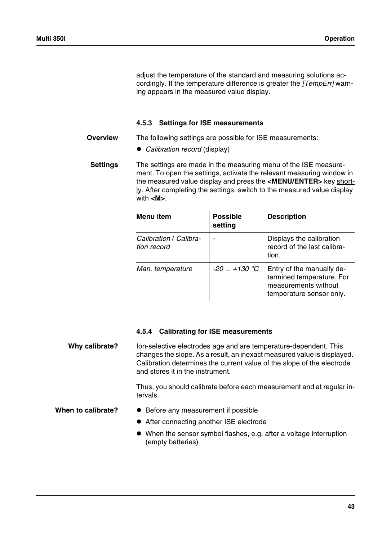adjust the temperature of the standard and measuring solutions accordingly. If the temperature difference is greater the *[TempErr]* warning appears in the measured value display.

#### **4.5.3 Settings for ISE measurements**

**Overview** The following settings are possible for ISE measurements:

! *Calibration record* (display)

**Settings** The settings are made in the measuring menu of the ISE measurement. To open the settings, activate the relevant measuring window in the measured value display and press the **<MENU/ENTER>** key short- $l$ . After completing the settings, switch to the measured value display</u> with **<M>**.

| Menu item                             | <b>Possible</b><br>setting | <b>Description</b>                                                                                         |
|---------------------------------------|----------------------------|------------------------------------------------------------------------------------------------------------|
| Calibration / Calibra-<br>tion record |                            | Displays the calibration<br>record of the last calibra-<br>tion.                                           |
| Man. temperature                      | $-20$ +130 °C              | Entry of the manually de-<br>termined temperature. For<br>measurements without<br>temperature sensor only. |

#### **4.5.4 Calibrating for ISE measurements**

**Why calibrate?** Ion-selective electrodes age and are temperature-dependent. This changes the slope. As a result, an inexact measured value is displayed. Calibration determines the current value of the slope of the electrode and stores it in the instrument.

> Thus, you should calibrate before each measurement and at regular intervals.

- When to calibrate?  $\bullet$  Before any measurement if possible
	- After connecting another ISE electrode
	- ! When the sensor symbol flashes, e.g. after a voltage interruption (empty batteries)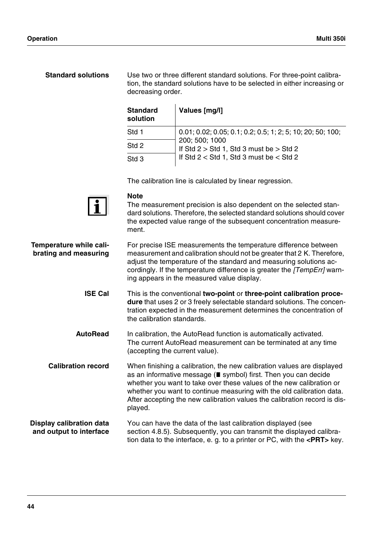# **Standard solutions** Use two or three different standard solutions. For three-point calibration, the standard solutions have to be selected in either increasing or decreasing order.  $\mathcal{L}_{\rm eff}$

| <b>Standard</b><br>solution | Values [mg/l]                                                 |
|-----------------------------|---------------------------------------------------------------|
| Std 1                       | $0.01; 0.02; 0.05; 0.1; 0.2; 0.5; 1; 2; 5; 10; 20; 50; 100;$  |
| Std 2                       | 200; 500; 1000<br>If Std $2 >$ Std 1, Std 3 must be $>$ Std 2 |
| Std <sub>3</sub>            | If Std $2 <$ Std 1, Std 3 must be $<$ Std 2                   |

The calibration line is calculated by linear regression.



#### **Note**

The measurement precision is also dependent on the selected standard solutions. Therefore, the selected standard solutions should cover the expected value range of the subsequent concentration measurement.

| Temperature while cali-<br>brating and measuring           | For precise ISE measurements the temperature difference between<br>measurement and calibration should not be greater that 2 K. Therefore,<br>adjust the temperature of the standard and measuring solutions ac-<br>cordingly. If the temperature difference is greater the [TempErr] warn-<br>ing appears in the measured value display.                                           |
|------------------------------------------------------------|------------------------------------------------------------------------------------------------------------------------------------------------------------------------------------------------------------------------------------------------------------------------------------------------------------------------------------------------------------------------------------|
| <b>ISE Cal</b>                                             | This is the conventional two-point or three-point calibration proce-<br>dure that uses 2 or 3 freely selectable standard solutions. The concen-<br>tration expected in the measurement determines the concentration of<br>the calibration standards.                                                                                                                               |
| <b>AutoRead</b>                                            | In calibration, the AutoRead function is automatically activated.<br>The current AutoRead measurement can be terminated at any time<br>(accepting the current value).                                                                                                                                                                                                              |
| <b>Calibration record</b>                                  | When finishing a calibration, the new calibration values are displayed<br>as an informative message (■ symbol) first. Then you can decide<br>whether you want to take over these values of the new calibration or<br>whether you want to continue measuring with the old calibration data.<br>After accepting the new calibration values the calibration record is dis-<br>played. |
| <b>Display calibration data</b><br>and output to interface | You can have the data of the last calibration displayed (see<br>section 4.8.5). Subsequently, you can transmit the displayed calibra-<br>tion data to the interface, e. g. to a printer or PC, with the $\leq$ PRT> key.                                                                                                                                                           |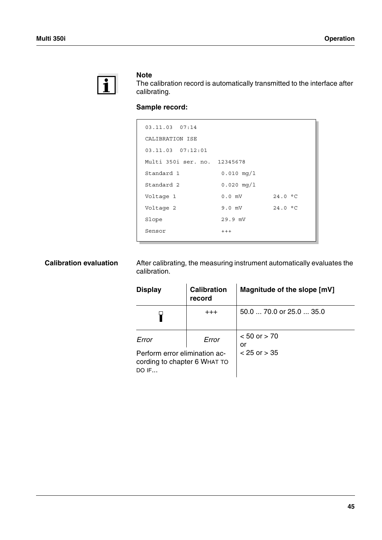

### **Note**

The calibration record is automatically transmitted to the interface after calibrating.

# **Sample record:**

| $03.11.03$ $07:14$           |              |         |
|------------------------------|--------------|---------|
| CALIBRATION ISE              |              |         |
| $03.11.03$ $07:12:01$        |              |         |
| Multi 350i ser. no. 12345678 |              |         |
| Standard 1                   | $0.010$ mg/l |         |
| Standard 2                   | $0.020$ mg/l |         |
| Voltage 1                    | $0.0$ mV     | 24.0 °C |
| Voltage 2                    | $9.0$ mV     | 24.0 °C |
| Slope                        | 29.9 mV      |         |
| Sensor                       | $+++$        |         |

**Calibration evaluation** After calibrating, the measuring instrument automatically evaluates the calibration.

| <b>Display</b>                                                           | <b>Calibration</b><br>record | Magnitude of the slope [mV] |
|--------------------------------------------------------------------------|------------------------------|-----------------------------|
|                                                                          | $^{+++}$                     | 50.0  70.0 or 25.0  35.0    |
| Error<br>Error                                                           |                              | $< 50$ or $> 70$<br>or      |
| Perform error elimination ac-<br>cording to chapter 6 WHAT TO<br>$DO$ IF |                              | $< 25$ or $> 35$            |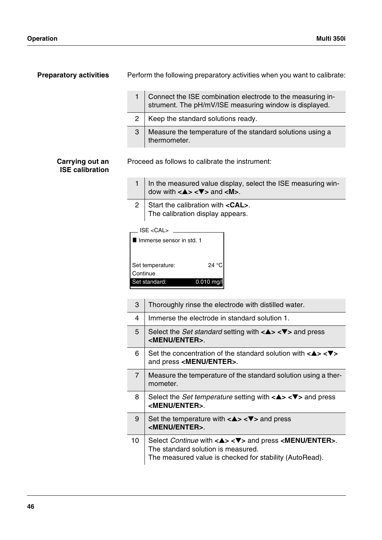| <b>Preparatory activities</b>             |                | Perform the following preparatory activities when you want to calibrate:                                                                                                                      |  |
|-------------------------------------------|----------------|-----------------------------------------------------------------------------------------------------------------------------------------------------------------------------------------------|--|
|                                           | 1              | Connect the ISE combination electrode to the measuring in-<br>strument. The pH/mV/ISE measuring window is displayed.                                                                          |  |
|                                           | $\overline{2}$ | Keep the standard solutions ready.                                                                                                                                                            |  |
|                                           | 3              | Measure the temperature of the standard solutions using a<br>thermometer.                                                                                                                     |  |
| Carrying out an<br><b>ISE calibration</b> |                | Proceed as follows to calibrate the instrument:                                                                                                                                               |  |
|                                           | $\mathbf{1}$   | In the measured value display, select the ISE measuring win-<br>dow with $\langle 4 \rangle \langle 4 \rangle$ and $\langle 1 \rangle$ .                                                      |  |
|                                           | $\overline{2}$ | Start the calibration with <cal>.<br/>The calibration display appears.</cal>                                                                                                                  |  |
|                                           |                | Immerse sensor in std. 1<br>Set temperature:<br>24 °C<br>Continue<br>0.010 mg/l<br>Set standard:                                                                                              |  |
|                                           | 3              | Thoroughly rinse the electrode with distilled water.                                                                                                                                          |  |
|                                           | 4              | Immerse the electrode in standard solution 1.                                                                                                                                                 |  |
|                                           | 5              | Select the <i>Set standard</i> setting with $\langle 4 \rangle \langle 7 \rangle$ and press<br><menu enter="">.</menu>                                                                        |  |
|                                           | 6              | Set the concentration of the standard solution with $\langle 2 \rangle \langle 2 \rangle$<br>and press <menu enter="">.</menu>                                                                |  |
|                                           | 7              | Measure the temperature of the standard solution using a ther-<br>mometer.                                                                                                                    |  |
|                                           | 8              | Select the <i>Set temperature</i> setting with $\langle 2 \rangle \langle 2 \rangle$ and press<br><menu enter="">.</menu>                                                                     |  |
|                                           | 9              | Set the temperature with $\langle 4 \rangle \langle 7 \rangle$ and press<br><menu enter="">.</menu>                                                                                           |  |
|                                           | 10             | Select Continue with $\langle 4 \rangle \langle 7 \rangle$ and press $\langle $ MENU/ENTER>.<br>The standard solution is measured.<br>The measured value is checked for stability (AutoRead). |  |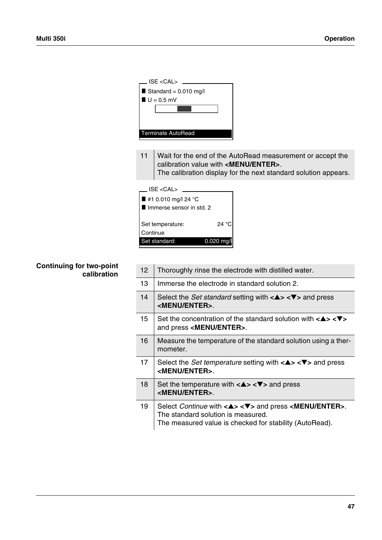11 Wait for the end of the AutoRead measurement or accept the calibration value with **<MENU/ENTER>**. The calibration display for the next standard solution appears.

| <b>ISE <cal></cal></b>                            |             |
|---------------------------------------------------|-------------|
| ■ #1 0.010 mg/l 24 °C<br>Immerse sensor in std. 2 |             |
| Set temperature:<br>Continue                      | 24 °C       |
| Set standard:                                     | $0.020$ mg/ |
|                                                   |             |

# **Continuing for two-point calibration**

| 12 <sup>2</sup> | Thoroughly rinse the electrode with distilled water.                                                                                                                                                                                            |
|-----------------|-------------------------------------------------------------------------------------------------------------------------------------------------------------------------------------------------------------------------------------------------|
| 13              | Immerse the electrode in standard solution 2.                                                                                                                                                                                                   |
| 14              | Select the <i>Set standard</i> setting with $\langle \blacktriangle \rangle \langle \blacktriangledown \rangle$ and press<br><b><menu enter="">.</menu></b>                                                                                     |
| 15              | Set the concentration of the standard solution with $\langle 4 \rangle \langle 7 \rangle$<br>and press <menu enter="">.</menu>                                                                                                                  |
| 16              | Measure the temperature of the standard solution using a ther-<br>mometer.                                                                                                                                                                      |
| 17              | Select the <i>Set temperature</i> setting with $\langle 4 \rangle \langle 7 \rangle$ and press<br><menu enter="">.</menu>                                                                                                                       |
| 18              | Set the temperature with $\langle 4 \rangle \langle 7 \rangle$ and press<br><menu enter="">.</menu>                                                                                                                                             |
| 19              | Select <i>Continue</i> with $\langle \blacktriangle \rangle \langle \blacktriangledown \rangle$ and press $\langle \text{MEM/ENTER} \rangle$ .<br>The standard solution is measured.<br>The measured value is checked for stability (AutoRead). |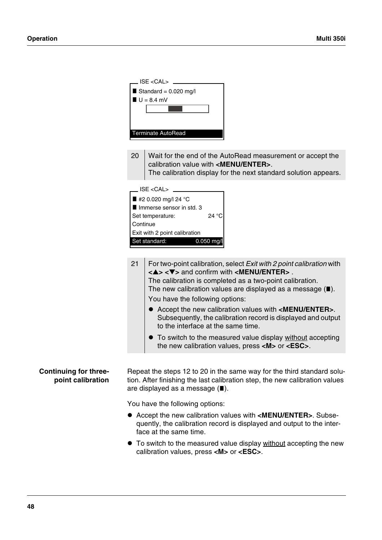|                              | $ISE < CAL)$                                                                                                                                    |  |  |
|------------------------------|-------------------------------------------------------------------------------------------------------------------------------------------------|--|--|
|                              | Standard = $0.020$ mg/l                                                                                                                         |  |  |
|                              | $U = 8.4$ mV                                                                                                                                    |  |  |
|                              |                                                                                                                                                 |  |  |
|                              |                                                                                                                                                 |  |  |
|                              | <b>Terminate AutoRead</b>                                                                                                                       |  |  |
|                              |                                                                                                                                                 |  |  |
|                              | 20<br>Wait for the end of the AutoRead measurement or accept the                                                                                |  |  |
|                              | calibration value with <menu enter="">.</menu>                                                                                                  |  |  |
|                              | The calibration display for the next standard solution appears.                                                                                 |  |  |
|                              | $ISE < CAL$                                                                                                                                     |  |  |
|                              | ■ #2 0.020 mg/l 24 °C                                                                                                                           |  |  |
|                              | Immerse sensor in std. 3                                                                                                                        |  |  |
|                              | 24 °C<br>Set temperature:<br>Continue                                                                                                           |  |  |
|                              | Exit with 2 point calibration                                                                                                                   |  |  |
|                              | Set standard:<br>0.050 mg/l                                                                                                                     |  |  |
|                              |                                                                                                                                                 |  |  |
|                              | 21<br>For two-point calibration, select Exit with 2 point calibration with                                                                      |  |  |
|                              | $\langle \blacktriangle \rangle \langle \blacktriangledown \rangle$ and confirm with $\langle \text{MEM/ENTER} \rangle$ .                       |  |  |
|                              | The calibration is completed as a two-point calibration.                                                                                        |  |  |
|                              | The new calibration values are displayed as a message $(\blacksquare)$ .                                                                        |  |  |
|                              | You have the following options:                                                                                                                 |  |  |
|                              | • Accept the new calibration values with <menu enter="">.</menu>                                                                                |  |  |
|                              | Subsequently, the calibration record is displayed and output                                                                                    |  |  |
|                              | to the interface at the same time.                                                                                                              |  |  |
|                              | • To switch to the measured value display without accepting<br>the new calibration values, press $\langle M \rangle$ or $\langle ESC \rangle$ . |  |  |
|                              |                                                                                                                                                 |  |  |
|                              |                                                                                                                                                 |  |  |
| <b>Continuing for three-</b> | Repeat the steps 12 to 20 in the same way for the third standard solu-                                                                          |  |  |
| point calibration            | tion. After finishing the last calibration step, the new calibration values<br>are displayed as a message $(\blacksquare)$ .                    |  |  |
|                              |                                                                                                                                                 |  |  |
|                              | You have the following options:                                                                                                                 |  |  |
|                              | Accept the new calibration values with <menu enter="">. Subse-</menu>                                                                           |  |  |
|                              | quently, the calibration record is displayed and output to the inter-<br>face at the same time.                                                 |  |  |
|                              |                                                                                                                                                 |  |  |
|                              | • To switch to the measured value display without accepting the new<br>calibration values, press <m> or <esc>.</esc></m>                        |  |  |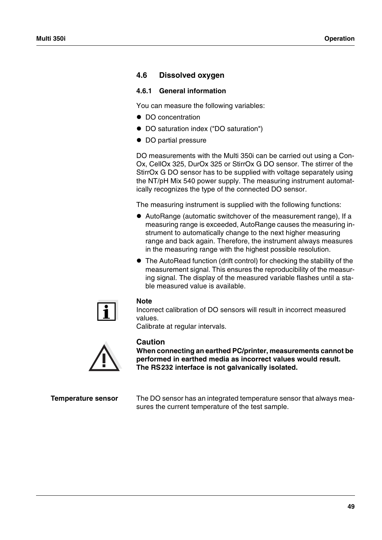# **4.6 Dissolved oxygen**

### <span id="page-50-0"></span>**4.6.1 General information**

You can measure the following variables:

- DO concentration
- DO saturation index ("DO saturation")
- DO partial pressure

DO measurements with the Multi 350i can be carried out using a Con-Ox, CellOx 325, DurOx 325 or StirrOx G DO sensor. The stirrer of the StirrOx G DO sensor has to be supplied with voltage separately using the NT/pH Mix 540 power supply. The measuring instrument automatically recognizes the type of the connected DO sensor.

The measuring instrument is supplied with the following functions:

- ! AutoRange (automatic switchover of the measurement range), If a measuring range is exceeded, AutoRange causes the measuring instrument to automatically change to the next higher measuring range and back again. Therefore, the instrument always measures in the measuring range with the highest possible resolution.
- The AutoRead function (drift control) for checking the stability of the measurement signal. This ensures the reproducibility of the measuring signal. The display of the measured variable flashes until a stable measured value is available.



#### **Note**

Incorrect calibration of DO sensors will result in incorrect measured values.

Calibrate at regular intervals.



### **Caution**

**When connecting an earthed PC/printer, measurements cannot be performed in earthed media as incorrect values would result. The RS232 interface is not galvanically isolated.**

**Temperature sensor** The DO sensor has an integrated temperature sensor that always measures the current temperature of the test sample.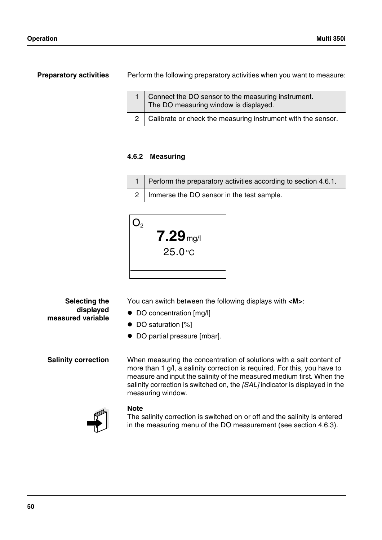**Preparatory activities** Perform the following preparatory activities when you want to measure:

| Connect the DO sensor to the measuring instrument.<br>The DO measuring window is displayed. |
|---------------------------------------------------------------------------------------------|
| 2   Calibrate or check the measuring instrument with the sensor.                            |

# **4.6.2 Measuring**

- 1 Perform the preparatory activities according to [section 4.6.1](#page-50-0).
- 2 | Immerse the DO sensor in the test sample.



You can switch between the following displays with **<M>**:

- DO concentration [mg/l]
- DO saturation [%]
- $\bullet$  DO partial pressure [mbar].

**Selecting the displayed**

**measured variable**

**Salinity correction** When measuring the concentration of solutions with a salt content of more than 1 g/l, a salinity correction is required. For this, you have to measure and input the salinity of the measured medium first. When the salinity correction is switched on, the *[SAL]* indicator is displayed in the measuring window.



### **Note**

The salinity correction is switched on or off and the salinity is entered in the measuring menu of the DO measurement (see [section 4.6.3](#page-52-0)).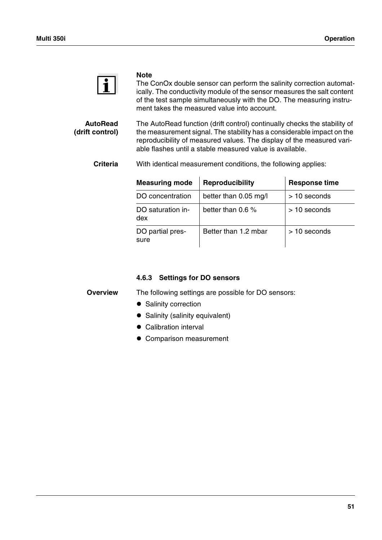

#### **Note**

The ConOx double sensor can perform the salinity correction automatically. The conductivity module of the sensor measures the salt content of the test sample simultaneously with the DO. The measuring instrument takes the measured value into account.

**AutoRead (drift control)** The AutoRead function (drift control) continually checks the stability of the measurement signal. The stability has a considerable impact on the reproducibility of measured values. The display of the measured variable flashes until a stable measured value is available.

**Criteria** With identical measurement conditions, the following applies:

| <b>Measuring mode</b>    | <b>Reproducibility</b> | <b>Response time</b> |
|--------------------------|------------------------|----------------------|
| DO concentration         | better than 0.05 mg/l  | $>$ 10 seconds       |
| DO saturation in-<br>dex | better than 0.6 $%$    | $>10$ seconds        |
| DO partial pres-<br>sure | Better than 1.2 mbar   | $>10$ seconds        |

# <span id="page-52-0"></span>**4.6.3 Settings for DO sensors**

**Overview** The following settings are possible for DO sensors:

- Salinity correction
- Salinity (salinity equivalent)
- Calibration interval
- Comparison measurement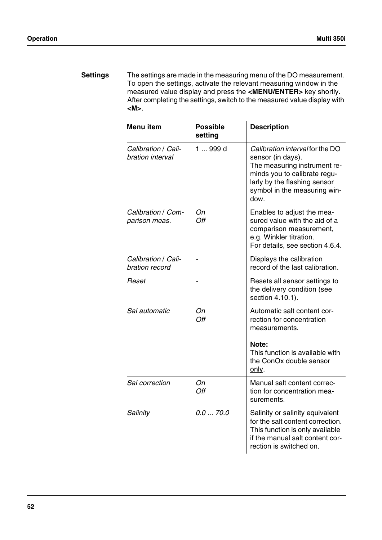**Settings** The settings are made in the measuring menu of the DO measurement. To open the settings, activate the relevant measuring window in the measured value display and press the **<MENU/ENTER>** key shortly. After completing the settings, switch to the measured value display with **<M>**.

| Menu item                               | <b>Possible</b><br>setting | <b>Description</b>                                                                                                                                                                           |
|-----------------------------------------|----------------------------|----------------------------------------------------------------------------------------------------------------------------------------------------------------------------------------------|
| Calibration / Cali-<br>bration interval | 1  999 d                   | Calibration interval for the DO<br>sensor (in days).<br>The measuring instrument re-<br>minds you to calibrate regu-<br>larly by the flashing sensor<br>symbol in the measuring win-<br>dow. |
| Calibration / Com-<br>parison meas.     | Оn<br>Off                  | Enables to adjust the mea-<br>sured value with the aid of a<br>comparison measurement,<br>e.g. Winkler titration.<br>For details, see section 4.6.4.                                         |
| Calibration / Cali-<br>bration record   |                            | Displays the calibration<br>record of the last calibration.                                                                                                                                  |
| Reset                                   |                            | Resets all sensor settings to<br>the delivery condition (see<br>section 4.10.1).                                                                                                             |
| Sal automatic                           | On<br>Off                  | Automatic salt content cor-<br>rection for concentration<br>measurements.<br>Note:<br>This function is available with<br>the ConOx double sensor<br>only.                                    |
| Sal correction                          | Оn<br>Off                  | Manual salt content correc-<br>tion for concentration mea-<br>surements.                                                                                                                     |
| Salinity                                | 0.070.0                    | Salinity or salinity equivalent<br>for the salt content correction.<br>This function is only available<br>if the manual salt content cor-<br>rection is switched on.                         |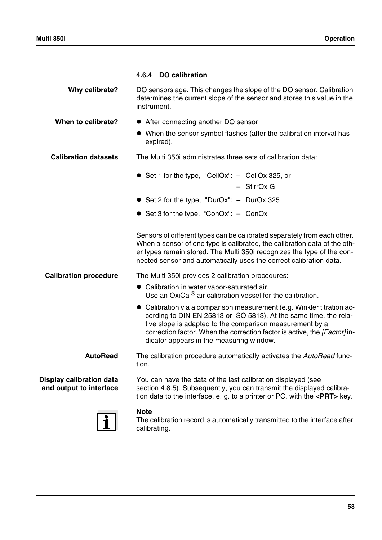<span id="page-54-0"></span>

|                                                     | 4.6.4 DO calibration                                                                                                                                                                                                                                                                                                             |
|-----------------------------------------------------|----------------------------------------------------------------------------------------------------------------------------------------------------------------------------------------------------------------------------------------------------------------------------------------------------------------------------------|
| Why calibrate?                                      | DO sensors age. This changes the slope of the DO sensor. Calibration<br>determines the current slope of the sensor and stores this value in the<br>instrument.                                                                                                                                                                   |
| When to calibrate?                                  | • After connecting another DO sensor                                                                                                                                                                                                                                                                                             |
|                                                     | • When the sensor symbol flashes (after the calibration interval has<br>expired).                                                                                                                                                                                                                                                |
| <b>Calibration datasets</b>                         | The Multi 350 administrates three sets of calibration data:                                                                                                                                                                                                                                                                      |
|                                                     | • Set 1 for the type, "CellOx": - CellOx 325, or<br>- StirrOx G                                                                                                                                                                                                                                                                  |
|                                                     | • Set 2 for the type, "DurOx": - DurOx 325                                                                                                                                                                                                                                                                                       |
|                                                     | • Set 3 for the type, "ConOx": $-$ ConOx                                                                                                                                                                                                                                                                                         |
|                                                     | Sensors of different types can be calibrated separately from each other.<br>When a sensor of one type is calibrated, the calibration data of the oth-<br>er types remain stored. The Multi 350i recognizes the type of the con-<br>nected sensor and automatically uses the correct calibration data.                            |
| <b>Calibration procedure</b>                        | The Multi 350i provides 2 calibration procedures:                                                                                                                                                                                                                                                                                |
|                                                     | • Calibration in water vapor-saturated air.<br>Use an OxiCal <sup>®</sup> air calibration vessel for the calibration.                                                                                                                                                                                                            |
|                                                     | • Calibration via a comparison measurement (e.g. Winkler titration ac-<br>cording to DIN EN 25813 or ISO 5813). At the same time, the rela-<br>tive slope is adapted to the comparison measurement by a<br>correction factor. When the correction factor is active, the [Factor] in-<br>dicator appears in the measuring window. |
| <b>AutoRead</b>                                     | The calibration procedure automatically activates the AutoRead func-<br>tion.                                                                                                                                                                                                                                                    |
| Display calibration data<br>and output to interface | You can have the data of the last calibration displayed (see<br>section 4.8.5). Subsequently, you can transmit the displayed calibra-<br>tion data to the interface, e. g. to a printer or PC, with the <prt> key.</prt>                                                                                                         |
|                                                     | <b>Note</b><br>The calibration record is automatically transmitted to the interface after<br>calibrating.                                                                                                                                                                                                                        |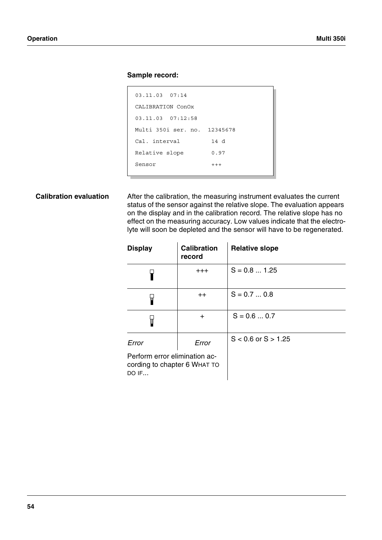# **Sample record:**



**Calibration evaluation** After the calibration, the measuring instrument evaluates the current status of the sensor against the relative slope. The evaluation appears on the display and in the calibration record. The relative slope has no effect on the measuring accuracy. Low values indicate that the electrolyte will soon be depleted and the sensor will have to be regenerated.

| <b>Display</b>                                                         | <b>Calibration</b><br>record | <b>Relative slope</b>   |
|------------------------------------------------------------------------|------------------------------|-------------------------|
|                                                                        | $+ + +$                      | $S = 0.8  1.25$         |
|                                                                        | $++$                         | $S = 0.7  0.8$          |
|                                                                        | $\div$                       | $S = 0.6  0.7$          |
| Error                                                                  | Error                        | $S < 0.6$ or $S > 1.25$ |
| Perform error elimination ac-<br>cording to chapter 6 WHAT TO<br>DO IF |                              |                         |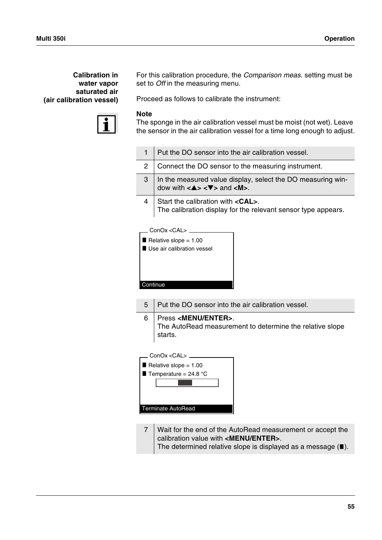# **Calibration in water vapor saturated air (air calibration vessel)**



For this calibration procedure, the *Comparison meas.* setting must be set to *Off* in the measuring menu.

Proceed as follows to calibrate the instrument:

### **Note**

The sponge in the air calibration vessel must be moist (not wet). Leave the sensor in the air calibration vessel for a time long enough to adjust.

| 1 | Put the DO sensor into the air calibration vessel.                                                                                                                    |
|---|-----------------------------------------------------------------------------------------------------------------------------------------------------------------------|
| 2 | Connect the DO sensor to the measuring instrument.                                                                                                                    |
| 3 | In the measured value display, select the DO measuring win-<br>dow with $\langle \blacktriangle \rangle \langle \blacktriangledown \rangle$ and $\langle M \rangle$ . |
| 4 | Start the calibration with <cal>.<br/>The calibration display for the relevant sensor type appears.</cal>                                                             |
|   | ConOx <cal><br/>Relative slope = <math>1.00</math><br/>Llee air calibration veccal</cal>                                                                              |

| Relative slope = $1.00$      |  |
|------------------------------|--|
| ■ Use air calibration vessel |  |
|                              |  |
|                              |  |
|                              |  |
|                              |  |
| Continue                     |  |
|                              |  |

5 Put the DO sensor into the air calibration vessel.

6 Press **<MENU/ENTER>**. The AutoRead measurement to determine the relative slope starts.

| ConOx <cal></cal>         |
|---------------------------|
| Relative slope = $1.00$   |
| Temperature = $24.8$ °C   |
|                           |
|                           |
|                           |
| <b>Terminate AutoRead</b> |
|                           |

7 Wait for the end of the AutoRead measurement or accept the calibration value with **<MENU/ENTER>**. The determined relative slope is displayed as a message  $(\blacksquare)$ .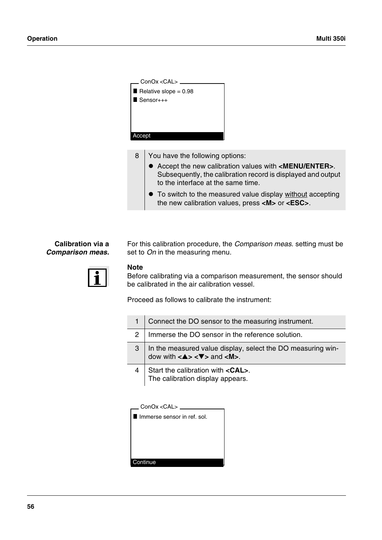

8 You have the following options:

- ! Accept the new calibration values with **<MENU/ENTER>**. Subsequently, the calibration record is displayed and output to the interface at the same time.
- To switch to the measured value display without accepting the new calibration values, press **<M>** or **<ESC>**.

# **Calibration via a** *Comparison meas.*

For this calibration procedure, the *Comparison meas.* setting must be set to *On* in the measuring menu.

# **Note**

Before calibrating via a comparison measurement, the sensor should be calibrated in the air calibration vessel.

Proceed as follows to calibrate the instrument:

|   | Connect the DO sensor to the measuring instrument.                                                                                      |
|---|-----------------------------------------------------------------------------------------------------------------------------------------|
| 2 | Immerse the DO sensor in the reference solution.                                                                                        |
| 3 | In the measured value display, select the DO measuring win-<br>dow with $\langle 4 \rangle \langle 7 \rangle$ and $\langle M \rangle$ . |
|   | Start the calibration with <cal>.<br/>The calibration display appears.</cal>                                                            |

| ConOx < CAL >               |
|-----------------------------|
| Immerse sensor in ref. sol. |
|                             |
|                             |
|                             |
|                             |
| Continue                    |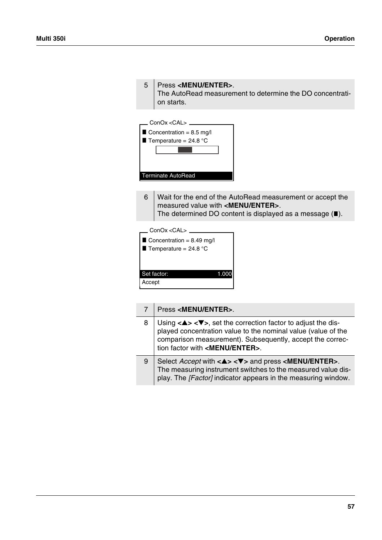|        | The AutoRead measurement to determine the DO concentrati-<br>on starts.                                                                                                                        |
|--------|------------------------------------------------------------------------------------------------------------------------------------------------------------------------------------------------|
|        | — ConOx <cal> <sub>−</sub><br/>Concentration = <math>8.5 \text{ mg/l}</math><br/>Temperature = <math>24.8</math> °C<br/>Terminate AutoRead</cal>                                               |
| 6      | Wait for the end of the AutoRead measurement or accept the<br>measured value with <menu enter="">.<br/>The determined DO content is displayed as a message <math>(\blacksquare)</math>.</menu> |
|        | __ ConOx <cal> _<br/>Concentration = <math>8.49</math> mg/l<br/>Temperature = <math>24.8</math> °C</cal>                                                                                       |
| Accept | Set factor:<br>1.000                                                                                                                                                                           |

# 7 Press **<MENU/ENTER>**.

5 Press **<MENU/ENTER>**.

| 8 | Using $\langle \blacktriangle \rangle$ $\langle \blacktriangledown \rangle$ , set the correction factor to adjust the dis-<br>played concentration value to the nominal value (value of the<br>comparison measurement). Subsequently, accept the correc-<br>tion factor with <menu enter="">.</menu> |
|---|------------------------------------------------------------------------------------------------------------------------------------------------------------------------------------------------------------------------------------------------------------------------------------------------------|
| 9 | Select <i>Accept</i> with $\langle 4 \rangle \langle 7 \rangle$ and press $\langle 1 \rangle$ MENU/ENTER>.<br>The measuring instrument switches to the measured value dis-<br>play. The [Factor] indicator appears in the measuring window.                                                          |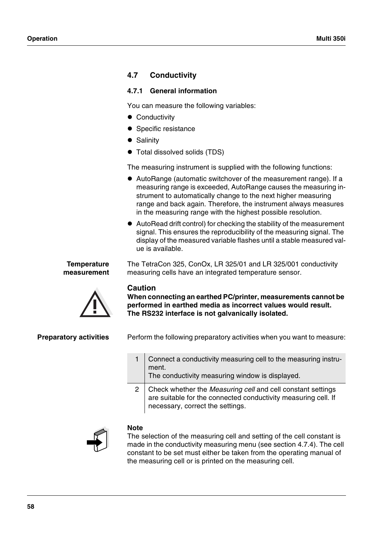# **4.7 Conductivity**

# <span id="page-59-0"></span>**4.7.1 General information**

You can measure the following variables:

- **•** Conductivity
- Specific resistance
- Salinity
- $\bullet$  Total dissolved solids (TDS)

The measuring instrument is supplied with the following functions:

- ! AutoRange (automatic switchover of the measurement range). If a measuring range is exceeded, AutoRange causes the measuring instrument to automatically change to the next higher measuring range and back again. Therefore, the instrument always measures in the measuring range with the highest possible resolution.
- ! AutoRead drift control) for checking the stability of the measurement signal. This ensures the reproducibility of the measuring signal. The display of the measured variable flashes until a stable measured value is available.

The TetraCon 325, ConOx, LR 325/01 and LR 325/001 conductivity

measuring cells have an integrated temperature sensor.

#### **Temperature measurement**



### **Caution**

**When connecting an earthed PC/printer, measurements cannot be performed in earthed media as incorrect values would result. The RS232 interface is not galvanically isolated.**

**Preparatory activities** Perform the following preparatory activities when you want to measure:

| Connect a conductivity measuring cell to the measuring instru-<br>ment.<br>The conductivity measuring window is displayed.                                        |
|-------------------------------------------------------------------------------------------------------------------------------------------------------------------|
| Check whether the Measuring cell and cell constant settings<br>are suitable for the connected conductivity measuring cell. If<br>necessary, correct the settings. |



# **Note**

The selection of the measuring cell and setting of the cell constant is made in the conductivity measuring menu (see [section 4.7.4](#page-62-0)). The cell constant to be set must either be taken from the operating manual of the measuring cell or is printed on the measuring cell.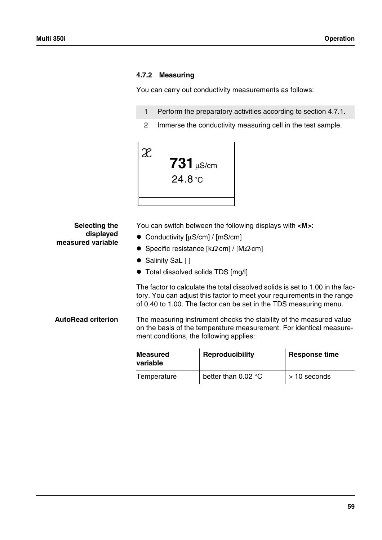# **4.7.2 Measuring**

You can carry out conductivity measurements as follows:

| 1   Perform the preparatory activities according to section 4.7.1. |
|--------------------------------------------------------------------|
| 2   Immerse the conductivity measuring cell in the test sample.    |



| Selecting the<br>displayed<br>measured variable | You can switch between the following displays with <m>:<br/>• Conductivity <math>[uS/cm] / [mS/cm]</math><br/>• Specific resistance <math>[k\Omega</math> cm   / <math>[M\Omega</math> cm  <br/>• Salinity SaL []<br/>• Total dissolved solids TDS [mg/l]</m> |                                                                                                                                                                                                                               |                      |
|-------------------------------------------------|---------------------------------------------------------------------------------------------------------------------------------------------------------------------------------------------------------------------------------------------------------------|-------------------------------------------------------------------------------------------------------------------------------------------------------------------------------------------------------------------------------|----------------------|
|                                                 |                                                                                                                                                                                                                                                               | The factor to calculate the total dissolved solids is set to 1.00 in the fac-<br>tory. You can adjust this factor to meet your requirements in the range<br>of 0.40 to 1.00. The factor can be set in the TDS measuring menu. |                      |
| <b>AutoRead criterion</b>                       | ment conditions, the following applies:                                                                                                                                                                                                                       | The measuring instrument checks the stability of the measured value<br>on the basis of the temperature measurement. For identical measure-                                                                                    |                      |
|                                                 | <b>Measured</b>                                                                                                                                                                                                                                               | Reproducibility                                                                                                                                                                                                               | <b>Response time</b> |

| <b>Measured</b><br>variable | Reproducibility     | <b>Response time</b> |
|-----------------------------|---------------------|----------------------|
| Temperature                 | better than 0.02 °C | > 10 seconds         |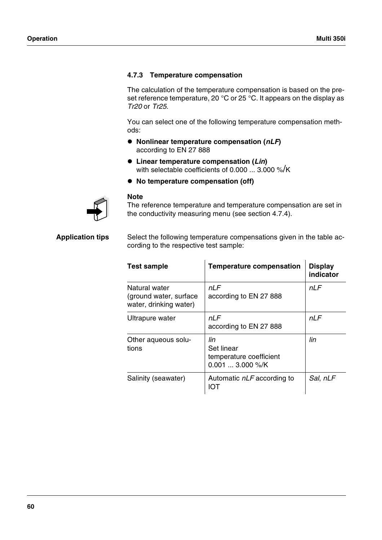# <span id="page-61-0"></span>**4.7.3 Temperature compensation**

The calculation of the temperature compensation is based on the preset reference temperature, 20 °C or 25 °C. It appears on the display as *Tr20* or *Tr25*.

You can select one of the following temperature compensation methods:

- ! **Nonlinear temperature compensation (***nLF***)**  according to EN 27 888
- ! **Linear temperature compensation (***Lin***)**  with selectable coefficients of 0.000 ... 3.000 %/K
- ! **No temperature compensation (off)**



#### **Note**

The reference temperature and temperature compensation are set in the conductivity measuring menu (see [section 4.7.4\)](#page-62-0).

**Application tips** Select the following temperature compensations given in the table according to the respective test sample:

| <b>Test sample</b>                                                 | <b>Temperature compensation</b>                                   | <b>Display</b><br>indicator |
|--------------------------------------------------------------------|-------------------------------------------------------------------|-----------------------------|
| Natural water<br>(ground water, surface)<br>water, drinking water) | nI F<br>according to EN 27 888                                    | nLF                         |
| Ultrapure water                                                    | nLF<br>according to EN 27 888                                     | nLF                         |
| Other aqueous solu-<br>tions                                       | lin<br>Set linear<br>temperature coefficient<br>$0.001$ 3.000 %/K | lin                         |
| Salinity (seawater)                                                | Automatic nLF according to<br>IOT                                 | Sal, nLF                    |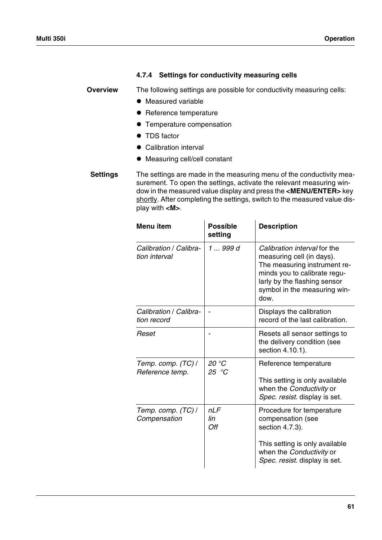# <span id="page-62-0"></span>**4.7.4 Settings for conductivity measuring cells**

**Overview** The following settings are possible for conductivity measuring cells:

- $\bullet$  Measured variable
- Reference temperature
- **Temperature compensation**
- TDS factor
- Calibration interval
- $\bullet$  Measuring cell/cell constant

**Settings** The settings are made in the measuring menu of the conductivity measurement. To open the settings, activate the relevant measuring window in the measured value display and press the **<MENU/ENTER>** key shortly. After completing the settings, switch to the measured value display with **<M>**.

| <b>Menu</b> item                        | <b>Possible</b><br>setting | <b>Description</b>                                                                                                                                                                                |
|-----------------------------------------|----------------------------|---------------------------------------------------------------------------------------------------------------------------------------------------------------------------------------------------|
| Calibration / Calibra-<br>tion interval | 1  999 d                   | Calibration interval for the<br>measuring cell (in days).<br>The measuring instrument re-<br>minds you to calibrate regu-<br>larly by the flashing sensor<br>symbol in the measuring win-<br>dow. |
| Calibration / Calibra-<br>tion record   |                            | Displays the calibration<br>record of the last calibration.                                                                                                                                       |
| Reset                                   |                            | Resets all sensor settings to<br>the delivery condition (see<br>section 4.10.1).                                                                                                                  |
| Temp. comp. (TC) /<br>Reference temp.   | 20 °C<br>25 $°C$           | Reference temperature<br>This setting is only available<br>when the Conductivity or<br>Spec. resist. display is set.                                                                              |
| Temp. comp. (TC) /<br>Compensation      | nLF<br>lin<br>Off          | Procedure for temperature<br>compensation (see<br>section 4.7.3).<br>This setting is only available<br>when the Conductivity or<br>Spec. resist. display is set.                                  |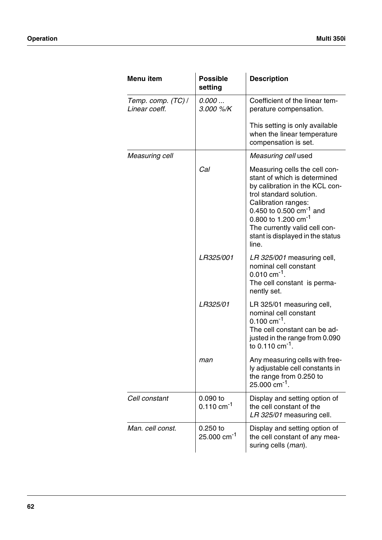| Menu item                           | <b>Possible</b><br>setting             | <b>Description</b>                                                                                                                                                                                                                                                                                 |
|-------------------------------------|----------------------------------------|----------------------------------------------------------------------------------------------------------------------------------------------------------------------------------------------------------------------------------------------------------------------------------------------------|
| Temp. comp. (TC) /<br>Linear coeff. | 0.000<br>3.000 %/K                     | Coefficient of the linear tem-<br>perature compensation.                                                                                                                                                                                                                                           |
|                                     |                                        | This setting is only available<br>when the linear temperature<br>compensation is set.                                                                                                                                                                                                              |
| Measuring cell                      |                                        | Measuring cell used                                                                                                                                                                                                                                                                                |
|                                     | Cal                                    | Measuring cells the cell con-<br>stant of which is determined<br>by calibration in the KCL con-<br>trol standard solution.<br>Calibration ranges:<br>0.450 to 0.500 $cm^{-1}$ and<br>0.800 to 1.200 cm <sup>-1</sup><br>The currently valid cell con-<br>stant is displayed in the status<br>line. |
|                                     | LR325/001                              | LR 325/001 measuring cell,<br>nominal cell constant<br>$0.010$ cm <sup>-1</sup> .<br>The cell constant is perma-<br>nently set.                                                                                                                                                                    |
|                                     | LR325/01                               | LR 325/01 measuring cell,<br>nominal cell constant<br>$0.100 \text{ cm}^{-1}$ .<br>The cell constant can be ad-<br>justed in the range from 0.090<br>to 0.110 $cm^{-1}$ .                                                                                                                          |
|                                     | man                                    | Any measuring cells with free-<br>ly adjustable cell constants in<br>the range from 0.250 to<br>$25.000$ cm <sup>-1</sup> .                                                                                                                                                                        |
| Cell constant                       | $0.090$ to<br>$0.110$ cm <sup>-1</sup> | Display and setting option of<br>the cell constant of the<br>LR 325/01 measuring cell.                                                                                                                                                                                                             |
| Man. cell const.                    | $0.250$ to<br>25.000 cm <sup>-1</sup>  | Display and setting option of<br>the cell constant of any mea-<br>suring cells (man).                                                                                                                                                                                                              |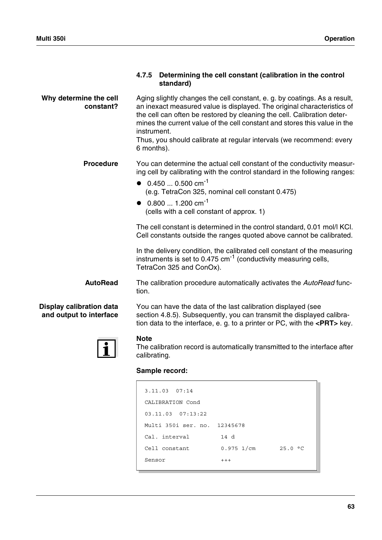|                                                            | Determining the cell constant (calibration in the control<br>4.7.5<br>standard)                                                                                                                                                                                                                                                                                                                                                                                                                                                                                                                                                                                      |  |
|------------------------------------------------------------|----------------------------------------------------------------------------------------------------------------------------------------------------------------------------------------------------------------------------------------------------------------------------------------------------------------------------------------------------------------------------------------------------------------------------------------------------------------------------------------------------------------------------------------------------------------------------------------------------------------------------------------------------------------------|--|
| Why determine the cell<br>constant?                        | Aging slightly changes the cell constant, e. g. by coatings. As a result,<br>an inexact measured value is displayed. The original characteristics of<br>the cell can often be restored by cleaning the cell. Calibration deter-<br>mines the current value of the cell constant and stores this value in the<br>instrument.<br>Thus, you should calibrate at regular intervals (we recommend: every<br>6 months).                                                                                                                                                                                                                                                    |  |
| <b>Procedure</b>                                           | You can determine the actual cell constant of the conductivity measur-<br>ing cell by calibrating with the control standard in the following ranges:<br>• $0.4500.500 \text{ cm}^{-1}$<br>(e.g. TetraCon 325, nominal cell constant 0.475)<br>• $0.8001.200 \text{ cm}^{-1}$<br>(cells with a cell constant of approx. 1)<br>The cell constant is determined in the control standard, 0.01 mol/l KCI.<br>Cell constants outside the ranges quoted above cannot be calibrated.<br>In the delivery condition, the calibrated cell constant of the measuring<br>instruments is set to 0.475 cm <sup>-1</sup> (conductivity measuring cells,<br>TetraCon 325 and ConOx). |  |
| <b>AutoRead</b>                                            | The calibration procedure automatically activates the AutoRead func-<br>tion.                                                                                                                                                                                                                                                                                                                                                                                                                                                                                                                                                                                        |  |
| <b>Display calibration data</b><br>and output to interface | You can have the data of the last calibration displayed (see<br>section 4.8.5). Subsequently, you can transmit the displayed calibra-<br>tion data to the interface, e. g. to a printer or $PC$ , with the $\leq$ PRT $>$ key.                                                                                                                                                                                                                                                                                                                                                                                                                                       |  |
|                                                            | <b>Note</b><br>The calibration record is automatically transmitted to the interface after<br>calibrating.                                                                                                                                                                                                                                                                                                                                                                                                                                                                                                                                                            |  |
|                                                            | Sample record:                                                                                                                                                                                                                                                                                                                                                                                                                                                                                                                                                                                                                                                       |  |
|                                                            | 3.11.03 07:14<br>CALIBRATION Cond<br>03.11.03 07:13:22<br>Multi 350i ser. no. 12345678                                                                                                                                                                                                                                                                                                                                                                                                                                                                                                                                                                               |  |

Cal. interval 14 d

Sensor +++

Cell constant 0.975 1/cm 25.0 °C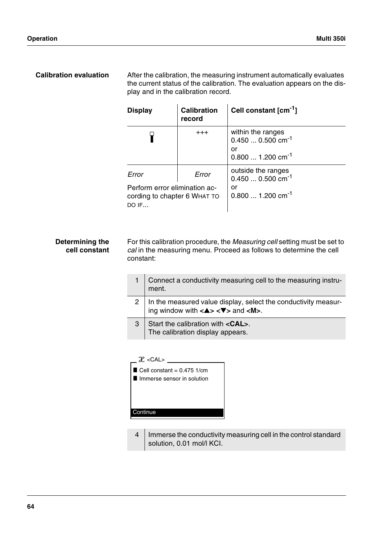**Calibration evaluation** After the calibration, the measuring instrument automatically evaluates the current status of the calibration. The evaluation appears on the display and in the calibration record.

| <b>Display</b>                                                                | <b>Calibration</b><br>record | Cell constant [cm <sup>-1</sup> ]                                                        |
|-------------------------------------------------------------------------------|------------------------------|------------------------------------------------------------------------------------------|
|                                                                               | $+ + +$                      | within the ranges<br>$0.4500.500$ cm <sup>-1</sup><br>or<br>$0.8001.200 \text{ cm}^{-1}$ |
| Error                                                                         | Error                        | outside the ranges<br>$0.4500.500$ cm <sup>-1</sup>                                      |
| Perform error elimination ac-<br>cording to chapter 6 WHAT TO<br><b>DO IF</b> |                              | or<br>$0.8001.200 cm^{-1}$                                                               |

#### **Determining the cell constant** For this calibration procedure, the *Measuring cell* setting must be set to *cal* in the measuring menu. Proceed as follows to determine the cell constant:

|   | Connect a conductivity measuring cell to the measuring instru-<br>ment.                                                                      |
|---|----------------------------------------------------------------------------------------------------------------------------------------------|
|   | In the measured value display, select the conductivity measuring window with $\langle 2 \rangle \langle 3 \rangle$ and $\langle M \rangle$ . |
| З | Start the calibration with <cal>.<br/>The calibration display appears.</cal>                                                                 |

| $\mathcal{X}$ < CAL>         |
|------------------------------|
| Cell constant = $0.475$ 1/cm |
| Immerse sensor in solution   |
|                              |
|                              |
|                              |
| Continue                     |
|                              |

4 | Immerse the conductivity measuring cell in the control standard solution, 0.01 mol/l KCI.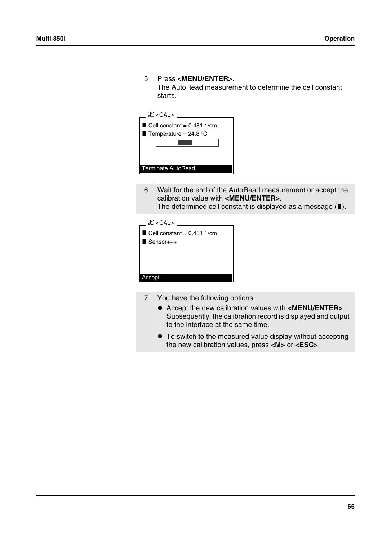| 5      | Press <menu enter="">.<br/>The AutoRead measurement to determine the cell constant<br/>starts.</menu>                                                                                                |
|--------|------------------------------------------------------------------------------------------------------------------------------------------------------------------------------------------------------|
|        | $\mathcal{X}$ < CAL>                                                                                                                                                                                 |
|        | Cell constant = $0.481$ 1/cm<br>Temperature = $24.8$ °C<br><b>Terminate AutoRead</b>                                                                                                                 |
| 6      | Wait for the end of the AutoRead measurement or accept the<br>calibration value with <menu enter="">.<br/>The determined cell constant is displayed as a message <math>(\blacksquare)</math>.</menu> |
|        | $2 \times$ CAL><br>Cell constant = $0.481$ 1/cm<br>$Sensor+++$                                                                                                                                       |
| Accept |                                                                                                                                                                                                      |

- 7 You have the following options:
	- ! Accept the new calibration values with **<MENU/ENTER>**. Subsequently, the calibration record is displayed and output to the interface at the same time.
	- $\bullet$  To switch to the measured value display without accepting the new calibration values, press **<M>** or **<ESC>**.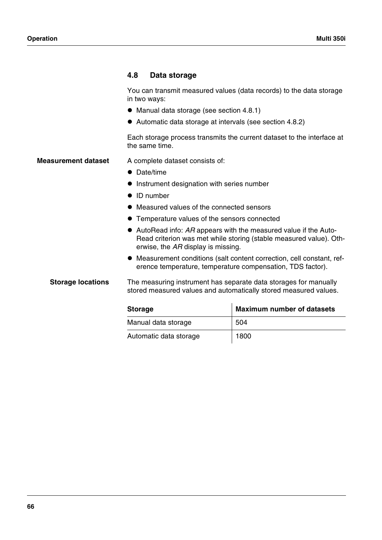# **4.8 Data storage**

You can transmit measured values (data records) to the data storage in two ways:

- Manual data storage (see [section 4.8.1](#page-68-0))
- ! Automatic data storage at intervals (see [section 4.8.2](#page-69-0))

Each storage process transmits the current dataset to the interface at the same time.

- **Measurement dataset** A complete dataset consists of:
	- Date/time
	- **.** Instrument designation with series number
	- ID number
	- Measured values of the connected sensors
	- ! Temperature values of the sensors connected
	- ! AutoRead info: *AR* appears with the measured value if the Auto-Read criterion was met while storing (stable measured value). Otherwise, the *AR* display is missing.
	- ! Measurement conditions (salt content correction, cell constant, reference temperature, temperature compensation, TDS factor).

**Storage locations** The measuring instrument has separate data storages for manually stored measured values and automatically stored measured values.

| <b>Storage</b>         | <b>Maximum number of datasets</b> |
|------------------------|-----------------------------------|
| Manual data storage    | 504                               |
| Automatic data storage | 1800                              |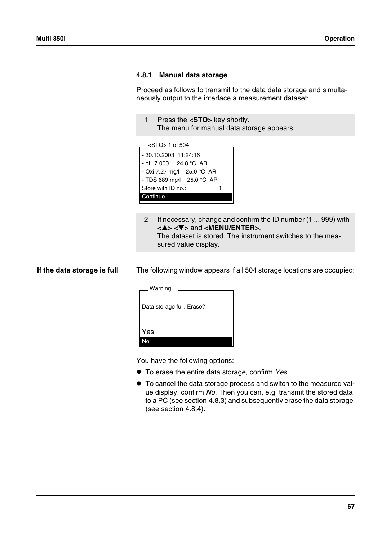#### <span id="page-68-0"></span>**4.8.1 Manual data storage**

Proceed as follows to transmit to the data data storage and simultaneously output to the interface a measurement dataset:

| Press the <sto> key shortly.</sto>        |
|-------------------------------------------|
| The menu for manual data storage appears. |

| $\equiv$ <sto> 1 of 504</sto>      |  |
|------------------------------------|--|
| - 30.10.2003 11:24:16              |  |
| - pH 7.000 24.8 °C AR              |  |
| - Oxi 7.27 mg/l 25.0 °C AR         |  |
| - TDS 689 mg/l $25.0 \degree$ C AR |  |
| Store with ID no.:                 |  |
| Continue                           |  |
|                                    |  |

2 | If necessary, change and confirm the ID number (1 ... 999) with **<**▲**> <**▼**>** and **<MENU/ENTER>**. The dataset is stored. The instrument switches to the measured value display.

**If the data storage is full** The following window appears if all 504 storage locations are occupied:

| Warning                   |  |
|---------------------------|--|
| Data storage full. Erase? |  |
| Yes<br>No                 |  |

You have the following options:

- ! To erase the entire data storage, confirm *Yes*.
- ! To cancel the data storage process and switch to the measured value display, confirm *No*. Then you can, e.g. transmit the stored data to a PC (see [section 4.8.3\)](#page-71-0) and subsequently erase the data storage (see [section 4.8.4](#page-74-0)).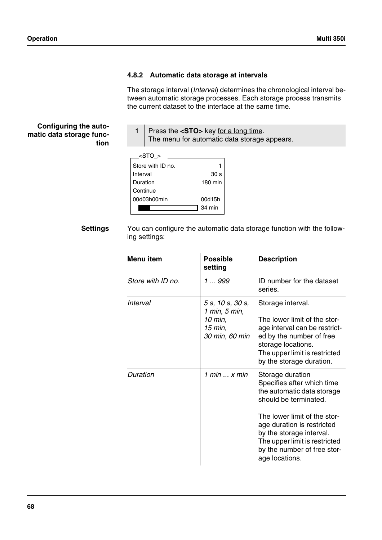# <span id="page-69-0"></span>**4.8.2 Automatic data storage at intervals**

The storage interval (*Interval*) determines the chronological interval between automatic storage processes. Each storage process transmits the current dataset to the interface at the same time.

**Configuring the automatic data storage function**

1 Press the **<STO>** key for a long time. The menu for automatic data storage appears.

| <sto></sto>       |                 |
|-------------------|-----------------|
| Store with ID no. |                 |
| Interval          | 30 <sub>s</sub> |
| Duration          | 180 min         |
| Continue          |                 |
| 00d03h00min       | 00d15h          |
|                   | 34 min          |

**Settings** You can configure the automatic data storage function with the following settings:

| Menu item         | <b>Possible</b><br>setting                                                | <b>Description</b>                                                                                                                                                                                                                                                                |
|-------------------|---------------------------------------------------------------------------|-----------------------------------------------------------------------------------------------------------------------------------------------------------------------------------------------------------------------------------------------------------------------------------|
| Store with ID no. | 1  999                                                                    | ID number for the dataset<br>series.                                                                                                                                                                                                                                              |
| Interval          | 5 s, 10 s, 30 s,<br>1 min, 5 min,<br>10 min,<br>15 min,<br>30 min, 60 min | Storage interval.<br>The lower limit of the stor-<br>age interval can be restrict-<br>ed by the number of free<br>storage locations.<br>The upper limit is restricted<br>by the storage duration.                                                                                 |
| Duration          | 1 min $\ldots$ x min                                                      | Storage duration<br>Specifies after which time<br>the automatic data storage<br>should be terminated.<br>The lower limit of the stor-<br>age duration is restricted<br>by the storage interval.<br>The upper limit is restricted<br>by the number of free stor-<br>age locations. |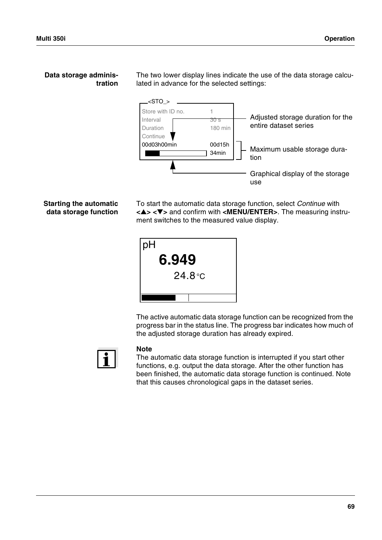### **Data storage administration**

The two lower display lines indicate the use of the data storage calculated in advance for the selected settings:



# **Starting the automatic data storage function**

To start the automatic data storage function, select *Continue* with **<**▲**> <**▼**>** and confirm with **<MENU/ENTER>**. The measuring instrument switches to the measured value display.



The active automatic data storage function can be recognized from the progress bar in the status line. The progress bar indicates how much of the adjusted storage duration has already expired.



# **Note**

The automatic data storage function is interrupted if you start other functions, e.g. output the data storage. After the other function has been finished, the automatic data storage function is continued. Note that this causes chronological gaps in the dataset series.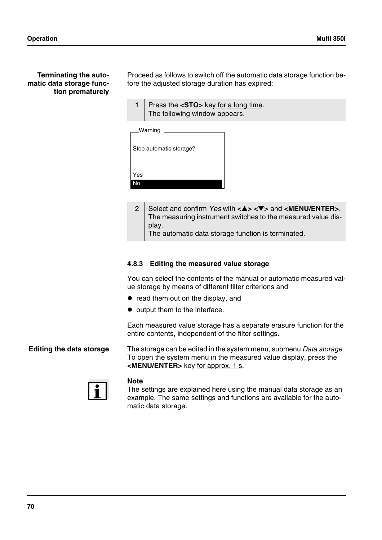Proceed as follows to switch off the automatic data storage function before the adjusted storage duration has expired:

1 Press the **<STO>** key for a long time. The following window appears.

| Warning                 |  |
|-------------------------|--|
| Stop automatic storage? |  |
|                         |  |
| Yes                     |  |
|                         |  |

2 Select and confirm *Yes* with **<**▲**> <**▼**>** and **<MENU/ENTER>**. The measuring instrument switches to the measured value display. The automatic data storage function is terminated.

# <span id="page-71-0"></span>**4.8.3 Editing the measured value storage**

You can select the contents of the manual or automatic measured value storage by means of different filter criterions and

- read them out on the display, and
- $\bullet$  output them to the interface.

Each measured value storage has a separate erasure function for the entire contents, independent of the filter settings.

**Editing the data storage** The storage can be edited in the system menu, submenu *Data storage*. To open the system menu in the measured value display, press the **<MENU/ENTER>** key for approx. 1 s.



### **Note**

The settings are explained here using the manual data storage as an example. The same settings and functions are available for the automatic data storage.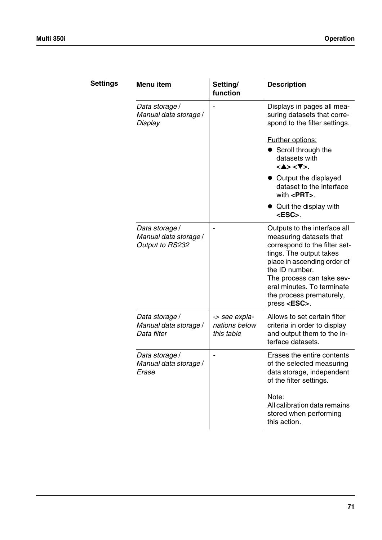| <b>Settings</b> | Menu item                                                  | Setting/<br>function                         | <b>Description</b>                                                                                                                                                                                                                                                                                                                           |
|-----------------|------------------------------------------------------------|----------------------------------------------|----------------------------------------------------------------------------------------------------------------------------------------------------------------------------------------------------------------------------------------------------------------------------------------------------------------------------------------------|
|                 | Data storage /<br>Manual data storage /<br>Display         |                                              | Displays in pages all mea-<br>suring datasets that corre-<br>spond to the filter settings.<br><b>Further options:</b><br>Scroll through the<br>datasets with<br>$<\blacktriangle>$ $<\blacktriangledown>$ .<br>• Output the displayed<br>dataset to the interface<br>with $\leq$ <b>PRT</b> $>$ .<br>• Quit the display with<br><esc>.</esc> |
|                 | Data storage /<br>Manual data storage /<br>Output to RS232 |                                              | Outputs to the interface all<br>measuring datasets that<br>correspond to the filter set-<br>tings. The output takes<br>place in ascending order of<br>the ID number.<br>The process can take sev-<br>eral minutes. To terminate<br>the process prematurely,<br>press <esc>.</esc>                                                            |
|                 | Data storage /<br>Manual data storage /<br>Data filter     | -> see expla-<br>nations below<br>this table | Allows to set certain filter<br>criteria in order to display<br>and output them to the in-<br>terface datasets.                                                                                                                                                                                                                              |
|                 | Data storage /<br>Manual data storage /<br>Erase           |                                              | Erases the entire contents<br>of the selected measuring<br>data storage, independent<br>of the filter settings.<br>Note:<br>All calibration data remains<br>stored when performing<br>this action.                                                                                                                                           |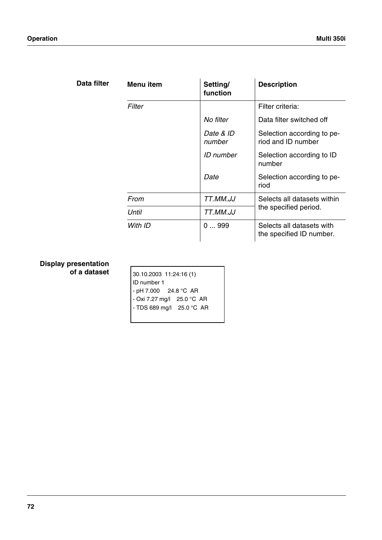| filter | Menu item | Setting/<br>function | <b>Description</b>                                    |
|--------|-----------|----------------------|-------------------------------------------------------|
|        | Filter    |                      | Filter criteria:                                      |
|        |           | No filter            | Data filter switched off                              |
|        |           | Date & ID<br>number  | Selection according to pe-<br>riod and ID number      |
|        |           | ID number            | Selection according to ID<br>number                   |
|        |           | Date                 | Selection according to pe-<br>riod                    |
|        | From      | TT.MM.JJ             | Selects all datasets within                           |
|        | Until     | TT.MM.JJ             | the specified period.                                 |
|        | With ID   | 0999                 | Selects all datasets with<br>the specified ID number. |

## **Display presentation of a dataset**

<span id="page-73-0"></span>Data

| 30.10.2003 11:24:16 (1)    |  |  |
|----------------------------|--|--|
| ID number 1                |  |  |
| - pH 7.000 24.8 °C AR      |  |  |
| - Oxi 7.27 mg/l 25.0 °C AR |  |  |
| - TDS 689 mg/l 25.0 °C AR  |  |  |
|                            |  |  |
|                            |  |  |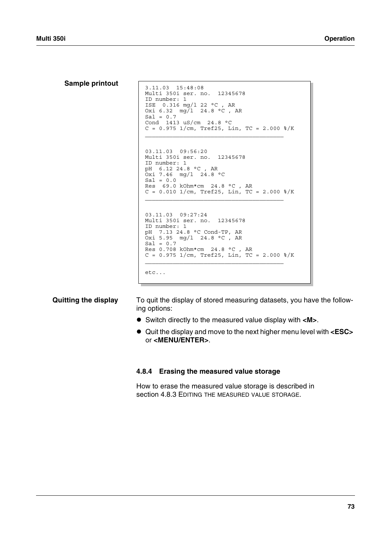**Sample printout** 3.11.03 15:48:08 Multi 350i ser. no. 12345678 ID number: 1 ISE 0.316 mg/l 22 °C , AR Oxi 6.32 mg/l 24.8 °C , AR  $Sal = 0.7$ Cond 1413 uS/cm 24.8 °C  $C = 0.975$  1/cm, Tref25, Lin, TC = 2.000 %/K  $\mathcal{L}_\text{max}$  and  $\mathcal{L}_\text{max}$  and  $\mathcal{L}_\text{max}$ 03.11.03 09:56:20 Multi 350i ser. no. 12345678 ID number: 1 pH 6.12 24.8 °C , AR  $0xi$  7.46 mg/l 24.8 °C  $Sal = 0.0$  $Res$  69.0 kOhm\*cm 24.8 °C, AR  $C = 0.010$  1/cm, Tref25, Lin, TC = 2.000 %/K  $\mathcal{L}_\text{max}$  and  $\mathcal{L}_\text{max}$  and  $\mathcal{L}_\text{max}$ 03.11.03 09:27:24 Multi 350i ser. no. 12345678 ID number: 1 pH 7.13 24.8 °C Cond-TP, AR Oxi 5.95 mg/l 24.8 °C , AR  $Sal = 0.7$ Res 0.708 kOhm\*cm 24.8 °C , AR  $C = 0.975$   $1/cm$ , Tref25, Lin, TC = 2.000  $\frac{2}{K}$  $\mathcal{L}_\text{max}$  and  $\mathcal{L}_\text{max}$  and  $\mathcal{L}_\text{max}$ etc...

**Quitting the display** To quit the display of stored measuring datasets, you have the following options:

- ! Switch directly to the measured value display with **<M>**.
- ! Quit the display and move to the next higher menu level with **<ESC>** or **<MENU/ENTER>**.

#### **4.8.4 Erasing the measured value storage**

How to erase the measured value storage is described in [section 4.8.3 EDITING](#page-71-0) THE MEASURED VALUE STORAGE.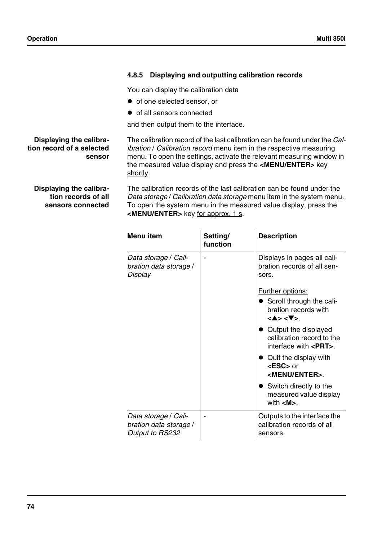<span id="page-75-0"></span>

|                                                                | Displaying and outputting calibration records<br>4.8.5                                                                                                                                                                                                                                                                |
|----------------------------------------------------------------|-----------------------------------------------------------------------------------------------------------------------------------------------------------------------------------------------------------------------------------------------------------------------------------------------------------------------|
|                                                                | You can display the calibration data                                                                                                                                                                                                                                                                                  |
|                                                                | • of one selected sensor, or                                                                                                                                                                                                                                                                                          |
|                                                                | • of all sensors connected                                                                                                                                                                                                                                                                                            |
|                                                                | and then output them to the interface.                                                                                                                                                                                                                                                                                |
| Displaying the calibra-<br>tion record of a selected<br>sensor | The calibration record of the last calibration can be found under the <i>Cal-</i><br>ibration / Calibration record menu item in the respective measuring<br>menu. To open the settings, activate the relevant measuring window in<br>the measured value display and press the <menu enter=""> key<br/>shortly.</menu> |
| Displaying the calibra-                                        | The calibration records of the last calibration can be found under the                                                                                                                                                                                                                                                |

**tion records of all sensors connected**

<span id="page-75-1"></span>*Data storage* / *Calibration data storage* menu item in the system menu. To open the system menu in the measured value display, press the **<MENU/ENTER>** key for approx. 1 s.

| Menu item                                                         | Setting/<br>function | <b>Description</b>                                                                              |  |
|-------------------------------------------------------------------|----------------------|-------------------------------------------------------------------------------------------------|--|
| Data storage / Cali-<br>bration data storage /<br>Display         |                      | Displays in pages all cali-<br>bration records of all sen-<br>sors.                             |  |
|                                                                   |                      | <b>Further options:</b>                                                                         |  |
|                                                                   |                      | Scroll through the cali-<br>bration records with<br>$<\blacktriangle>$ $<\blacktriangledown>$ . |  |
|                                                                   |                      | Output the displayed<br>calibration record to the<br>interface with $\epsilon$ PRT $>$ .        |  |
|                                                                   |                      | Quit the display with<br><esc> or<br/><menu enter="">.</menu></esc>                             |  |
|                                                                   |                      | Switch directly to the<br>measured value display<br>with $\langle M \rangle$ .                  |  |
| Data storage / Cali-<br>bration data storage /<br>Output to RS232 |                      | Outputs to the interface the<br>calibration records of all<br>sensors.                          |  |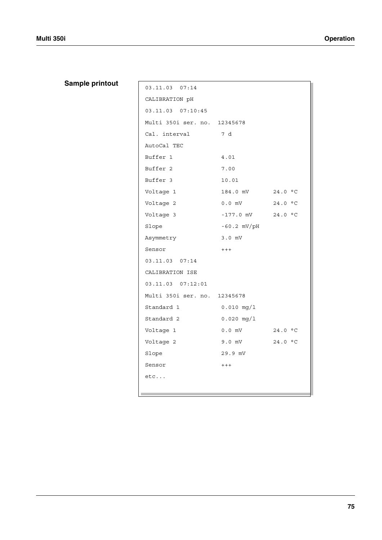# **Sample printout**

| 03.11.03 07:14               |                       |         |  |
|------------------------------|-----------------------|---------|--|
| CALIBRATION pH               |                       |         |  |
| 03.11.03 07:10:45            |                       |         |  |
| Multi 350i ser. no. 12345678 |                       |         |  |
| Cal. interval                | 7 d                   |         |  |
| AutoCal TEC                  |                       |         |  |
| Buffer 1                     | 4.01                  |         |  |
| Buffer <sub>2</sub>          | 7.00                  |         |  |
| Buffer 3                     | 10.01                 |         |  |
| Voltage 1                    | 184.0 mV 24.0 °C      |         |  |
| Voltage 2                    | $0.0$ mV              | 24.0 °C |  |
| Voltage 3                    | $-177.0$ mV $24.0$ °C |         |  |
| Slope                        | $-60.2$ mV/pH         |         |  |
| Asymmetry                    | $3.0$ mV              |         |  |
| Sensor                       | $++++$                |         |  |
| 03.11.03 07:14               |                       |         |  |
| CALIBRATION ISE              |                       |         |  |
| 03.11.03 07:12:01            |                       |         |  |
| Multi 350i ser. no. 12345678 |                       |         |  |
| Standard 1                   | $0.010$ mg/l          |         |  |
| Standard 2                   | $0.020$ mg/l          |         |  |
| Voltage 1                    | $0.0$ mV              | 24.0 °C |  |
| Voltage 2                    | 9.0 mV                | 24.0 °C |  |
| Slope                        | 29.9 mV               |         |  |
| Sensor                       | $++++$                |         |  |
| $etc.$                       |                       |         |  |
|                              |                       |         |  |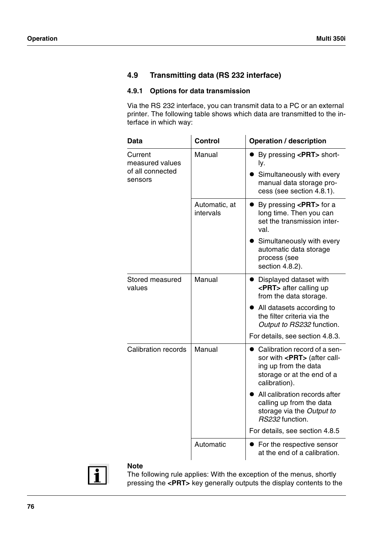## <span id="page-77-1"></span>**4.9 Transmitting data (RS 232 interface)**

### **4.9.1 Options for data transmission**

<span id="page-77-0"></span>Via the RS 232 interface, you can transmit data to a PC or an external printer. The following table shows which data are transmitted to the interface in which way:

| Data                                                      | Control                    | <b>Operation / description</b>                                                                                                              |
|-----------------------------------------------------------|----------------------------|---------------------------------------------------------------------------------------------------------------------------------------------|
| Current<br>measured values<br>of all connected<br>sensors | Manual                     | ● By pressing <prt> short-<br/>ly.<br/>Simultaneously with every<br/>manual data storage pro-<br/>cess (see section 4.8.1).</prt>           |
|                                                           | Automatic, at<br>intervals | • By pressing <prt> for a<br/>long time. Then you can<br/>set the transmission inter-<br/>val.<br/>Simultaneously with every</prt>          |
|                                                           |                            | automatic data storage<br>process (see<br>section 4.8.2).                                                                                   |
| Stored measured<br>values                                 | Manual                     | Displayed dataset with<br>$\bullet$<br><prt> after calling up<br/>from the data storage.</prt>                                              |
|                                                           |                            | All datasets according to<br>the filter criteria via the<br>Output to RS232 function.                                                       |
|                                                           |                            | For details, see section 4.8.3.                                                                                                             |
| <b>Calibration records</b>                                | Manual                     | Calibration record of a sen-<br>sor with <prt> (after call-<br/>ing up from the data<br/>storage or at the end of a<br/>calibration).</prt> |
|                                                           |                            | All calibration records after<br>calling up from the data<br>storage via the Output to<br>RS232 function.                                   |
|                                                           |                            | For details, see section 4.8.5                                                                                                              |
|                                                           | Automatic                  | • For the respective sensor<br>at the end of a calibration.                                                                                 |



#### **Note**

The following rule applies: With the exception of the menus, shortly pressing the **<PRT>** key generally outputs the display contents to the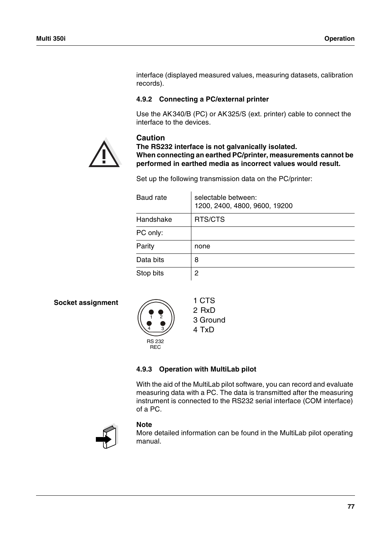interface (displayed measured values, measuring datasets, calibration records).

### <span id="page-78-0"></span>**4.9.2 Connecting a PC/external printer**

Use the AK340/B (PC) or AK325/S (ext. printer) cable to connect the interface to the devices.



**Caution**

**The RS232 interface is not galvanically isolated. When connecting an earthed PC/printer, measurements cannot be performed in earthed media as incorrect values would result.**

Set up the following transmission data on the PC/printer:

| Baud rate | selectable between:<br>1200, 2400, 4800, 9600, 19200 |
|-----------|------------------------------------------------------|
| Handshake | RTS/CTS                                              |
| PC only:  |                                                      |
| Parity    | none                                                 |
| Data bits | 8                                                    |
| Stop bits | 2                                                    |

#### <span id="page-78-2"></span>**Socket assignment**



2 RxD 3 Ground 4 TxD

## <span id="page-78-1"></span>**4.9.3 Operation with MultiLab pilot**

With the aid of the MultiLab pilot software, you can record and evaluate measuring data with a PC. The data is transmitted after the measuring instrument is connected to the RS232 serial interface (COM interface) of a PC.



#### **Note**

More detailed information can be found in the MultiLab pilot operating manual.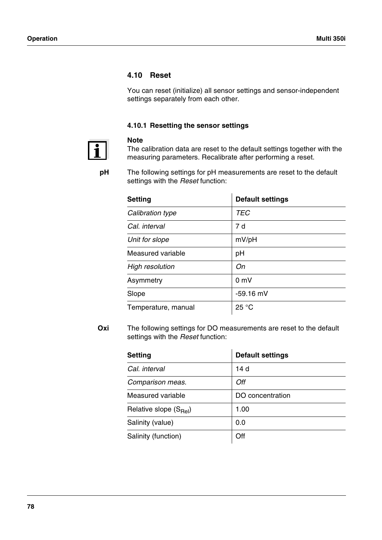### <span id="page-79-2"></span>**4.10 Reset**

<span id="page-79-0"></span>**Note**

<span id="page-79-1"></span>You can reset (initialize) all sensor settings and sensor-independent settings separately from each other.

## **4.10.1 Resetting the sensor settings**



The calibration data are reset to the default settings together with the measuring parameters. Recalibrate after performing a reset.

**pH** The following settings for pH measurements are reset to the default settings with the *Reset* function:

| <b>Setting</b>         | <b>Default settings</b> |
|------------------------|-------------------------|
| Calibration type       | <b>TEC</b>              |
| Cal. interval          | 7 d                     |
| Unit for slope         | mV/pH                   |
| Measured variable      | рH                      |
| <b>High resolution</b> | Оn                      |
| Asymmetry              | 0 <sub>m</sub>          |
| Slope                  | $-59.16$ mV             |
| Temperature, manual    | 25 °C                   |

**Oxi** The following settings for DO measurements are reset to the default settings with the *Reset* function:

| <b>Setting</b>             | <b>Default settings</b> |
|----------------------------|-------------------------|
| Cal. interval              | 14 d                    |
| Comparison meas.           | Off                     |
| Measured variable          | DO concentration        |
| Relative slope $(S_{Rel})$ | 1.00                    |
| Salinity (value)           | 0.0                     |
| Salinity (function)        | ∩ff                     |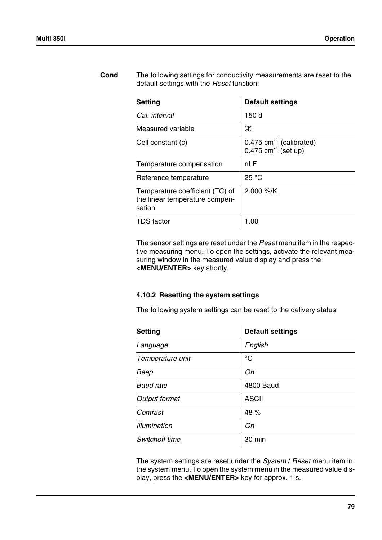| <b>Setting</b>                                                              | <b>Default settings</b>                                                    |
|-----------------------------------------------------------------------------|----------------------------------------------------------------------------|
| Cal. interval                                                               | 150 d                                                                      |
| Measured variable                                                           | $\mathcal X$                                                               |
| Cell constant (c)                                                           | $0.475$ cm <sup>-1</sup> (calibrated)<br>$0.475$ cm <sup>-1</sup> (set up) |
| Temperature compensation                                                    | nLF                                                                        |
| Reference temperature                                                       | 25 °C                                                                      |
| Temperature coefficient (TC) of<br>the linear temperature compen-<br>sation | 2.000 %/K                                                                  |
| TDS factor                                                                  | 1.00                                                                       |

**Cond** The following settings for conductivity measurements are reset to the default settings with the *Reset* function:

> The sensor settings are reset under the *Reset* menu item in the respective measuring menu. To open the settings, activate the relevant measuring window in the measured value display and press the **<MENU/ENTER>** key shortly.

#### **4.10.2 Resetting the system settings**

<span id="page-80-0"></span>The following system settings can be reset to the delivery status:

| Setting             | <b>Default settings</b> |
|---------------------|-------------------------|
| Language            | English                 |
| Temperature unit    | $^{\circ}C$             |
| Beep                | On                      |
| <b>Baud rate</b>    | <b>4800 Baud</b>        |
| Output format       | <b>ASCII</b>            |
| Contrast            | 48 %                    |
| <b>Illumination</b> | On                      |
| Switchoff time      | 30 min                  |

The system settings are reset under the *System* / *Reset* menu item in the system menu. To open the system menu in the measured value display, press the **<MENU/ENTER>** key for approx. 1 s.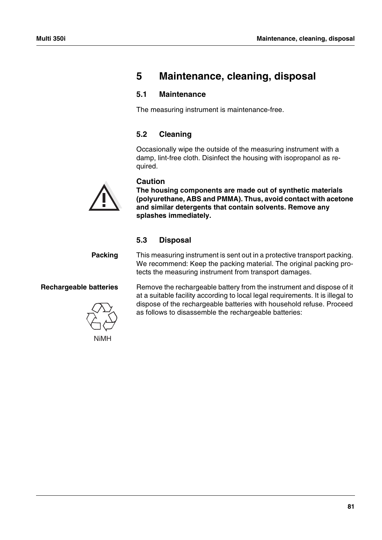# **5 Maintenance, cleaning, disposal**

## **5.1 Maintenance**

The measuring instrument is maintenance-free.

## **5.2 Cleaning**

<span id="page-82-0"></span>Occasionally wipe the outside of the measuring instrument with a damp, lint-free cloth. Disinfect the housing with isopropanol as required.

## **Caution**

**The housing components are made out of synthetic materials (polyurethane, ABS and PMMA). Thus, avoid contact with acetone and similar detergents that contain solvents. Remove any splashes immediately.**

## **5.3 Disposal**

**Packing** This measuring instrument is sent out in a protective transport packing. We recommend: Keep the packing material. The original packing protects the measuring instrument from transport damages.

**Rechargeable batteries** Remove the rechargeable battery from the instrument and dispose of it at a suitable facility according to local legal requirements. It is illegal to dispose of the rechargeable batteries with household refuse. Proceed as follows to disassemble the rechargeable batteries:

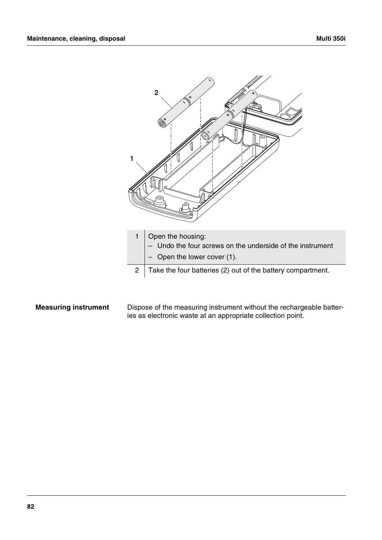

**Measuring instrument** Dispose of the measuring instrument without the rechargeable batteries as electronic waste at an appropriate collection point.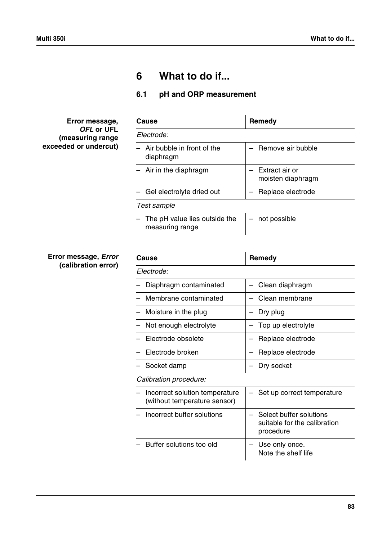# **6 What to do if...**

## **6.1 pH and ORP measurement**

**Error message,** *OFL* **or UFL (measuring range exceeded or undercut)**

| Remedy                                 |
|----------------------------------------|
|                                        |
| - Remove air bubble                    |
| - Extract air or<br>moisten diaphragm  |
| Replace electrode<br>$\qquad \qquad -$ |
|                                        |
| not possible                           |
|                                        |

#### **Error message,** *Error* **(calibration error)**

| Cause                                                          | Remedy                                                               |
|----------------------------------------------------------------|----------------------------------------------------------------------|
| Electrode:                                                     |                                                                      |
| Diaphragm contaminated                                         | Clean diaphragm                                                      |
| Membrane contaminated                                          | Clean membrane                                                       |
| Moisture in the plug                                           | Dry plug                                                             |
| Not enough electrolyte                                         | Top up electrolyte                                                   |
| Electrode obsolete                                             | Replace electrode                                                    |
| Electrode broken                                               | Replace electrode                                                    |
| Socket damp                                                    | Dry socket                                                           |
| Calibration procedure:                                         |                                                                      |
| Incorrect solution temperature<br>(without temperature sensor) | - Set up correct temperature                                         |
| Incorrect buffer solutions                                     | Select buffer solutions<br>suitable for the calibration<br>procedure |
| Buffer solutions too old                                       | Use only once.<br>Note the shelf life                                |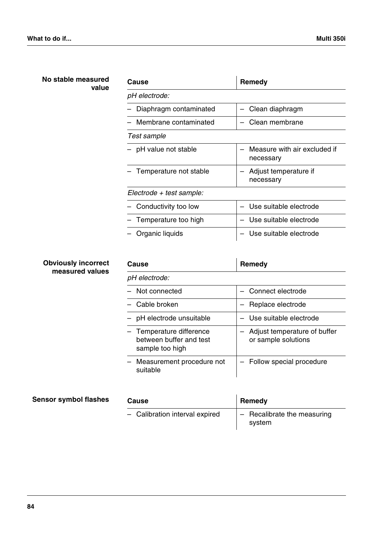| No stable measured<br>value  | <b>Cause</b>                                                         | <b>Remedy</b>                                                         |
|------------------------------|----------------------------------------------------------------------|-----------------------------------------------------------------------|
|                              | pH electrode:                                                        |                                                                       |
|                              | Diaphragm contaminated                                               | Clean diaphragm                                                       |
|                              | Membrane contaminated                                                | Clean membrane<br>$\qquad \qquad \longleftarrow$                      |
|                              | <b>Test sample</b>                                                   |                                                                       |
|                              | pH value not stable                                                  | Measure with air excluded if<br>$\overline{\phantom{0}}$<br>necessary |
|                              | Temperature not stable                                               | Adjust temperature if<br>necessary                                    |
|                              | $Electrode + test sample:$                                           |                                                                       |
|                              | Conductivity too low                                                 | Use suitable electrode<br>$\qquad \qquad$                             |
|                              | Temperature too high                                                 | Use suitable electrode                                                |
|                              | Organic liquids                                                      | Use suitable electrode                                                |
|                              |                                                                      |                                                                       |
|                              |                                                                      |                                                                       |
| <b>Obviously incorrect</b>   | Cause                                                                | Remedy                                                                |
| measured values              | pH electrode:                                                        |                                                                       |
|                              | Not connected                                                        | Connect electrode<br>$\overline{\phantom{0}}$                         |
|                              | Cable broken                                                         | Replace electrode                                                     |
|                              | pH electrode unsuitable                                              | Use suitable electrode                                                |
|                              | Temperature difference<br>between buffer and test<br>sample too high | Adjust temperature of buffer<br>or sample solutions                   |
|                              | Measurement procedure not<br>suitable                                | Follow special procedure                                              |
| <b>Sensor symbol flashes</b> | Cause                                                                | <b>Remedy</b>                                                         |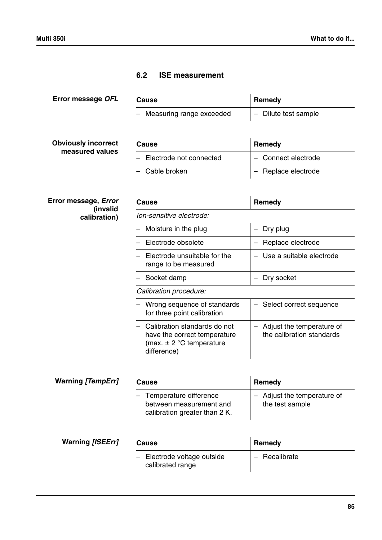## **6.2 ISE measurement**

| Error message OFL                       | Cause                                                                                                         | Remedy                                                   |
|-----------------------------------------|---------------------------------------------------------------------------------------------------------------|----------------------------------------------------------|
|                                         | Measuring range exceeded                                                                                      | Dilute test sample<br>$\overline{\phantom{m}}$           |
|                                         |                                                                                                               |                                                          |
| <b>Obviously incorrect</b>              | Cause                                                                                                         | Remedy                                                   |
| measured values                         | Electrode not connected                                                                                       | Connect electrode                                        |
|                                         | Cable broken                                                                                                  | Replace electrode<br>$\overline{\phantom{m}}$            |
|                                         |                                                                                                               |                                                          |
| Error message, <i>Error</i><br>(invalid | Cause                                                                                                         | Remedy                                                   |
| calibration)                            | Ion-sensitive electrode:                                                                                      |                                                          |
|                                         | Moisture in the plug                                                                                          | Dry plug<br>$\overline{\phantom{m}}$                     |
|                                         | Electrode obsolete                                                                                            | Replace electrode<br>$\overline{\phantom{m}}$            |
|                                         | Electrode unsuitable for the<br>range to be measured                                                          | Use a suitable electrode<br>$\overline{\phantom{m}}$     |
|                                         | Socket damp                                                                                                   | Dry socket                                               |
|                                         | Calibration procedure:                                                                                        |                                                          |
|                                         | - Wrong sequence of standards<br>for three point calibration                                                  | - Select correct sequence                                |
|                                         | - Calibration standards do not<br>have the correct temperature<br>(max. $\pm$ 2 °C temperature<br>difference) | - Adjust the temperature of<br>the calibration standards |
| <b>Warning [TempErr]</b>                | <b>Cause</b>                                                                                                  | Remedy                                                   |
|                                         | Temperature difference<br>between measurement and<br>calibration greater than 2 K.                            | Adjust the temperature of<br>the test sample             |
| <b>Warning [ISEErr]</b>                 | Cause                                                                                                         | Remedy                                                   |
|                                         | Electrode voltage outside<br>calibrated range                                                                 | Recalibrate                                              |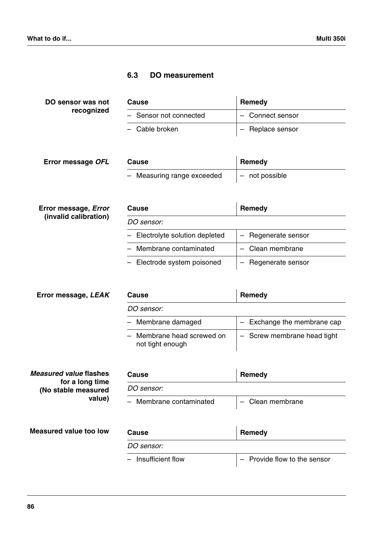## **6.3 DO measurement**

| DO sensor was not | Cause                  | Remedy           |
|-------------------|------------------------|------------------|
| recognized        | - Sensor not connected | - Connect sensor |
|                   | - Cable broken         | - Replace sensor |

| Error message OFL | <b>Cause</b>               | Remedy           |
|-------------------|----------------------------|------------------|
|                   | - Measuring range exceeded | $-$ not possible |

| Error message, <i>Error</i><br>(invalid calibration) | Cause                           | Remedy              |
|------------------------------------------------------|---------------------------------|---------------------|
|                                                      | DO sensor:                      |                     |
|                                                      | - Electrolyte solution depleted | - Regenerate sensor |
|                                                      | - Membrane contaminated         | - Clean membrane    |
|                                                      | - Electrode system poisoned     | - Regenerate sensor |

| Error message, LEAK                    | Cause                                          | Remedy                      |
|----------------------------------------|------------------------------------------------|-----------------------------|
|                                        | <i>DO sensor:</i>                              |                             |
|                                        | - Membrane damaged                             | Exchange the membrane cap   |
|                                        | - Membrane head screwed on<br>not tight enough | - Screw membrane head tight |
|                                        |                                                |                             |
| Measured value flashes                 | Cause                                          | Remedy                      |
| for a long time<br>(No stable measured | <i>DO sensor:</i>                              |                             |
| value)                                 | - Membrane contaminated                        | Clean membrane              |
| <b>Measured value too low</b>          | Cause                                          | Remedy                      |
|                                        | <i>DO sensor:</i>                              |                             |

| - Insufficient flow | - Provide flow to the sensor |
|---------------------|------------------------------|
|                     |                              |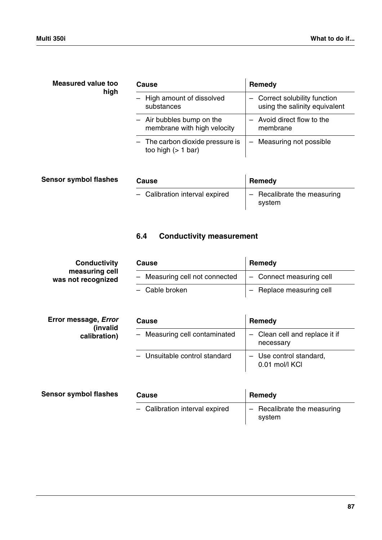| Measured value too<br>high   | Cause                                                    | Remedy                                                         |
|------------------------------|----------------------------------------------------------|----------------------------------------------------------------|
|                              | High amount of dissolved<br>substances                   | - Correct solubility function<br>using the salinity equivalent |
|                              | - Air bubbles bump on the<br>membrane with high velocity | - Avoid direct flow to the<br>membrane                         |
|                              | - The carbon dioxide pressure is<br>too high $(> 1$ bar) | Measuring not possible<br>$\overline{\phantom{m}}$             |
| <b>Sensor symbol flashes</b> | Cause                                                    | Remedy                                                         |

| ∣ flasnes | Cause                          | Remedy                                |
|-----------|--------------------------------|---------------------------------------|
|           | - Calibration interval expired | - Recalibrate the measuring<br>system |

# **6.4 Conductivity measurement**

| <b>Conductivity</b>                  | Cause                          | Remedy                   |
|--------------------------------------|--------------------------------|--------------------------|
| measuring cell<br>was not recognized | - Measuring cell not connected | - Connect measuring cell |
|                                      | - Cable broken                 | - Replace measuring cell |

| Error message, <i>Error</i><br>(invalid<br>calibration) | Cause                         | Remedy                                      |
|---------------------------------------------------------|-------------------------------|---------------------------------------------|
|                                                         | - Measuring cell contaminated | - Clean cell and replace it if<br>necessary |
|                                                         | - Unsuitable control standard | - Use control standard,<br>0.01 mol/l KCI   |

| <b>Sensor symbol flashes</b> | Cause                          | Remedy                                |  |
|------------------------------|--------------------------------|---------------------------------------|--|
|                              | - Calibration interval expired | - Recalibrate the measuring<br>svstem |  |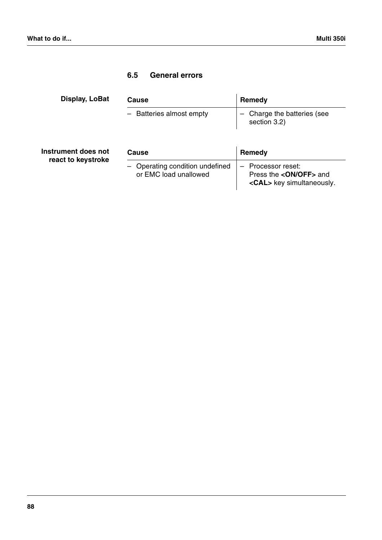## **6.5 General errors**

| Display, LoBat      | Cause                                                    | Remedy                                                                                 |
|---------------------|----------------------------------------------------------|----------------------------------------------------------------------------------------|
|                     | - Batteries almost empty                                 | Charge the batteries (see<br>$\overline{\phantom{0}}$<br>section 3.2)                  |
| Instrument does not | Cause                                                    | Remedy                                                                                 |
| react to keystroke  | - Operating condition undefined<br>or EMC load unallowed | Processor reset:<br>Press the < <b>ON/OFF</b> > and<br><cal> key simultaneously.</cal> |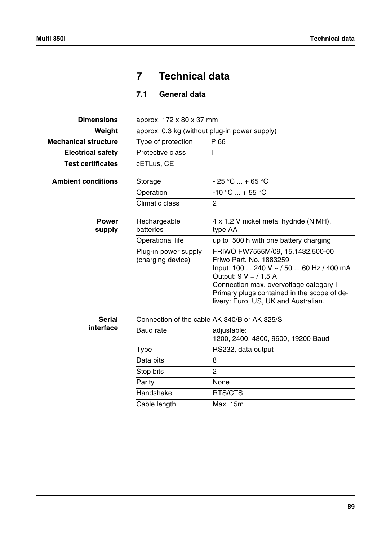# **7 Technical data**

**7.1 General data**

| approx. 172 x 80 x 37 mm                      |                                                                                                                                                                                                                                                                      |  |
|-----------------------------------------------|----------------------------------------------------------------------------------------------------------------------------------------------------------------------------------------------------------------------------------------------------------------------|--|
| approx. 0.3 kg (without plug-in power supply) |                                                                                                                                                                                                                                                                      |  |
| IP 66<br>Type of protection                   |                                                                                                                                                                                                                                                                      |  |
| Protective class                              | Ш                                                                                                                                                                                                                                                                    |  |
| cETLus, CE                                    |                                                                                                                                                                                                                                                                      |  |
| Storage                                       | $-25 °C  + 65 °C$                                                                                                                                                                                                                                                    |  |
| Operation                                     | $-10$ °C  + 55 °C                                                                                                                                                                                                                                                    |  |
| Climatic class                                | $\overline{2}$                                                                                                                                                                                                                                                       |  |
| Rechargeable<br>batteries                     | 4 x 1.2 V nickel metal hydride (NiMH),<br>type AA                                                                                                                                                                                                                    |  |
| <b>Operational life</b>                       | up to 500 h with one battery charging                                                                                                                                                                                                                                |  |
| Plug-in power supply<br>(charging device)     | FRIWO FW7555M/09, 15.1432.500-00<br>Friwo Part. No. 1883259<br>Input: 100  240 V ~ / 50  60 Hz / 400 mA<br>Output: $9 V = / 1,5 A$<br>Connection max. overvoltage category II<br>Primary plugs contained in the scope of de-<br>livery: Euro, US, UK and Australian. |  |
|                                               | Connection of the cable AK 340/B or AK 325/S                                                                                                                                                                                                                         |  |
| <b>Baud</b> rate                              | adjustable:<br>1200, 2400, 4800, 9600, 19200 Baud                                                                                                                                                                                                                    |  |
| Type                                          | RS232, data output                                                                                                                                                                                                                                                   |  |
| Data bits                                     | 8                                                                                                                                                                                                                                                                    |  |
| Stop bits                                     | $\overline{2}$                                                                                                                                                                                                                                                       |  |
| Parity                                        | None                                                                                                                                                                                                                                                                 |  |
| Handshake                                     | RTS/CTS                                                                                                                                                                                                                                                              |  |
| Cable length                                  | Max. 15m                                                                                                                                                                                                                                                             |  |
|                                               |                                                                                                                                                                                                                                                                      |  |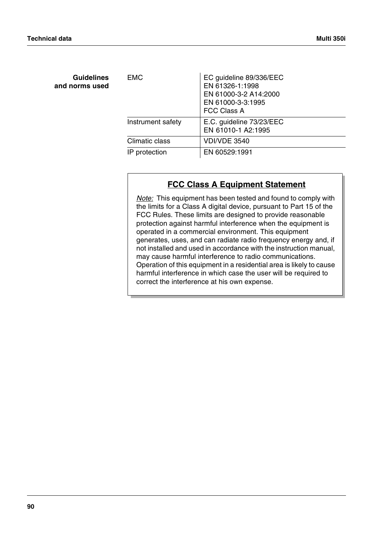**Guidelines and norms used**

| <b>EMC</b>        | EC guideline 89/336/EEC<br>EN 61326-1:1998<br>EN 61000-3-2 A14:2000<br>EN 61000-3-3:1995<br><b>FCC Class A</b> |
|-------------------|----------------------------------------------------------------------------------------------------------------|
| Instrument safety | E.C. guideline 73/23/EEC<br>EN 61010-1 A2:1995                                                                 |
| Climatic class    | <b>VDI/VDE 3540</b>                                                                                            |
| IP protection     | EN 60529:1991                                                                                                  |

# **FCC Class A Equipment Statement**

*Note:* This equipment has been tested and found to comply with the limits for a Class A digital device, pursuant to Part 15 of the FCC Rules. These limits are designed to provide reasonable protection against harmful interference when the equipment is operated in a commercial environment. This equipment generates, uses, and can radiate radio frequency energy and, if not installed and used in accordance with the instruction manual, may cause harmful interference to radio communications. Operation of this equipment in a residential area is likely to cause harmful interference in which case the user will be required to correct the interference at his own expense.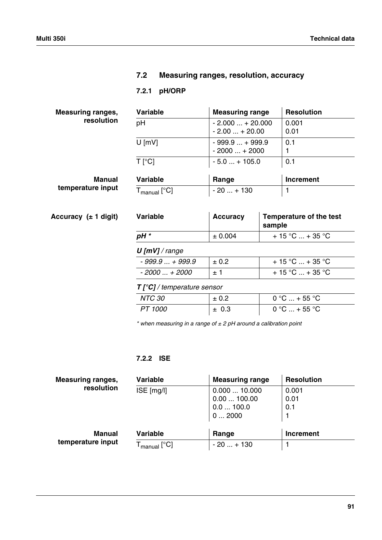## **7.2 Measuring ranges, resolution, accuracy**

## **7.2.1 pH/ORP**

| <b>Measuring ranges,</b><br>resolution | <b>Variable</b>                                                 | <b>Measuring range</b>           | <b>Resolution</b>              |
|----------------------------------------|-----------------------------------------------------------------|----------------------------------|--------------------------------|
|                                        | pH                                                              | $-2.000+20.000$<br>$-2.00+20.00$ | 0.001<br>0.01                  |
|                                        | $U$ [mV]                                                        | $-999.9+999.9$<br>$-2000+2000$   | 0.1                            |
|                                        | $T$ [ $^{\circ}$ C]                                             | $-5.0$ + 105.0                   | 0.1                            |
| <b>Manual</b>                          | Variable                                                        | Range                            | <b>Increment</b>               |
| temperature input                      | ${\mathsf T}_{\mathsf{manual}}\left[ \mathrm{^{\circ}C}\right]$ | $-20+130$                        | -1                             |
| Accuracy $(\pm 1$ digit)               | <b>Variable</b>                                                 | <b>Accuracy</b>                  | <b>Temperature of the test</b> |

| Variable | Accuracy | Temperature of the test<br>sample |
|----------|----------|-----------------------------------|
| pH *     | ± 0.004  | $+15$ °C  + 35 °C                 |
|          |          |                                   |

## *U [mV] / range*

| $-999.9+999.9$ | $\pm 0.2$ | $+15$ °C  + 35 °C                               |
|----------------|-----------|-------------------------------------------------|
| - 2000  + 2000 | + 1       | $+15\,^{\circ}\text{C}$ + 35 $^{\circ}\text{C}$ |

*T [°C] / temperature sensor*

| .       |           |                 |
|---------|-----------|-----------------|
| NTC 30  | $\pm 0.2$ | $0 °C  + 55 °C$ |
| PT 1000 | $\pm$ 0.3 | $0 °C  + 55 °C$ |

*\* when measuring in a range of ± 2 pH around a calibration point*

## **7.2.2 ISE**

| <b>Measuring ranges,</b> | <b>Variable</b>                                 | <b>Measuring range</b>                         | <b>Resolution</b>    |
|--------------------------|-------------------------------------------------|------------------------------------------------|----------------------|
| resolution               | $ISE$ [mg/l]                                    | 0.00010.000<br>0.00100.00<br>0.0100.0<br>02000 | 0.001<br>0.01<br>0.1 |
| Manual                   | <b>Variable</b>                                 | Range                                          | <b>Increment</b>     |
| temperature input        | $\mathsf{I}_{\mathsf{manual}}$ [ $\mathrm{C}$ ] | $-20+130$                                      |                      |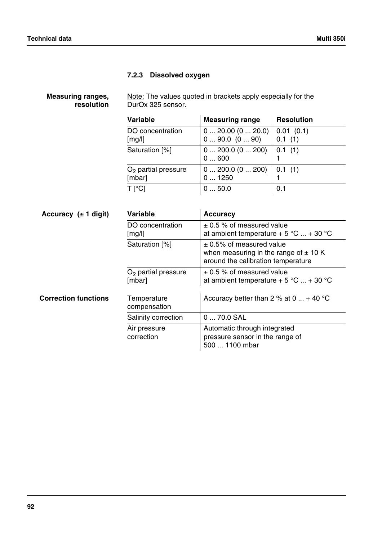## **7.2.3 Dissolved oxygen**

| <b>Measuring ranges,</b> | Note: The values quoted in brackets apply especially for the |
|--------------------------|--------------------------------------------------------------|
| resolution               | DurOx 325 sensor.                                            |

| <b>Variable</b>                 | <b>Measuring range</b>                       | <b>Resolution</b>   |
|---------------------------------|----------------------------------------------|---------------------|
| DO concentration<br>[mg/l]      | $0 \dots 20.00 (0 \dots 20.0)$<br>090.0(090) | 0.01(0.1)<br>0.1(1) |
| Saturation [%]                  | 0 200.0 (0 200)<br>0600                      | 0.1(1)              |
| $O2$ partial pressure<br>[mbar] | 0 200.0 (0 200)<br>01250                     | 0.1(1)              |
| T [°C]                          | 050.0                                        | 0.1                 |

| Accuracy $(\pm 1$ digit)    | <b>Variable</b>                 | <b>Accuracy</b>                                                                                                 |
|-----------------------------|---------------------------------|-----------------------------------------------------------------------------------------------------------------|
|                             | DO concentration<br>[mg/l]      | $\pm$ 0.5 % of measured value<br>at ambient temperature + 5 °C  + 30 °C                                         |
|                             | Saturation [%]                  | $\pm$ 0.5% of measured value<br>when measuring in the range of $\pm$ 10 K<br>around the calibration temperature |
|                             | $O2$ partial pressure<br>[mbar] | $\pm$ 0.5 % of measured value<br>at ambient temperature + 5 °C  + 30 °C                                         |
| <b>Correction functions</b> | Temperature<br>compensation     | Accuracy better than 2 % at 0 $\dots$ + 40 °C                                                                   |
|                             | Salinity correction             | 0  70.0 SAL                                                                                                     |
|                             | Air pressure<br>correction      | Automatic through integrated<br>pressure sensor in the range of<br>500  1100 mbar                               |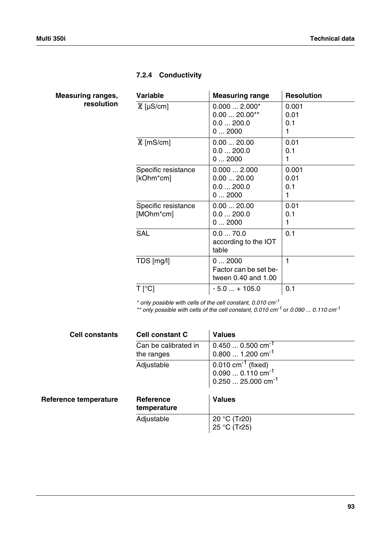# <span id="page-94-0"></span>**7.2.4 Conductivity**

| <b>Measuring ranges,</b> |            |
|--------------------------|------------|
|                          | resolution |

| <b>Variable</b>                  | <b>Measuring range</b>                                | <b>Resolution</b>         |
|----------------------------------|-------------------------------------------------------|---------------------------|
| $\mathcal{X}$ [µS/cm]            | $0.0002.000*$<br>$0.0020.00**$<br>0.0200.0<br>02000   | 0.001<br>0.01<br>0.1<br>1 |
| $\mathcal{X}$ [mS/cm]            | 0.0020.00<br>0.0200.0<br>02000                        | 0.01<br>0.1<br>1          |
| Specific resistance<br>[kOhm*cm] | 0.0002.000<br>0.0020.00<br>0.0200.0<br>02000          | 0.001<br>0.01<br>0.1<br>1 |
| Specific resistance<br>[MOhm*cm] | 0.0020.00<br>0.0200.0<br>02000                        | 0.01<br>0.1<br>1          |
| <b>SAL</b>                       | 0.070.0<br>according to the IOT<br>table              | 0.1                       |
| TDS [mg/l]                       | 02000<br>Factor can be set be-<br>tween 0.40 and 1.00 | 1                         |
| $T$ [ $^{\circ}$ C]              | $-5.0+105.0$                                          | 0.1                       |

*\* only possible with cells of the cell constant, 0.010 cm-1*

*\*\* only possible with cells of the cell constant, 0.010 cm-1* or *0.090 ... 0.110 cm-1*

| <b>Cell constants</b> | <b>Cell constant C</b>             | <b>Values</b>                                                                                     |
|-----------------------|------------------------------------|---------------------------------------------------------------------------------------------------|
|                       | Can be calibrated in<br>the ranges | $0.4500.500$ cm <sup>-1</sup><br>$0.8001.200$ cm <sup>-1</sup>                                    |
|                       | Adjustable                         | $0.010 \text{ cm}^{-1}$ (fixed)<br>$0.0900.110 \text{ cm}^{-1}$<br>$0.25025.000$ cm <sup>-1</sup> |
| Reference temperature | Reference<br>temperature           | <b>Values</b>                                                                                     |
|                       | Adjustable                         | 20 °C (Tr20)<br>25 °C (Tr25)                                                                      |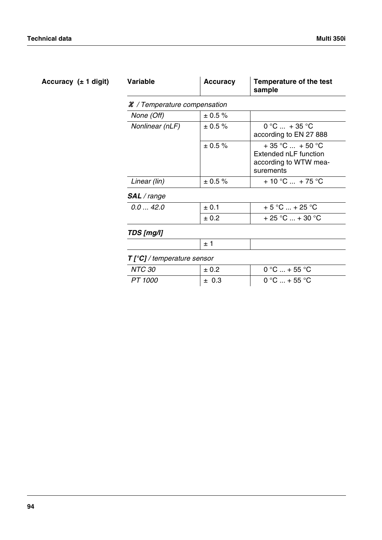| Accuracy $(± 1$ digit) | <b>Variable</b>                         | <b>Accuracy</b> | Temperature of the test<br>sample                                                |  |  |
|------------------------|-----------------------------------------|-----------------|----------------------------------------------------------------------------------|--|--|
|                        | $\mathcal X$ / Temperature compensation |                 |                                                                                  |  |  |
|                        | None (Off)                              | $\pm$ 0.5 %     |                                                                                  |  |  |
|                        | Nonlinear (nLF)                         | ± 0.5 %         | $0 °C  + 35 °C$<br>according to EN 27 888                                        |  |  |
|                        |                                         | ± 0.5 %         | $+35$ °C $+50$ °C<br>Extended nLF function<br>according to WTW mea-<br>surements |  |  |
|                        | Linear (lin)                            | $\pm$ 0.5 %     | $+10$ °C  + 75 °C                                                                |  |  |
|                        | <b>SAL</b> / range                      |                 |                                                                                  |  |  |
|                        | 0.042.0                                 | ± 0.1           | $+5 °C  + 25 °C$                                                                 |  |  |
|                        |                                         | ± 0.2           | + 25 °C  + 30 °C                                                                 |  |  |
|                        | TDS [mg/l]                              |                 |                                                                                  |  |  |
|                        |                                         | ±1              |                                                                                  |  |  |
|                        | $T[^{\circ}C]/$ temperature sensor      |                 |                                                                                  |  |  |
|                        | <b>NTC 30</b>                           | ± 0.2           | $0 °C  + 55 °C$                                                                  |  |  |
|                        | PT 1000                                 | ± 0.3           | $0 °C  + 55 °C$                                                                  |  |  |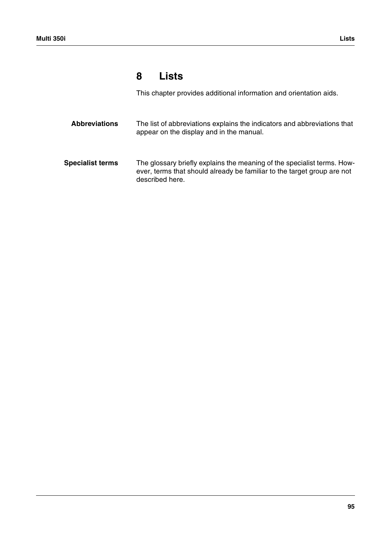# **8 Lists**

This chapter provides additional information and orientation aids.

| <b>Abbreviations</b>    | The list of abbreviations explains the indicators and abbreviations that<br>appear on the display and in the manual.                                                  |
|-------------------------|-----------------------------------------------------------------------------------------------------------------------------------------------------------------------|
| <b>Specialist terms</b> | The glossary briefly explains the meaning of the specialist terms. How-<br>ever, terms that should already be familiar to the target group are not<br>described here. |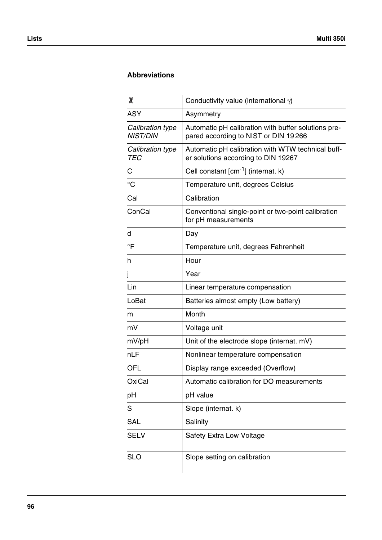## **Abbreviations**

| H                                   | Conductivity value (international $\gamma$ )                                                |
|-------------------------------------|---------------------------------------------------------------------------------------------|
| <b>ASY</b>                          | Asymmetry                                                                                   |
| Calibration type<br><b>NIST/DIN</b> | Automatic pH calibration with buffer solutions pre-<br>pared according to NIST or DIN 19266 |
| Calibration type<br><b>TEC</b>      | Automatic pH calibration with WTW technical buff-<br>er solutions according to DIN 19267    |
| C                                   | Cell constant [cm <sup>-1</sup> ] (internat. k)                                             |
| $^{\circ}C$                         | Temperature unit, degrees Celsius                                                           |
| Cal                                 | Calibration                                                                                 |
| ConCal                              | Conventional single-point or two-point calibration<br>for pH measurements                   |
| d                                   | Day                                                                                         |
| $\overline{F}$                      | Temperature unit, degrees Fahrenheit                                                        |
| h                                   | Hour                                                                                        |
| j                                   | Year                                                                                        |
| Lin                                 | Linear temperature compensation                                                             |
| LoBat                               | Batteries almost empty (Low battery)                                                        |
| m                                   | Month                                                                                       |
| mV                                  | Voltage unit                                                                                |
| mV/pH                               | Unit of the electrode slope (internat. mV)                                                  |
| nLF                                 | Nonlinear temperature compensation                                                          |
| <b>OFL</b>                          | Display range exceeded (Overflow)                                                           |
| OxiCal                              | Automatic calibration for DO measurements                                                   |
| pH                                  | pH value                                                                                    |
| S                                   | Slope (internat. k)                                                                         |
| <b>SAL</b>                          | Salinity                                                                                    |
| <b>SELV</b>                         | Safety Extra Low Voltage                                                                    |
| <b>SLO</b>                          | Slope setting on calibration                                                                |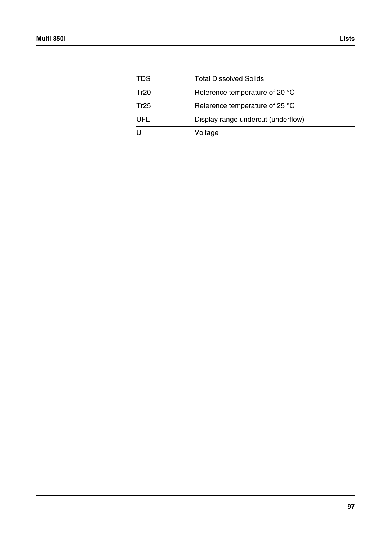| <b>TDS</b> | <b>Total Dissolved Solids</b>      |
|------------|------------------------------------|
| Tr20       | Reference temperature of 20 °C     |
| Tr25       | Reference temperature of 25 °C     |
| UFL        | Display range undercut (underflow) |
| U          | Voltage                            |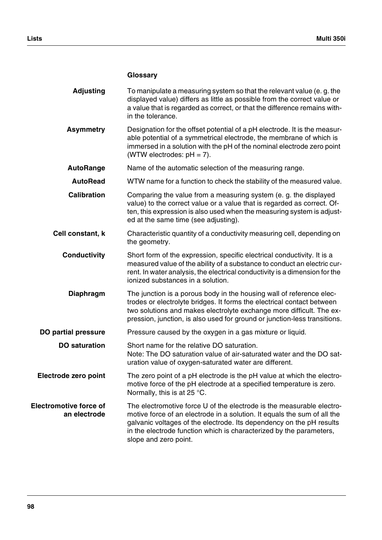|                                               | Glossary                                                                                                                                                                                                                                                                                                                  |
|-----------------------------------------------|---------------------------------------------------------------------------------------------------------------------------------------------------------------------------------------------------------------------------------------------------------------------------------------------------------------------------|
| <b>Adjusting</b>                              | To manipulate a measuring system so that the relevant value (e.g. the<br>displayed value) differs as little as possible from the correct value or<br>a value that is regarded as correct, or that the difference remains with-<br>in the tolerance.                                                                       |
| <b>Asymmetry</b>                              | Designation for the offset potential of a pH electrode. It is the measur-<br>able potential of a symmetrical electrode, the membrane of which is<br>immersed in a solution with the pH of the nominal electrode zero point<br>(WTW electrodes: $pH = 7$ ).                                                                |
| <b>AutoRange</b>                              | Name of the automatic selection of the measuring range.                                                                                                                                                                                                                                                                   |
| <b>AutoRead</b>                               | WTW name for a function to check the stability of the measured value.                                                                                                                                                                                                                                                     |
| <b>Calibration</b>                            | Comparing the value from a measuring system (e. g. the displayed<br>value) to the correct value or a value that is regarded as correct. Of-<br>ten, this expression is also used when the measuring system is adjust-<br>ed at the same time (see adjusting).                                                             |
| Cell constant, k                              | Characteristic quantity of a conductivity measuring cell, depending on<br>the geometry.                                                                                                                                                                                                                                   |
| <b>Conductivity</b>                           | Short form of the expression, specific electrical conductivity. It is a<br>measured value of the ability of a substance to conduct an electric cur-<br>rent. In water analysis, the electrical conductivity is a dimension for the<br>ionized substances in a solution.                                                   |
| <b>Diaphragm</b>                              | The junction is a porous body in the housing wall of reference elec-<br>trodes or electrolyte bridges. It forms the electrical contact between<br>two solutions and makes electrolyte exchange more difficult. The ex-<br>pression, junction, is also used for ground or junction-less transitions.                       |
| <b>DO partial pressure</b>                    | Pressure caused by the oxygen in a gas mixture or liquid.                                                                                                                                                                                                                                                                 |
| <b>DO</b> saturation                          | Short name for the relative DO saturation.<br>Note: The DO saturation value of air-saturated water and the DO sat-<br>uration value of oxygen-saturated water are different.                                                                                                                                              |
| Electrode zero point                          | The zero point of a pH electrode is the pH value at which the electro-<br>motive force of the pH electrode at a specified temperature is zero.<br>Normally, this is at 25 $^{\circ}$ C.                                                                                                                                   |
| <b>Electromotive force of</b><br>an electrode | The electromotive force U of the electrode is the measurable electro-<br>motive force of an electrode in a solution. It equals the sum of all the<br>galvanic voltages of the electrode. Its dependency on the pH results<br>in the electrode function which is characterized by the parameters,<br>slope and zero point. |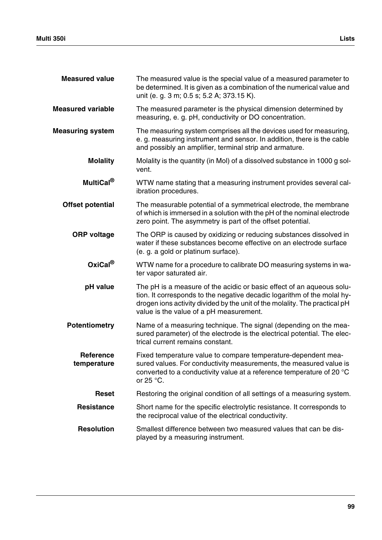| <b>Measured value</b>           | The measured value is the special value of a measured parameter to<br>be determined. It is given as a combination of the numerical value and<br>unit (e. g. 3 m; 0.5 s; 5.2 A; 373.15 K).                                                                                 |
|---------------------------------|---------------------------------------------------------------------------------------------------------------------------------------------------------------------------------------------------------------------------------------------------------------------------|
| <b>Measured variable</b>        | The measured parameter is the physical dimension determined by<br>measuring, e. g. pH, conductivity or DO concentration.                                                                                                                                                  |
| <b>Measuring system</b>         | The measuring system comprises all the devices used for measuring,<br>e. g. measuring instrument and sensor. In addition, there is the cable<br>and possibly an amplifier, terminal strip and armature.                                                                   |
| <b>Molality</b>                 | Molality is the quantity (in Mol) of a dissolved substance in 1000 g sol-<br>vent.                                                                                                                                                                                        |
| MultiCal <sup>®</sup>           | WTW name stating that a measuring instrument provides several cal-<br>ibration procedures.                                                                                                                                                                                |
| <b>Offset potential</b>         | The measurable potential of a symmetrical electrode, the membrane<br>of which is immersed in a solution with the pH of the nominal electrode<br>zero point. The asymmetry is part of the offset potential.                                                                |
| <b>ORP</b> voltage              | The ORP is caused by oxidizing or reducing substances dissolved in<br>water if these substances become effective on an electrode surface<br>(e. g. a gold or platinum surface).                                                                                           |
| OxiCal <sup>®</sup>             | WTW name for a procedure to calibrate DO measuring systems in wa-<br>ter vapor saturated air.                                                                                                                                                                             |
| pH value                        | The pH is a measure of the acidic or basic effect of an aqueous solu-<br>tion. It corresponds to the negative decadic logarithm of the molal hy-<br>drogen ions activity divided by the unit of the molality. The practical pH<br>value is the value of a pH measurement. |
| <b>Potentiometry</b>            | Name of a measuring technique. The signal (depending on the mea-<br>sured parameter) of the electrode is the electrical potential. The elec-<br>trical current remains constant.                                                                                          |
| <b>Reference</b><br>temperature | Fixed temperature value to compare temperature-dependent mea-<br>sured values. For conductivity measurements, the measured value is<br>converted to a conductivity value at a reference temperature of 20 °C<br>or $25^{\circ}$ C.                                        |
| <b>Reset</b>                    | Restoring the original condition of all settings of a measuring system.                                                                                                                                                                                                   |
| <b>Resistance</b>               | Short name for the specific electrolytic resistance. It corresponds to<br>the reciprocal value of the electrical conductivity.                                                                                                                                            |
| <b>Resolution</b>               | Smallest difference between two measured values that can be dis-<br>played by a measuring instrument.                                                                                                                                                                     |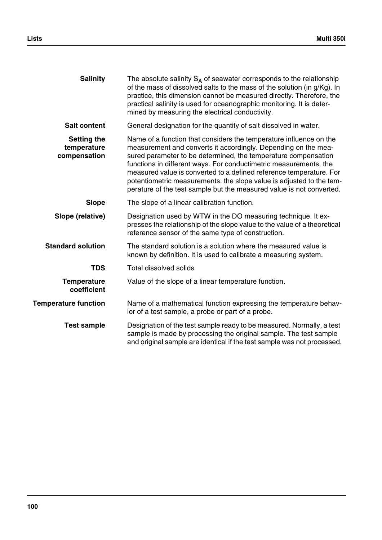| <b>Salinity</b>                                   | The absolute salinity $S_A$ of seawater corresponds to the relationship<br>of the mass of dissolved salts to the mass of the solution (in g/Kg). In<br>practice, this dimension cannot be measured directly. Therefore, the<br>practical salinity is used for oceanographic monitoring. It is deter-<br>mined by measuring the electrical conductivity.                                                                                                                                            |
|---------------------------------------------------|----------------------------------------------------------------------------------------------------------------------------------------------------------------------------------------------------------------------------------------------------------------------------------------------------------------------------------------------------------------------------------------------------------------------------------------------------------------------------------------------------|
| <b>Salt content</b>                               | General designation for the quantity of salt dissolved in water.                                                                                                                                                                                                                                                                                                                                                                                                                                   |
| <b>Setting the</b><br>temperature<br>compensation | Name of a function that considers the temperature influence on the<br>measurement and converts it accordingly. Depending on the mea-<br>sured parameter to be determined, the temperature compensation<br>functions in different ways. For conductimetric measurements, the<br>measured value is converted to a defined reference temperature. For<br>potentiometric measurements, the slope value is adjusted to the tem-<br>perature of the test sample but the measured value is not converted. |
| <b>Slope</b>                                      | The slope of a linear calibration function.                                                                                                                                                                                                                                                                                                                                                                                                                                                        |
| Slope (relative)                                  | Designation used by WTW in the DO measuring technique. It ex-<br>presses the relationship of the slope value to the value of a theoretical<br>reference sensor of the same type of construction.                                                                                                                                                                                                                                                                                                   |
| <b>Standard solution</b>                          | The standard solution is a solution where the measured value is<br>known by definition. It is used to calibrate a measuring system.                                                                                                                                                                                                                                                                                                                                                                |
| <b>TDS</b>                                        | <b>Total dissolved solids</b>                                                                                                                                                                                                                                                                                                                                                                                                                                                                      |
| <b>Temperature</b><br>coefficient                 | Value of the slope of a linear temperature function.                                                                                                                                                                                                                                                                                                                                                                                                                                               |
| <b>Temperature function</b>                       | Name of a mathematical function expressing the temperature behav-<br>ior of a test sample, a probe or part of a probe.                                                                                                                                                                                                                                                                                                                                                                             |
| <b>Test sample</b>                                | Designation of the test sample ready to be measured. Normally, a test<br>sample is made by processing the original sample. The test sample<br>and original sample are identical if the test sample was not processed.                                                                                                                                                                                                                                                                              |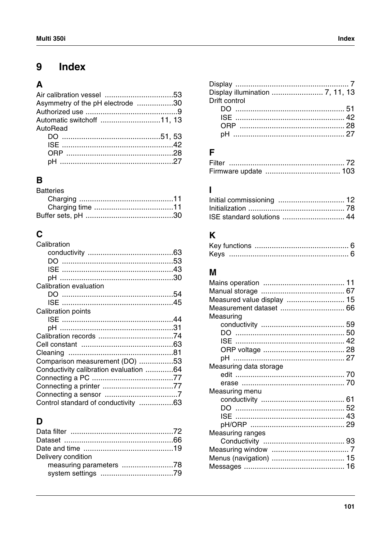#### Index 9

# $\overline{\mathbf{A}}$

| Asymmetry of the pH electrode 30 |  |
|----------------------------------|--|
|                                  |  |
|                                  |  |
| AutoRead                         |  |
|                                  |  |
|                                  |  |
|                                  |  |
|                                  |  |

# $\overline{\mathbf{B}}$

| <b>Batteries</b> |  |
|------------------|--|
|                  |  |
|                  |  |
|                  |  |

| Calibration                            |  |
|----------------------------------------|--|
|                                        |  |
|                                        |  |
|                                        |  |
|                                        |  |
| Calibration evaluation                 |  |
|                                        |  |
|                                        |  |
| Calibration points                     |  |
|                                        |  |
|                                        |  |
|                                        |  |
|                                        |  |
|                                        |  |
| Comparison measurement (DO) 53         |  |
| Conductivity calibration evaluation 64 |  |
|                                        |  |
| Connecting a printer 77                |  |
|                                        |  |
| Control standard of conductivity 63    |  |

# $\mathbf D$

| Delivery condition      |  |
|-------------------------|--|
| measuring parameters 78 |  |
|                         |  |
|                         |  |

| Drift control |
|---------------|
|               |
|               |
|               |
|               |

# $\mathsf F$

# $\overline{1}$

| ISE standard solutions  44 |  |
|----------------------------|--|

# $\overline{\mathsf{K}}$

# $\overline{\mathsf{M}}$

| Measured value display  15 |  |
|----------------------------|--|
| Measurement dataset  66    |  |
| Measuring                  |  |
|                            |  |
|                            |  |
|                            |  |
|                            |  |
|                            |  |
| Measuring data storage     |  |
|                            |  |
|                            |  |
| Measuring menu             |  |
|                            |  |
|                            |  |
|                            |  |
|                            |  |
| <b>Measuring ranges</b>    |  |
|                            |  |
|                            |  |
|                            |  |
| Menus (navigation)  15     |  |
|                            |  |
|                            |  |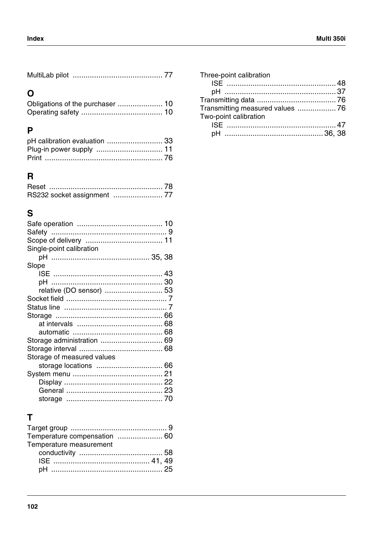|--|--|--|

# $\overline{O}$

# $\overline{P}$

| pH calibration evaluation  33 |  |
|-------------------------------|--|
|                               |  |
|                               |  |

# $\overline{\mathsf{R}}$

# S

| Single-point calibration   |  |
|----------------------------|--|
|                            |  |
| Slope                      |  |
|                            |  |
|                            |  |
| relative (DO sensor)  53   |  |
|                            |  |
|                            |  |
|                            |  |
|                            |  |
|                            |  |
|                            |  |
| Storage administration  69 |  |
|                            |  |
| Storage of measured values |  |
|                            |  |
|                            |  |
|                            |  |
|                            |  |
|                            |  |
|                            |  |

# $\mathbf{T}$

| Temperature measurement |  |
|-------------------------|--|
|                         |  |
|                         |  |
|                         |  |

| Transmitting measured values  76 |
|----------------------------------|
|                                  |
|                                  |
|                                  |
|                                  |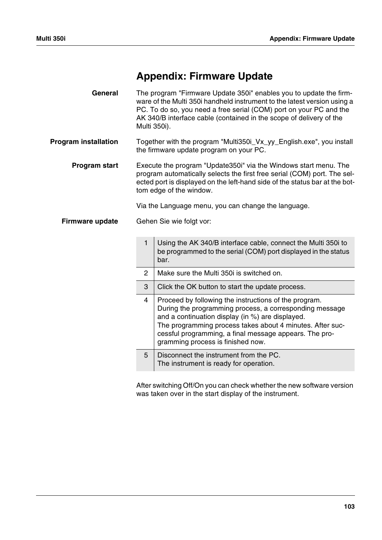# <span id="page-104-1"></span><span id="page-104-0"></span>**Appendix: Firmware Update**

| General                     | The program "Firmware Update 350i" enables you to update the firm-<br>ware of the Multi 350i handheld instrument to the latest version using a<br>PC. To do so, you need a free serial (COM) port on your PC and the<br>AK 340/B interface cable (contained in the scope of delivery of the<br>Multi 350i). |                                                                                                                                                                                                                                                                                                                                  |  |
|-----------------------------|-------------------------------------------------------------------------------------------------------------------------------------------------------------------------------------------------------------------------------------------------------------------------------------------------------------|----------------------------------------------------------------------------------------------------------------------------------------------------------------------------------------------------------------------------------------------------------------------------------------------------------------------------------|--|
| <b>Program installation</b> | Together with the program "Multi350i_Vx_yy_English.exe", you install<br>the firmware update program on your PC.                                                                                                                                                                                             |                                                                                                                                                                                                                                                                                                                                  |  |
| <b>Program start</b>        | Execute the program "Update350i" via the Windows start menu. The<br>program automatically selects the first free serial (COM) port. The sel-<br>ected port is displayed on the left-hand side of the status bar at the bot-<br>tom edge of the window.                                                      |                                                                                                                                                                                                                                                                                                                                  |  |
|                             |                                                                                                                                                                                                                                                                                                             | Via the Language menu, you can change the language.                                                                                                                                                                                                                                                                              |  |
| <b>Firmware update</b>      |                                                                                                                                                                                                                                                                                                             | Gehen Sie wie folgt vor:                                                                                                                                                                                                                                                                                                         |  |
|                             | $\mathbf{1}$                                                                                                                                                                                                                                                                                                | Using the AK 340/B interface cable, connect the Multi 350i to<br>be programmed to the serial (COM) port displayed in the status<br>bar.                                                                                                                                                                                          |  |
|                             | $\overline{2}$                                                                                                                                                                                                                                                                                              | Make sure the Multi 350i is switched on.                                                                                                                                                                                                                                                                                         |  |
|                             | 3                                                                                                                                                                                                                                                                                                           | Click the OK button to start the update process.                                                                                                                                                                                                                                                                                 |  |
|                             | $\overline{4}$                                                                                                                                                                                                                                                                                              | Proceed by following the instructions of the program.<br>During the programming process, a corresponding message<br>and a continuation display (in %) are displayed.<br>The programming process takes about 4 minutes. After suc-<br>cessful programming, a final message appears. The pro-<br>gramming process is finished now. |  |
|                             | 5                                                                                                                                                                                                                                                                                                           | Disconnect the instrument from the PC.<br>The instrument is ready for operation.                                                                                                                                                                                                                                                 |  |

After switching Off/On you can check whether the new software version was taken over in the start display of the instrument.